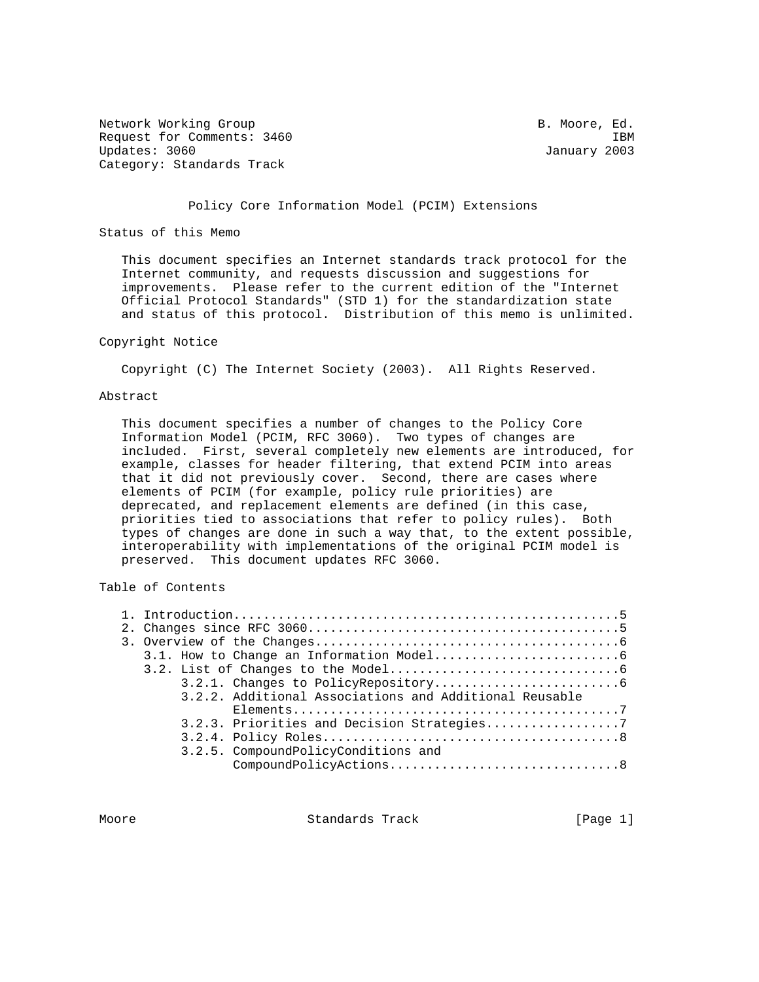Network Working Group and the set of the set of the B. Moore, Ed. Request for Comments: 3460 IBM Updates: 3060 January 2003 Category: Standards Track

#### Policy Core Information Model (PCIM) Extensions

Status of this Memo

 This document specifies an Internet standards track protocol for the Internet community, and requests discussion and suggestions for improvements. Please refer to the current edition of the "Internet Official Protocol Standards" (STD 1) for the standardization state and status of this protocol. Distribution of this memo is unlimited.

#### Copyright Notice

Copyright (C) The Internet Society (2003). All Rights Reserved.

#### Abstract

 This document specifies a number of changes to the Policy Core Information Model (PCIM, RFC 3060). Two types of changes are included. First, several completely new elements are introduced, for example, classes for header filtering, that extend PCIM into areas that it did not previously cover. Second, there are cases where elements of PCIM (for example, policy rule priorities) are deprecated, and replacement elements are defined (in this case, priorities tied to associations that refer to policy rules). Both types of changes are done in such a way that, to the extent possible, interoperability with implementations of the original PCIM model is preserved. This document updates RFC 3060.

# Table of Contents

|  | 3.2.2. Additional Associations and Additional Reusable |  |
|--|--------------------------------------------------------|--|
|  |                                                        |  |
|  |                                                        |  |
|  |                                                        |  |
|  | 3.2.5. CompoundPolicyConditions and                    |  |
|  |                                                        |  |
|  |                                                        |  |

Moore **Standards Track** [Page 1]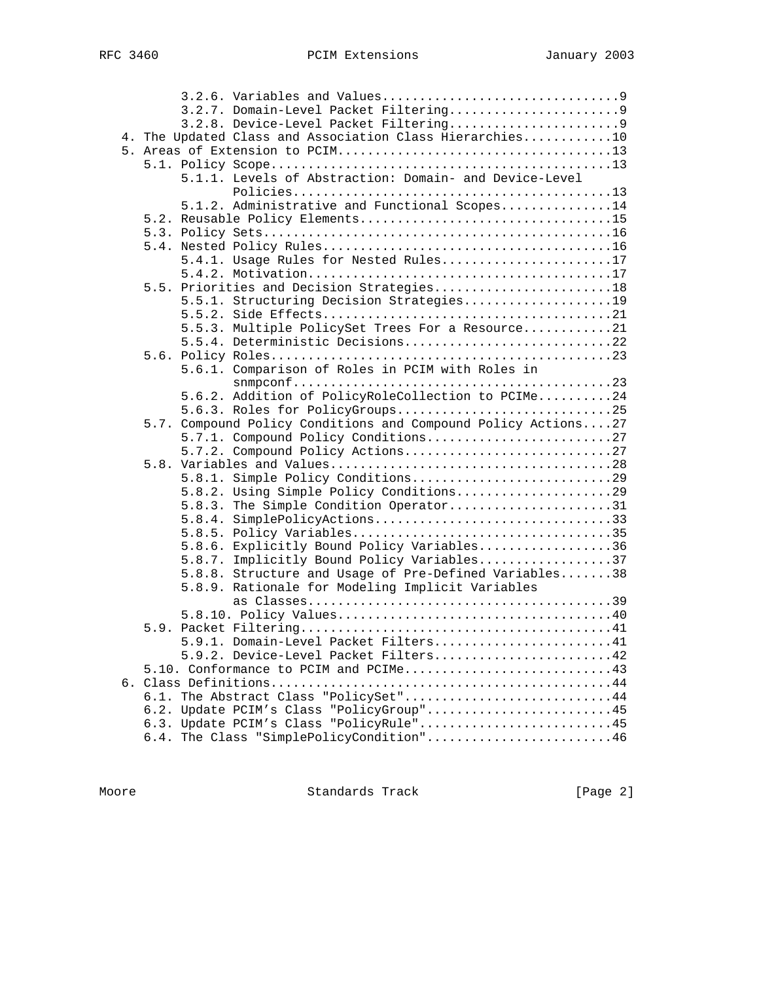|  | 4. The Updated Class and Association Class Hierarchies10      |
|--|---------------------------------------------------------------|
|  |                                                               |
|  |                                                               |
|  | 5.1.1. Levels of Abstraction: Domain- and Device-Level        |
|  |                                                               |
|  | 5.1.2. Administrative and Functional Scopes14                 |
|  |                                                               |
|  |                                                               |
|  |                                                               |
|  | 5.4.1. Usage Rules for Nested Rules17                         |
|  |                                                               |
|  | 5.5. Priorities and Decision Strategies18                     |
|  | 5.5.1. Structuring Decision Strategies19                      |
|  |                                                               |
|  | 5.5.3. Multiple PolicySet Trees For a Resource21              |
|  | 5.5.4. Deterministic Decisions22                              |
|  |                                                               |
|  | 5.6.1. Comparison of Roles in PCIM with Roles in              |
|  |                                                               |
|  | 5.6.2. Addition of PolicyRoleCollection to PCIMe24            |
|  | 5.6.3. Roles for PolicyGroups25                               |
|  | 5.7. Compound Policy Conditions and Compound Policy Actions27 |
|  | 5.7.1. Compound Policy Conditions27                           |
|  | 5.7.2. Compound Policy Actions27                              |
|  |                                                               |
|  | 5.8.1. Simple Policy Conditions29                             |
|  | 5.8.2. Using Simple Policy Conditions29                       |
|  | 5.8.3. The Simple Condition Operator31                        |
|  | 5.8.4. SimplePolicyActions33                                  |
|  |                                                               |
|  | 5.8.6. Explicitly Bound Policy Variables36                    |
|  | 5.8.7. Implicitly Bound Policy Variables37                    |
|  | 5.8.8. Structure and Usage of Pre-Defined Variables38         |
|  | 5.8.9. Rationale for Modeling Implicit Variables              |
|  |                                                               |
|  |                                                               |
|  |                                                               |
|  | 5.9.1. Domain-Level Packet Filters41                          |
|  | 5.9.2. Device-Level Packet Filters42                          |
|  | 5.10. Conformance to PCIM and PCIMe43                         |
|  |                                                               |
|  | 6.1. The Abstract Class "PolicySet"44                         |
|  | 6.2. Update PCIM's Class "PolicyGroup"45                      |
|  | 6.3. Update PCIM's Class "PolicyRule"45                       |
|  | 6.4. The Class "SimplePolicyCondition"46                      |

Moore **Standards Track** [Page 2]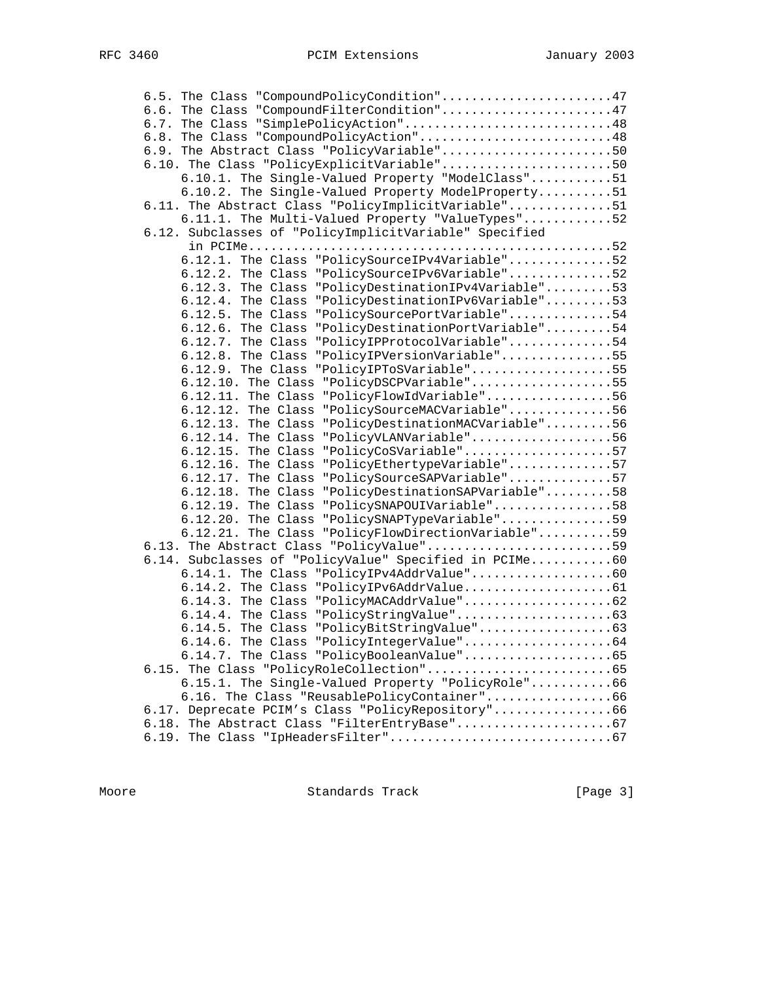| 6.5. The Class "CompoundPolicyCondition"47                |  |
|-----------------------------------------------------------|--|
| 6.6. The Class "CompoundFilterCondition"47                |  |
| 6.7. The Class "SimplePolicyAction"48                     |  |
| 6.8. The Class "CompoundPolicyAction"48                   |  |
| 6.9. The Abstract Class "PolicyVariable"50                |  |
| 6.10. The Class "PolicyExplicitVariable"50                |  |
| 6.10.1. The Single-Valued Property "ModelClass"51         |  |
| 6.10.2. The Single-Valued Property ModelProperty51        |  |
| 6.11. The Abstract Class "PolicyImplicitVariable"51       |  |
| 6.11.1. The Multi-Valued Property "ValueTypes"52          |  |
| 6.12. Subclasses of "PolicyImplicitVariable" Specified    |  |
|                                                           |  |
| 6.12.1. The Class "PolicySourceIPv4Variable"52            |  |
| 6.12.2. The Class "PolicySourceIPv6Variable"52            |  |
| 6.12.3. The Class "PolicyDestinationIPv4Variable"53       |  |
| 6.12.4. The Class "PolicyDestinationIPv6Variable"53       |  |
| 6.12.5. The Class "PolicySourcePortVariable"54            |  |
| 6.12.6. The Class "PolicyDestinationPortVariable"54       |  |
| 6.12.7. The Class "PolicyIPProtocolVariable"54            |  |
| 6.12.8. The Class "PolicyIPVersionVariable"55             |  |
| 6.12.9. The Class "PolicyIPToSVariable"55                 |  |
| 6.12.10. The Class "PolicyDSCPVariable"55                 |  |
| 6.12.11. The Class "PolicyFlowIdVariable"56               |  |
| 6.12.12. The Class "PolicySourceMACVariable"56            |  |
| "PolicyDestinationMACVariable"56<br>$6.12.13$ . The Class |  |
| "PolicyVLANVariable"56<br>$6.12.14$ . The Class           |  |
| "PolicyCoSVariable"57<br>$6.12.15$ . The Class            |  |
| "PolicyEthertypeVariable"57<br>$6.12.16$ . The Class      |  |
| 6.12.17. The Class "PolicySourceSAPVariable"57            |  |
| 6.12.18. The Class "PolicyDestinationSAPVariable"58       |  |
| 6.12.19. The Class "PolicySNAPOUIVariable"58              |  |
| 6.12.20. The Class "PolicySNAPTypeVariable"59             |  |
| 6.12.21. The Class "PolicyFlowDirectionVariable"59        |  |
| 6.13. The Abstract Class "PolicyValue"59                  |  |
| 6.14. Subclasses of "PolicyValue" Specified in PCIMe60    |  |
| 6.14.1. The Class "PolicyIPv4AddrValue"60                 |  |
|                                                           |  |
| 6.14.3. The Class "PolicyMACAddrValue"62                  |  |
|                                                           |  |
|                                                           |  |
| 6.14.6. The Class "PolicyIntegerValue"64                  |  |
| 6.14.7. The Class "PolicyBooleanValue"65                  |  |
|                                                           |  |
| 6.15.1. The Single-Valued Property "PolicyRole"66         |  |
| 6.16. The Class "ReusablePolicyContainer"66               |  |
| 6.17. Deprecate PCIM's Class "PolicyRepository"66         |  |
|                                                           |  |
|                                                           |  |
|                                                           |  |

Moore **Standards Track** [Page 3]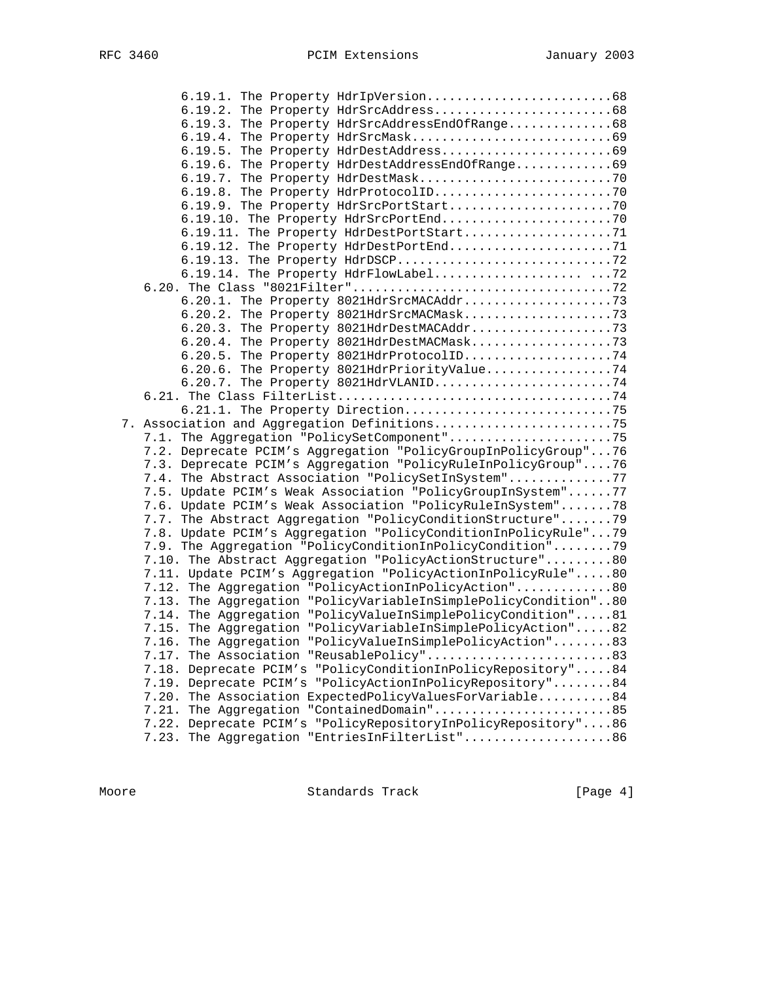| 6.19.3. The Property HdrSrcAddressEndOfRange68                  |  |
|-----------------------------------------------------------------|--|
|                                                                 |  |
|                                                                 |  |
| 6.19.6. The Property HdrDestAddressEndOfRange69                 |  |
|                                                                 |  |
|                                                                 |  |
|                                                                 |  |
|                                                                 |  |
| 6.19.11. The Property HdrDestPortStart71                        |  |
| 6.19.12. The Property HdrDestPortEnd71                          |  |
| 6.19.13. The Property HdrDSCP72                                 |  |
|                                                                 |  |
|                                                                 |  |
|                                                                 |  |
|                                                                 |  |
|                                                                 |  |
|                                                                 |  |
| 6.20.5. The Property 8021HdrProtocolID74                        |  |
| 6.20.6. The Property 8021HdrPriorityValue74                     |  |
| 6.20.7. The Property 8021HdrVLANID74                            |  |
|                                                                 |  |
|                                                                 |  |
| 7. Association and Aggregation Definitions75                    |  |
| 7.1. The Aggregation "PolicySetComponent"75                     |  |
| 7.2. Deprecate PCIM's Aggregation "PolicyGroupInPolicyGroup"76  |  |
| 7.3. Deprecate PCIM's Aggregation "PolicyRuleInPolicyGroup"76   |  |
| 7.4. The Abstract Association "PolicySetInSystem"77             |  |
| 7.5. Update PCIM's Weak Association "PolicyGroupInSystem"77     |  |
| 7.6. Update PCIM's Weak Association "PolicyRuleInSystem"78      |  |
| 7.7. The Abstract Aggregation "PolicyConditionStructure"79      |  |
| 7.8. Update PCIM's Aggregation "PolicyConditionInPolicyRule"79  |  |
| 7.9. The Aggregation "PolicyConditionInPolicyCondition"79       |  |
| 7.10. The Abstract Aggregation "PolicyActionStructure"80        |  |
| 7.11. Update PCIM's Aggregation "PolicyActionInPolicyRule"80    |  |
| 7.12. The Aggregation "PolicyActionInPolicyAction"80            |  |
| 7.13. The Aggregation "PolicyVariableInSimplePolicyCondition"80 |  |
| 7.14. The Aggregation "PolicyValueInSimplePolicyCondition"81    |  |
| 7.15. The Aggregation "PolicyVariableInSimplePolicyAction"82    |  |
| 7.16. The Aggregation "PolicyValueInSimplePolicyAction"83       |  |
| 7.17. The Association "ReusablePolicy"83                        |  |
| 7.18. Deprecate PCIM's "PolicyConditionInPolicyRepository"84    |  |
| 7.19. Deprecate PCIM's "PolicyActionInPolicyRepository"84       |  |
| 7.20. The Association ExpectedPolicyValuesForVariable84         |  |
| The Aggregation "ContainedDomain"85<br>7.21.                    |  |
| 7.22. Deprecate PCIM's "PolicyRepositoryInPolicyRepository"86   |  |
| The Aggregation "EntriesInFilterList"86<br>7.23.                |  |

Moore Standards Track [Page 4]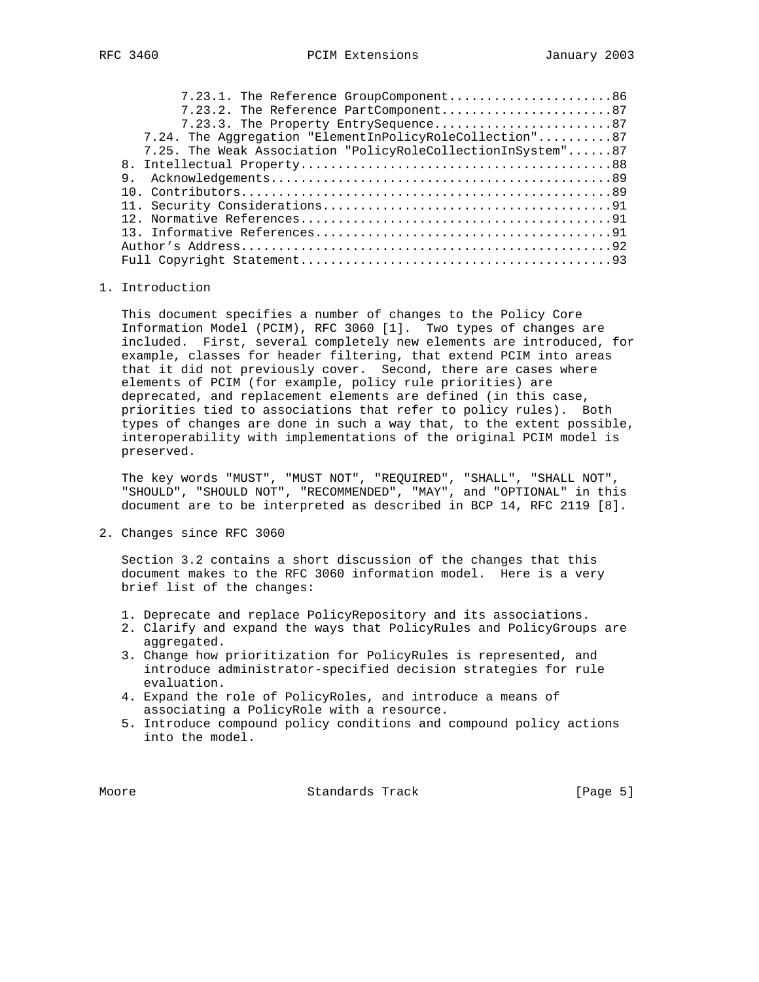| 7.23.1. The Reference GroupComponent86                      |
|-------------------------------------------------------------|
| 7.23.2. The Reference PartComponent87                       |
| 7.23.3. The Property EntrySequence87                        |
| 7.24. The Aggregation "ElementInPolicyRoleCollection"87     |
| 7.25. The Weak Association "PolicyRoleCollectionInSystem"87 |
|                                                             |
|                                                             |
|                                                             |
|                                                             |
|                                                             |
|                                                             |
|                                                             |
|                                                             |

#### 1. Introduction

 This document specifies a number of changes to the Policy Core Information Model (PCIM), RFC 3060 [1]. Two types of changes are included. First, several completely new elements are introduced, for example, classes for header filtering, that extend PCIM into areas that it did not previously cover. Second, there are cases where elements of PCIM (for example, policy rule priorities) are deprecated, and replacement elements are defined (in this case, priorities tied to associations that refer to policy rules). Both types of changes are done in such a way that, to the extent possible, interoperability with implementations of the original PCIM model is preserved.

 The key words "MUST", "MUST NOT", "REQUIRED", "SHALL", "SHALL NOT", "SHOULD", "SHOULD NOT", "RECOMMENDED", "MAY", and "OPTIONAL" in this document are to be interpreted as described in BCP 14, RFC 2119 [8].

2. Changes since RFC 3060

 Section 3.2 contains a short discussion of the changes that this document makes to the RFC 3060 information model. Here is a very brief list of the changes:

- 1. Deprecate and replace PolicyRepository and its associations.
- 2. Clarify and expand the ways that PolicyRules and PolicyGroups are aggregated.
- 3. Change how prioritization for PolicyRules is represented, and introduce administrator-specified decision strategies for rule evaluation.
- 4. Expand the role of PolicyRoles, and introduce a means of associating a PolicyRole with a resource.
- 5. Introduce compound policy conditions and compound policy actions into the model.

Moore **Standards Track** [Page 5]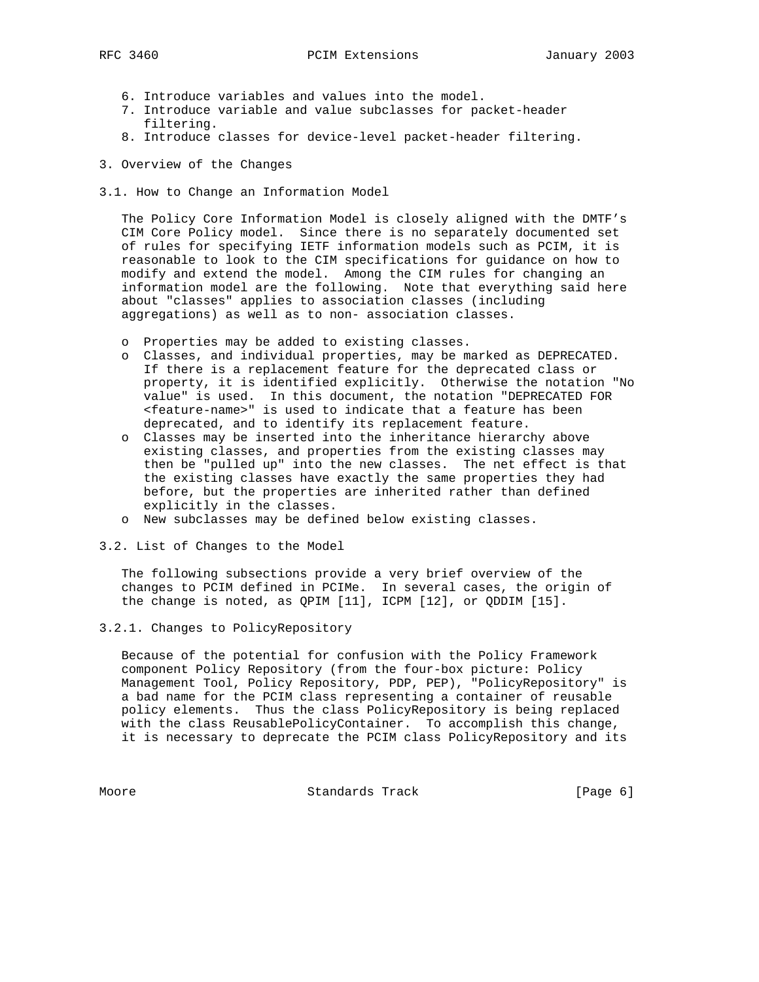- 6. Introduce variables and values into the model.
- 7. Introduce variable and value subclasses for packet-header filtering.
- 8. Introduce classes for device-level packet-header filtering.
- 3. Overview of the Changes
- 3.1. How to Change an Information Model

 The Policy Core Information Model is closely aligned with the DMTF's CIM Core Policy model. Since there is no separately documented set of rules for specifying IETF information models such as PCIM, it is reasonable to look to the CIM specifications for guidance on how to modify and extend the model. Among the CIM rules for changing an information model are the following. Note that everything said here about "classes" applies to association classes (including aggregations) as well as to non- association classes.

- o Properties may be added to existing classes.
- o Classes, and individual properties, may be marked as DEPRECATED. If there is a replacement feature for the deprecated class or property, it is identified explicitly. Otherwise the notation "No value" is used. In this document, the notation "DEPRECATED FOR <feature-name>" is used to indicate that a feature has been deprecated, and to identify its replacement feature.
- o Classes may be inserted into the inheritance hierarchy above existing classes, and properties from the existing classes may then be "pulled up" into the new classes. The net effect is that the existing classes have exactly the same properties they had before, but the properties are inherited rather than defined explicitly in the classes.
- o New subclasses may be defined below existing classes.
- 3.2. List of Changes to the Model

 The following subsections provide a very brief overview of the changes to PCIM defined in PCIMe. In several cases, the origin of the change is noted, as QPIM [11], ICPM [12], or QDDIM [15].

3.2.1. Changes to PolicyRepository

 Because of the potential for confusion with the Policy Framework component Policy Repository (from the four-box picture: Policy Management Tool, Policy Repository, PDP, PEP), "PolicyRepository" is a bad name for the PCIM class representing a container of reusable policy elements. Thus the class PolicyRepository is being replaced with the class ReusablePolicyContainer. To accomplish this change, it is necessary to deprecate the PCIM class PolicyRepository and its

Moore Standards Track [Page 6]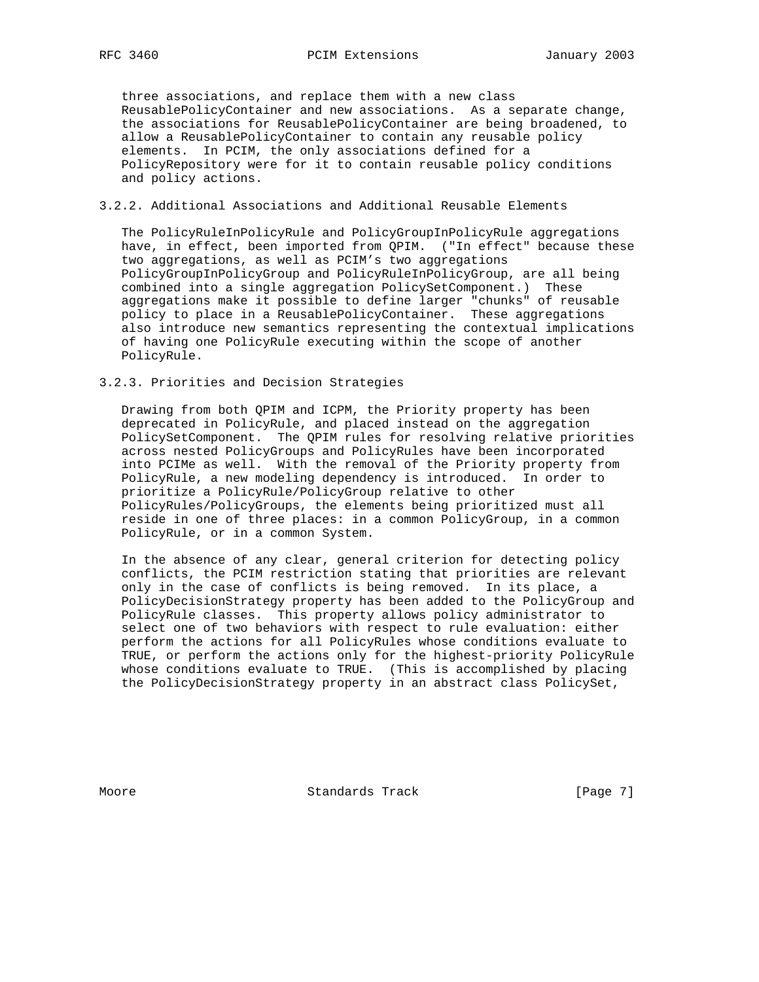three associations, and replace them with a new class ReusablePolicyContainer and new associations. As a separate change, the associations for ReusablePolicyContainer are being broadened, to allow a ReusablePolicyContainer to contain any reusable policy elements. In PCIM, the only associations defined for a PolicyRepository were for it to contain reusable policy conditions and policy actions.

#### 3.2.2. Additional Associations and Additional Reusable Elements

 The PolicyRuleInPolicyRule and PolicyGroupInPolicyRule aggregations have, in effect, been imported from QPIM. ("In effect" because these two aggregations, as well as PCIM's two aggregations PolicyGroupInPolicyGroup and PolicyRuleInPolicyGroup, are all being combined into a single aggregation PolicySetComponent.) These aggregations make it possible to define larger "chunks" of reusable policy to place in a ReusablePolicyContainer. These aggregations also introduce new semantics representing the contextual implications of having one PolicyRule executing within the scope of another PolicyRule.

#### 3.2.3. Priorities and Decision Strategies

 Drawing from both QPIM and ICPM, the Priority property has been deprecated in PolicyRule, and placed instead on the aggregation PolicySetComponent. The QPIM rules for resolving relative priorities across nested PolicyGroups and PolicyRules have been incorporated into PCIMe as well. With the removal of the Priority property from PolicyRule, a new modeling dependency is introduced. In order to prioritize a PolicyRule/PolicyGroup relative to other PolicyRules/PolicyGroups, the elements being prioritized must all reside in one of three places: in a common PolicyGroup, in a common PolicyRule, or in a common System.

 In the absence of any clear, general criterion for detecting policy conflicts, the PCIM restriction stating that priorities are relevant only in the case of conflicts is being removed. In its place, a PolicyDecisionStrategy property has been added to the PolicyGroup and PolicyRule classes. This property allows policy administrator to select one of two behaviors with respect to rule evaluation: either perform the actions for all PolicyRules whose conditions evaluate to TRUE, or perform the actions only for the highest-priority PolicyRule whose conditions evaluate to TRUE. (This is accomplished by placing the PolicyDecisionStrategy property in an abstract class PolicySet,

Moore **Standards Track** [Page 7]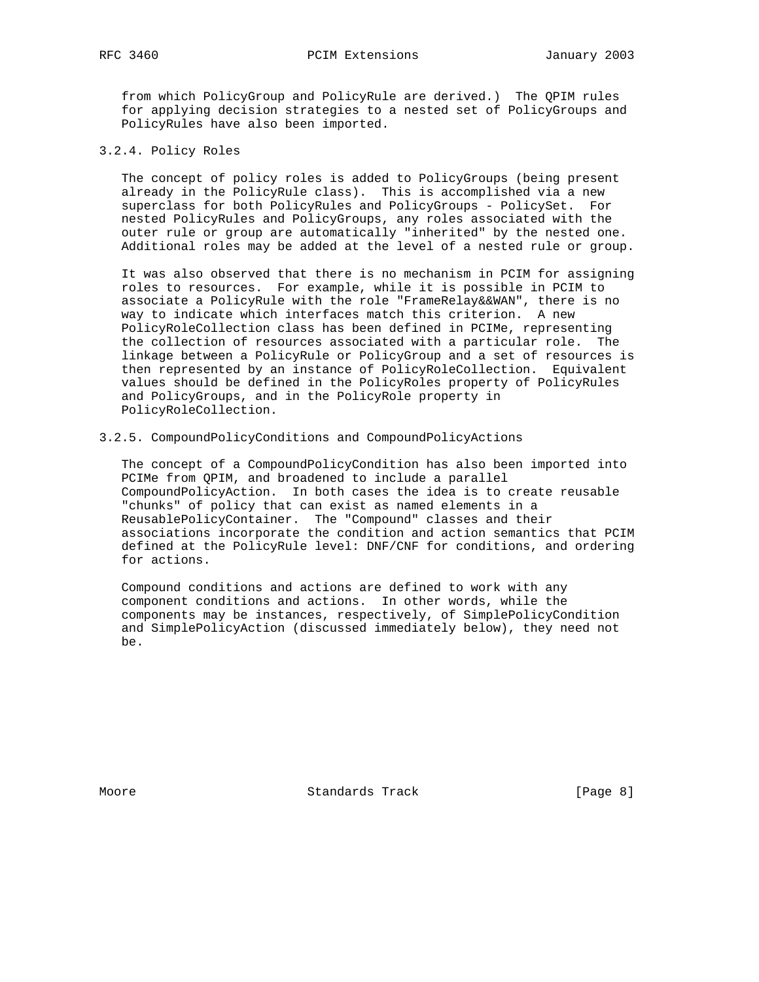from which PolicyGroup and PolicyRule are derived.) The QPIM rules for applying decision strategies to a nested set of PolicyGroups and PolicyRules have also been imported.

#### 3.2.4. Policy Roles

 The concept of policy roles is added to PolicyGroups (being present already in the PolicyRule class). This is accomplished via a new superclass for both PolicyRules and PolicyGroups - PolicySet. For nested PolicyRules and PolicyGroups, any roles associated with the outer rule or group are automatically "inherited" by the nested one. Additional roles may be added at the level of a nested rule or group.

 It was also observed that there is no mechanism in PCIM for assigning roles to resources. For example, while it is possible in PCIM to associate a PolicyRule with the role "FrameRelay&&WAN", there is no way to indicate which interfaces match this criterion. A new PolicyRoleCollection class has been defined in PCIMe, representing the collection of resources associated with a particular role. The linkage between a PolicyRule or PolicyGroup and a set of resources is then represented by an instance of PolicyRoleCollection. Equivalent values should be defined in the PolicyRoles property of PolicyRules and PolicyGroups, and in the PolicyRole property in PolicyRoleCollection.

3.2.5. CompoundPolicyConditions and CompoundPolicyActions

 The concept of a CompoundPolicyCondition has also been imported into PCIMe from QPIM, and broadened to include a parallel CompoundPolicyAction. In both cases the idea is to create reusable "chunks" of policy that can exist as named elements in a ReusablePolicyContainer. The "Compound" classes and their associations incorporate the condition and action semantics that PCIM defined at the PolicyRule level: DNF/CNF for conditions, and ordering for actions.

 Compound conditions and actions are defined to work with any component conditions and actions. In other words, while the components may be instances, respectively, of SimplePolicyCondition and SimplePolicyAction (discussed immediately below), they need not be.

Moore **Standards Track** [Page 8]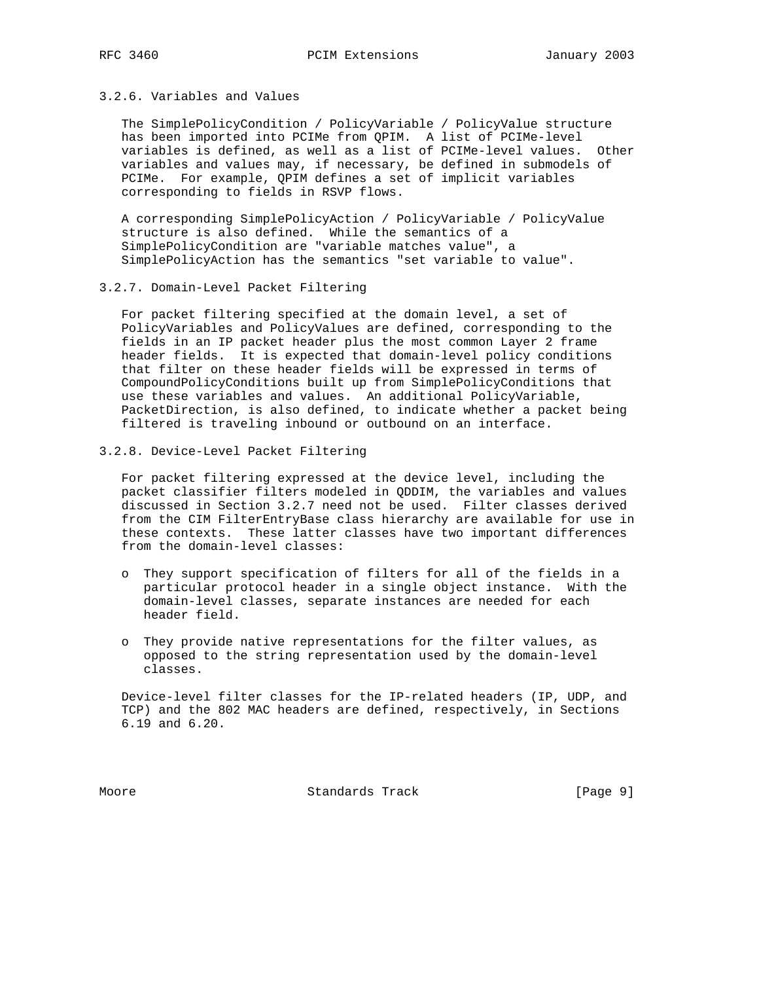#### 3.2.6. Variables and Values

 The SimplePolicyCondition / PolicyVariable / PolicyValue structure has been imported into PCIMe from QPIM. A list of PCIMe-level variables is defined, as well as a list of PCIMe-level values. Other variables and values may, if necessary, be defined in submodels of PCIMe. For example, QPIM defines a set of implicit variables corresponding to fields in RSVP flows.

 A corresponding SimplePolicyAction / PolicyVariable / PolicyValue structure is also defined. While the semantics of a SimplePolicyCondition are "variable matches value", a SimplePolicyAction has the semantics "set variable to value".

3.2.7. Domain-Level Packet Filtering

 For packet filtering specified at the domain level, a set of PolicyVariables and PolicyValues are defined, corresponding to the fields in an IP packet header plus the most common Layer 2 frame header fields. It is expected that domain-level policy conditions that filter on these header fields will be expressed in terms of CompoundPolicyConditions built up from SimplePolicyConditions that use these variables and values. An additional PolicyVariable, PacketDirection, is also defined, to indicate whether a packet being filtered is traveling inbound or outbound on an interface.

3.2.8. Device-Level Packet Filtering

 For packet filtering expressed at the device level, including the packet classifier filters modeled in QDDIM, the variables and values discussed in Section 3.2.7 need not be used. Filter classes derived from the CIM FilterEntryBase class hierarchy are available for use in these contexts. These latter classes have two important differences from the domain-level classes:

- o They support specification of filters for all of the fields in a particular protocol header in a single object instance. With the domain-level classes, separate instances are needed for each header field.
- o They provide native representations for the filter values, as opposed to the string representation used by the domain-level classes.

 Device-level filter classes for the IP-related headers (IP, UDP, and TCP) and the 802 MAC headers are defined, respectively, in Sections 6.19 and 6.20.

Moore **Standards Track** [Page 9]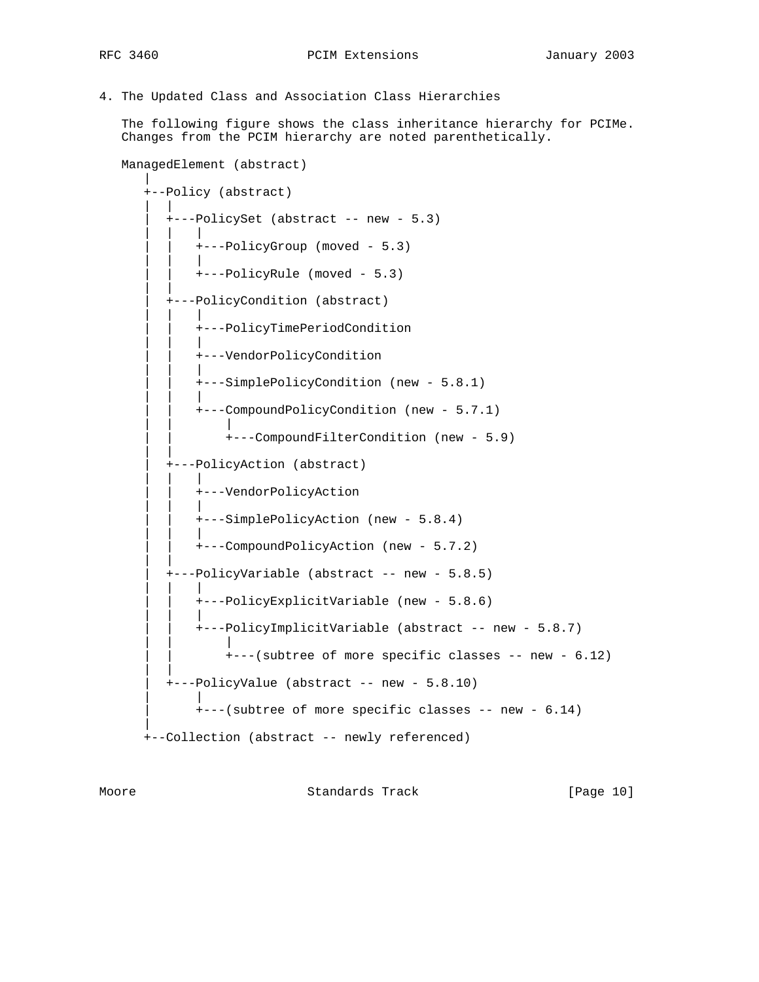4. The Updated Class and Association Class Hierarchies

 The following figure shows the class inheritance hierarchy for PCIMe. Changes from the PCIM hierarchy are noted parenthetically.

```
 ManagedElement (abstract)
 |
      +--Policy (abstract)
| | | | |
         | +---PolicySet (abstract -- new - 5.3)
 | | |
            | | +---PolicyGroup (moved - 5.3)
 | | |
             | | +---PolicyRule (moved - 5.3)
| | | | |
         | +---PolicyCondition (abstract)
 | | |
             | | +---PolicyTimePeriodCondition
 | | |
            | | +---VendorPolicyCondition
 | | |
             | | +---SimplePolicyCondition (new - 5.8.1)
 | | |
             | | +---CompoundPolicyCondition (new - 5.7.1)
 | | |
                 | | +---CompoundFilterCondition (new - 5.9)
| | | | |
         | +---PolicyAction (abstract)
 | | |
             | | +---VendorPolicyAction
 | | |
             | | +---SimplePolicyAction (new - 5.8.4)
 | | |
             | | +---CompoundPolicyAction (new - 5.7.2)
| | | | |
         | +---PolicyVariable (abstract -- new - 5.8.5)
 | | |
             | | +---PolicyExplicitVariable (new - 5.8.6)
 | | |
             | | +---PolicyImplicitVariable (abstract -- new - 5.8.7)
 | | |
                +--(subtree of more specific classes -- new - 6.12)| | | | |
         | +---PolicyValue (abstract -- new - 5.8.10)
 | |
             | +---(subtree of more specific classes -- new - 6.14)
 |
      +--Collection (abstract -- newly referenced)
```
Moore Standards Track [Page 10]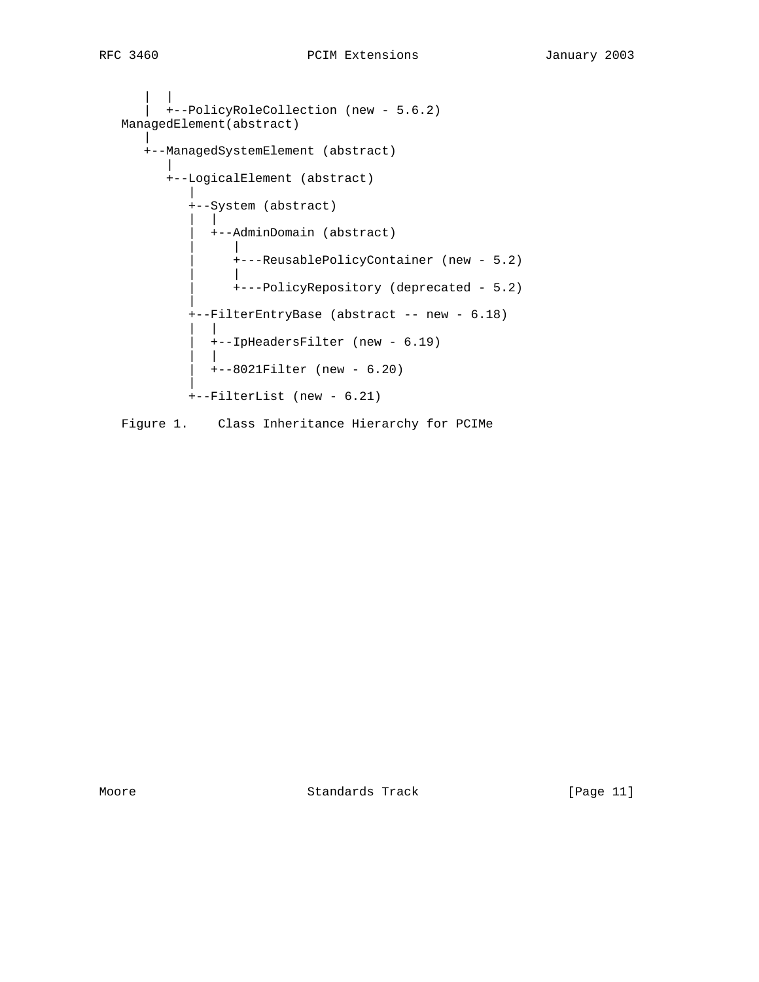```
| | | | |
      | +--PolicyRoleCollection (new - 5.6.2)
   ManagedElement(abstract)
 |
     +--ManagedSystemElement (abstract)
 |
        +--LogicalElement (abstract)
 |
           +--System (abstract)
 | |
             | +--AdminDomain (abstract)
 | |
                | +---ReusablePolicyContainer (new - 5.2)
 | |
               | +---PolicyRepository (deprecated - 5.2)
 |
           +--FilterEntryBase (abstract -- new - 6.18)
 | |
             | +--IpHeadersFilter (new - 6.19)
 | |
            | +--8021Filter (new - 6.20)
 |
           +--FilterList (new - 6.21)
   Figure 1. Class Inheritance Hierarchy for PCIMe
```
Moore Standards Track [Page 11]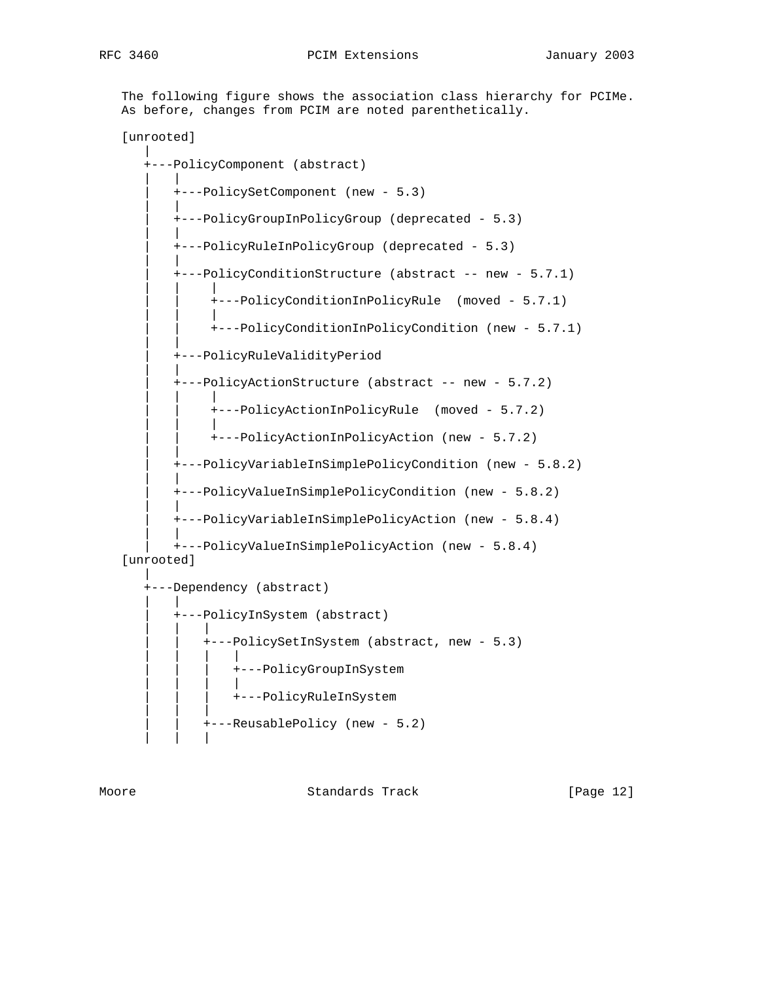The following figure shows the association class hierarchy for PCIMe. As before, changes from PCIM are noted parenthetically.

[unrooted]



Moore **Standards Track** [Page 12]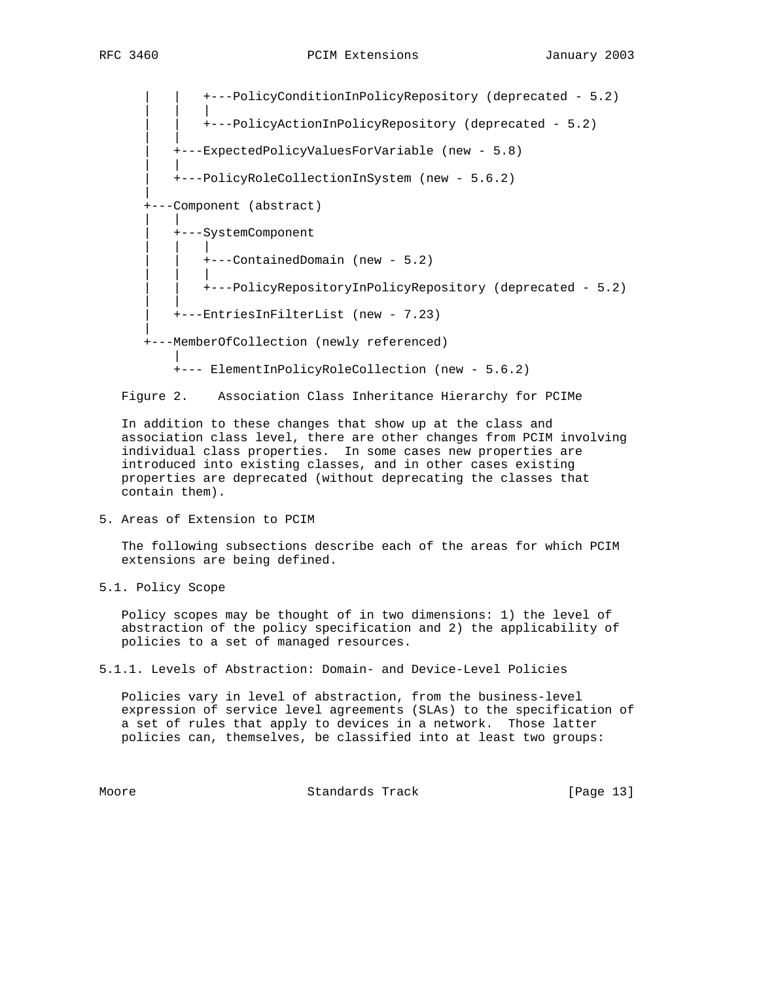| | +---PolicyConditionInPolicyRepository (deprecated - 5.2) | | | | | +---PolicyActionInPolicyRepository (deprecated - 5.2) | | | +---ExpectedPolicyValuesForVariable (new - 5.8) | | | +---PolicyRoleCollectionInSystem (new - 5.6.2) | +---Component (abstract) | | | +---SystemComponent | | | | | | | | +---ContainedDomain (new - 5.2) | | | | | +---PolicyRepositoryInPolicyRepository (deprecated - 5.2) | | | +---EntriesInFilterList (new - 7.23) | +---MemberOfCollection (newly referenced) | +--- ElementInPolicyRoleCollection (new - 5.6.2)

Figure 2. Association Class Inheritance Hierarchy for PCIMe

 In addition to these changes that show up at the class and association class level, there are other changes from PCIM involving individual class properties. In some cases new properties are introduced into existing classes, and in other cases existing properties are deprecated (without deprecating the classes that contain them).

5. Areas of Extension to PCIM

 The following subsections describe each of the areas for which PCIM extensions are being defined.

5.1. Policy Scope

 Policy scopes may be thought of in two dimensions: 1) the level of abstraction of the policy specification and 2) the applicability of policies to a set of managed resources.

5.1.1. Levels of Abstraction: Domain- and Device-Level Policies

 Policies vary in level of abstraction, from the business-level expression of service level agreements (SLAs) to the specification of a set of rules that apply to devices in a network. Those latter policies can, themselves, be classified into at least two groups:

Moore **Standards Track** [Page 13]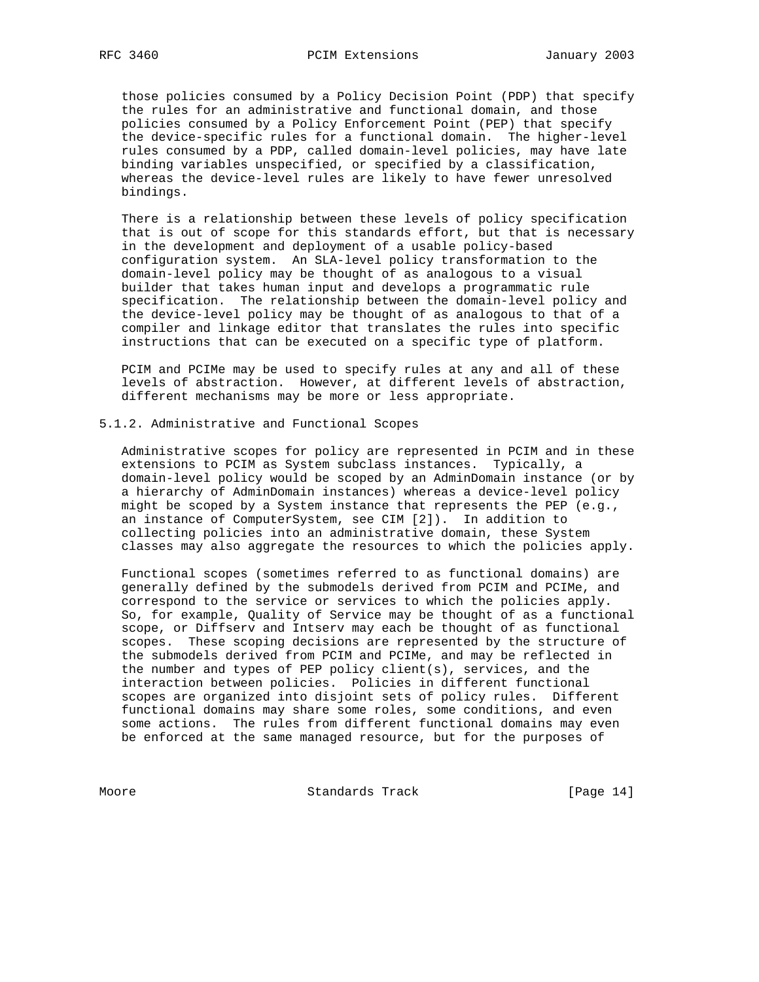those policies consumed by a Policy Decision Point (PDP) that specify the rules for an administrative and functional domain, and those policies consumed by a Policy Enforcement Point (PEP) that specify the device-specific rules for a functional domain. The higher-level rules consumed by a PDP, called domain-level policies, may have late binding variables unspecified, or specified by a classification, whereas the device-level rules are likely to have fewer unresolved bindings.

 There is a relationship between these levels of policy specification that is out of scope for this standards effort, but that is necessary in the development and deployment of a usable policy-based configuration system. An SLA-level policy transformation to the domain-level policy may be thought of as analogous to a visual builder that takes human input and develops a programmatic rule specification. The relationship between the domain-level policy and the device-level policy may be thought of as analogous to that of a compiler and linkage editor that translates the rules into specific instructions that can be executed on a specific type of platform.

 PCIM and PCIMe may be used to specify rules at any and all of these levels of abstraction. However, at different levels of abstraction, different mechanisms may be more or less appropriate.

#### 5.1.2. Administrative and Functional Scopes

 Administrative scopes for policy are represented in PCIM and in these extensions to PCIM as System subclass instances. Typically, a domain-level policy would be scoped by an AdminDomain instance (or by a hierarchy of AdminDomain instances) whereas a device-level policy might be scoped by a System instance that represents the PEP (e.g., an instance of ComputerSystem, see CIM [2]). In addition to collecting policies into an administrative domain, these System classes may also aggregate the resources to which the policies apply.

 Functional scopes (sometimes referred to as functional domains) are generally defined by the submodels derived from PCIM and PCIMe, and correspond to the service or services to which the policies apply. So, for example, Quality of Service may be thought of as a functional scope, or Diffserv and Intserv may each be thought of as functional scopes. These scoping decisions are represented by the structure of the submodels derived from PCIM and PCIMe, and may be reflected in the number and types of PEP policy client(s), services, and the interaction between policies. Policies in different functional scopes are organized into disjoint sets of policy rules. Different functional domains may share some roles, some conditions, and even some actions. The rules from different functional domains may even be enforced at the same managed resource, but for the purposes of

Moore Standards Track [Page 14]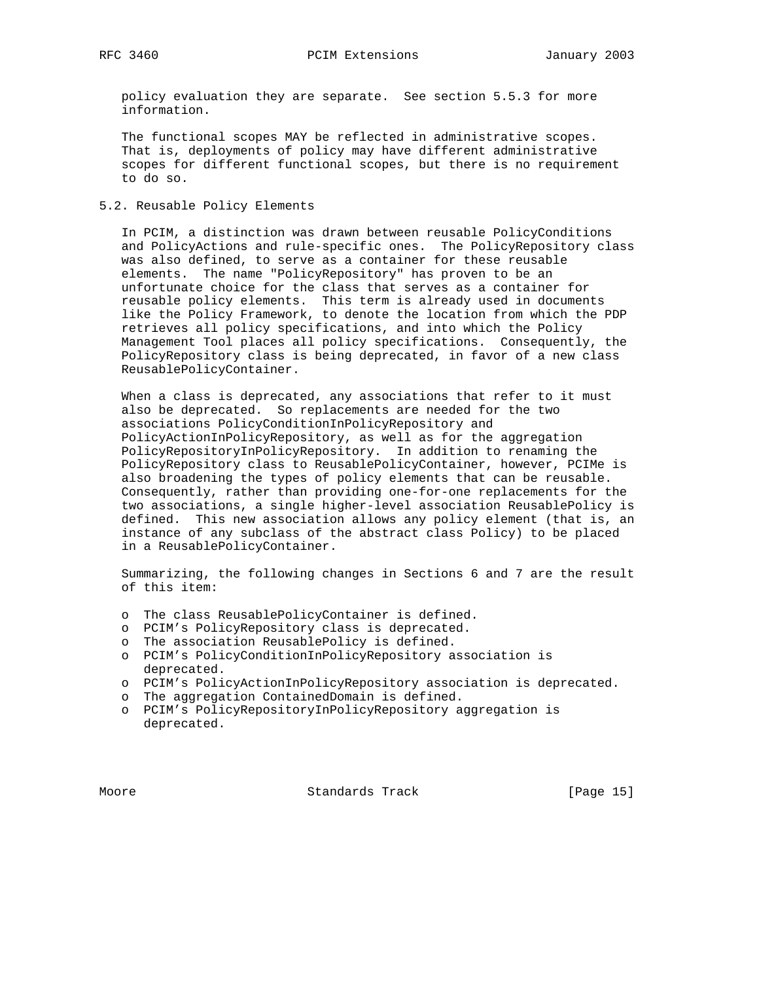policy evaluation they are separate. See section 5.5.3 for more information.

 The functional scopes MAY be reflected in administrative scopes. That is, deployments of policy may have different administrative scopes for different functional scopes, but there is no requirement to do so.

5.2. Reusable Policy Elements

 In PCIM, a distinction was drawn between reusable PolicyConditions and PolicyActions and rule-specific ones. The PolicyRepository class was also defined, to serve as a container for these reusable elements. The name "PolicyRepository" has proven to be an unfortunate choice for the class that serves as a container for reusable policy elements. This term is already used in documents like the Policy Framework, to denote the location from which the PDP retrieves all policy specifications, and into which the Policy Management Tool places all policy specifications. Consequently, the PolicyRepository class is being deprecated, in favor of a new class ReusablePolicyContainer.

 When a class is deprecated, any associations that refer to it must also be deprecated. So replacements are needed for the two associations PolicyConditionInPolicyRepository and PolicyActionInPolicyRepository, as well as for the aggregation PolicyRepositoryInPolicyRepository. In addition to renaming the PolicyRepository class to ReusablePolicyContainer, however, PCIMe is also broadening the types of policy elements that can be reusable. Consequently, rather than providing one-for-one replacements for the two associations, a single higher-level association ReusablePolicy is defined. This new association allows any policy element (that is, an instance of any subclass of the abstract class Policy) to be placed in a ReusablePolicyContainer.

 Summarizing, the following changes in Sections 6 and 7 are the result of this item:

- o The class ReusablePolicyContainer is defined.
- o PCIM's PolicyRepository class is deprecated.
- o The association ReusablePolicy is defined.
- o PCIM's PolicyConditionInPolicyRepository association is deprecated.
- o PCIM's PolicyActionInPolicyRepository association is deprecated.
- o The aggregation ContainedDomain is defined.
- o PCIM's PolicyRepositoryInPolicyRepository aggregation is deprecated.

Moore Standards Track [Page 15]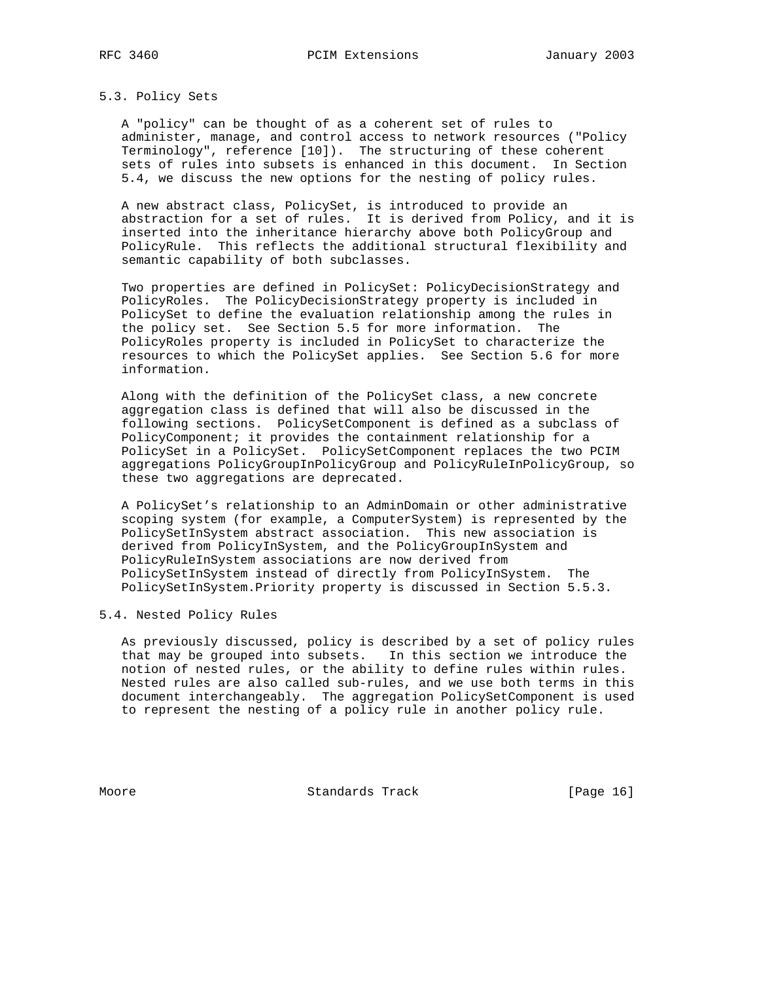#### 5.3. Policy Sets

 A "policy" can be thought of as a coherent set of rules to administer, manage, and control access to network resources ("Policy Terminology", reference [10]). The structuring of these coherent sets of rules into subsets is enhanced in this document. In Section 5.4, we discuss the new options for the nesting of policy rules.

 A new abstract class, PolicySet, is introduced to provide an abstraction for a set of rules. It is derived from Policy, and it is inserted into the inheritance hierarchy above both PolicyGroup and PolicyRule. This reflects the additional structural flexibility and semantic capability of both subclasses.

 Two properties are defined in PolicySet: PolicyDecisionStrategy and PolicyRoles. The PolicyDecisionStrategy property is included in PolicySet to define the evaluation relationship among the rules in the policy set. See Section 5.5 for more information. The PolicyRoles property is included in PolicySet to characterize the resources to which the PolicySet applies. See Section 5.6 for more information.

 Along with the definition of the PolicySet class, a new concrete aggregation class is defined that will also be discussed in the following sections. PolicySetComponent is defined as a subclass of PolicyComponent; it provides the containment relationship for a PolicySet in a PolicySet. PolicySetComponent replaces the two PCIM aggregations PolicyGroupInPolicyGroup and PolicyRuleInPolicyGroup, so these two aggregations are deprecated.

 A PolicySet's relationship to an AdminDomain or other administrative scoping system (for example, a ComputerSystem) is represented by the PolicySetInSystem abstract association. This new association is derived from PolicyInSystem, and the PolicyGroupInSystem and PolicyRuleInSystem associations are now derived from PolicySetInSystem instead of directly from PolicyInSystem. The PolicySetInSystem.Priority property is discussed in Section 5.5.3.

#### 5.4. Nested Policy Rules

 As previously discussed, policy is described by a set of policy rules that may be grouped into subsets. In this section we introduce the notion of nested rules, or the ability to define rules within rules. Nested rules are also called sub-rules, and we use both terms in this document interchangeably. The aggregation PolicySetComponent is used to represent the nesting of a policy rule in another policy rule.

Moore Standards Track [Page 16]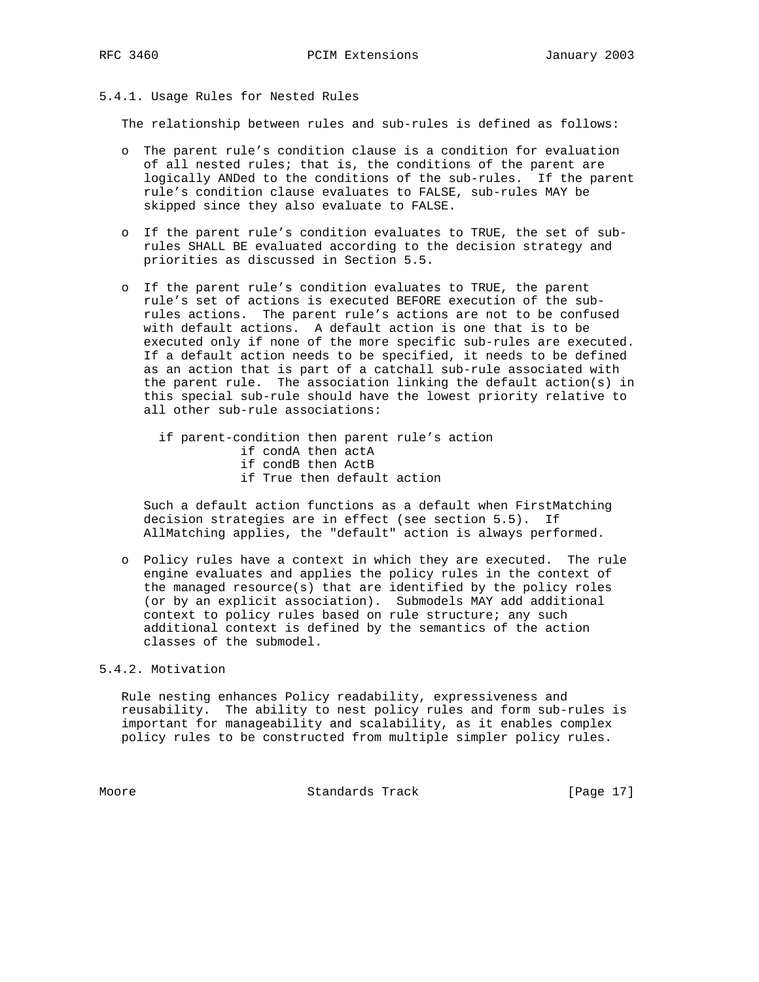## 5.4.1. Usage Rules for Nested Rules

The relationship between rules and sub-rules is defined as follows:

- o The parent rule's condition clause is a condition for evaluation of all nested rules; that is, the conditions of the parent are logically ANDed to the conditions of the sub-rules. If the parent rule's condition clause evaluates to FALSE, sub-rules MAY be skipped since they also evaluate to FALSE.
- o If the parent rule's condition evaluates to TRUE, the set of sub rules SHALL BE evaluated according to the decision strategy and priorities as discussed in Section 5.5.
- o If the parent rule's condition evaluates to TRUE, the parent rule's set of actions is executed BEFORE execution of the sub rules actions. The parent rule's actions are not to be confused with default actions. A default action is one that is to be executed only if none of the more specific sub-rules are executed. If a default action needs to be specified, it needs to be defined as an action that is part of a catchall sub-rule associated with the parent rule. The association linking the default action(s) in this special sub-rule should have the lowest priority relative to all other sub-rule associations:

 if parent-condition then parent rule's action if condA then actA if condB then ActB if True then default action

 Such a default action functions as a default when FirstMatching decision strategies are in effect (see section 5.5). If AllMatching applies, the "default" action is always performed.

 o Policy rules have a context in which they are executed. The rule engine evaluates and applies the policy rules in the context of the managed resource(s) that are identified by the policy roles (or by an explicit association). Submodels MAY add additional context to policy rules based on rule structure; any such additional context is defined by the semantics of the action classes of the submodel.

## 5.4.2. Motivation

 Rule nesting enhances Policy readability, expressiveness and reusability. The ability to nest policy rules and form sub-rules is important for manageability and scalability, as it enables complex policy rules to be constructed from multiple simpler policy rules.

Moore Standards Track [Page 17]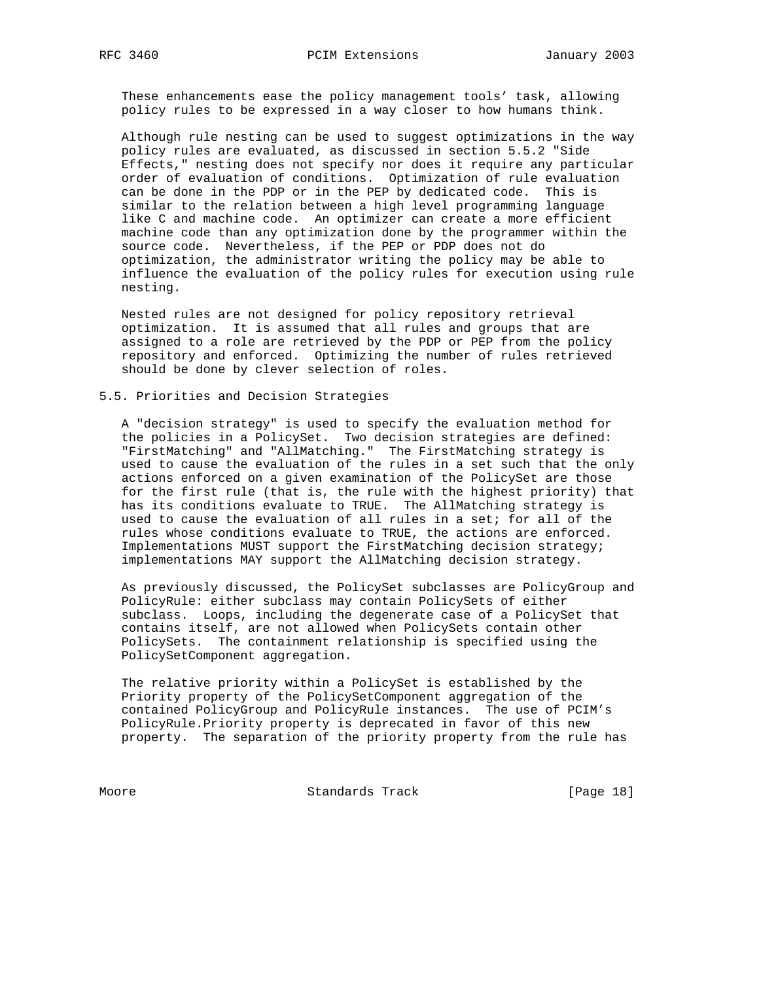These enhancements ease the policy management tools' task, allowing policy rules to be expressed in a way closer to how humans think.

 Although rule nesting can be used to suggest optimizations in the way policy rules are evaluated, as discussed in section 5.5.2 "Side Effects," nesting does not specify nor does it require any particular order of evaluation of conditions. Optimization of rule evaluation can be done in the PDP or in the PEP by dedicated code. This is similar to the relation between a high level programming language like C and machine code. An optimizer can create a more efficient machine code than any optimization done by the programmer within the source code. Nevertheless, if the PEP or PDP does not do optimization, the administrator writing the policy may be able to influence the evaluation of the policy rules for execution using rule nesting.

 Nested rules are not designed for policy repository retrieval optimization. It is assumed that all rules and groups that are assigned to a role are retrieved by the PDP or PEP from the policy repository and enforced. Optimizing the number of rules retrieved should be done by clever selection of roles.

#### 5.5. Priorities and Decision Strategies

 A "decision strategy" is used to specify the evaluation method for the policies in a PolicySet. Two decision strategies are defined: "FirstMatching" and "AllMatching." The FirstMatching strategy is used to cause the evaluation of the rules in a set such that the only actions enforced on a given examination of the PolicySet are those for the first rule (that is, the rule with the highest priority) that has its conditions evaluate to TRUE. The AllMatching strategy is used to cause the evaluation of all rules in a set; for all of the rules whose conditions evaluate to TRUE, the actions are enforced. Implementations MUST support the FirstMatching decision strategy; implementations MAY support the AllMatching decision strategy.

 As previously discussed, the PolicySet subclasses are PolicyGroup and PolicyRule: either subclass may contain PolicySets of either subclass. Loops, including the degenerate case of a PolicySet that contains itself, are not allowed when PolicySets contain other PolicySets. The containment relationship is specified using the PolicySetComponent aggregation.

 The relative priority within a PolicySet is established by the Priority property of the PolicySetComponent aggregation of the contained PolicyGroup and PolicyRule instances. The use of PCIM's PolicyRule.Priority property is deprecated in favor of this new property. The separation of the priority property from the rule has

Moore Standards Track [Page 18]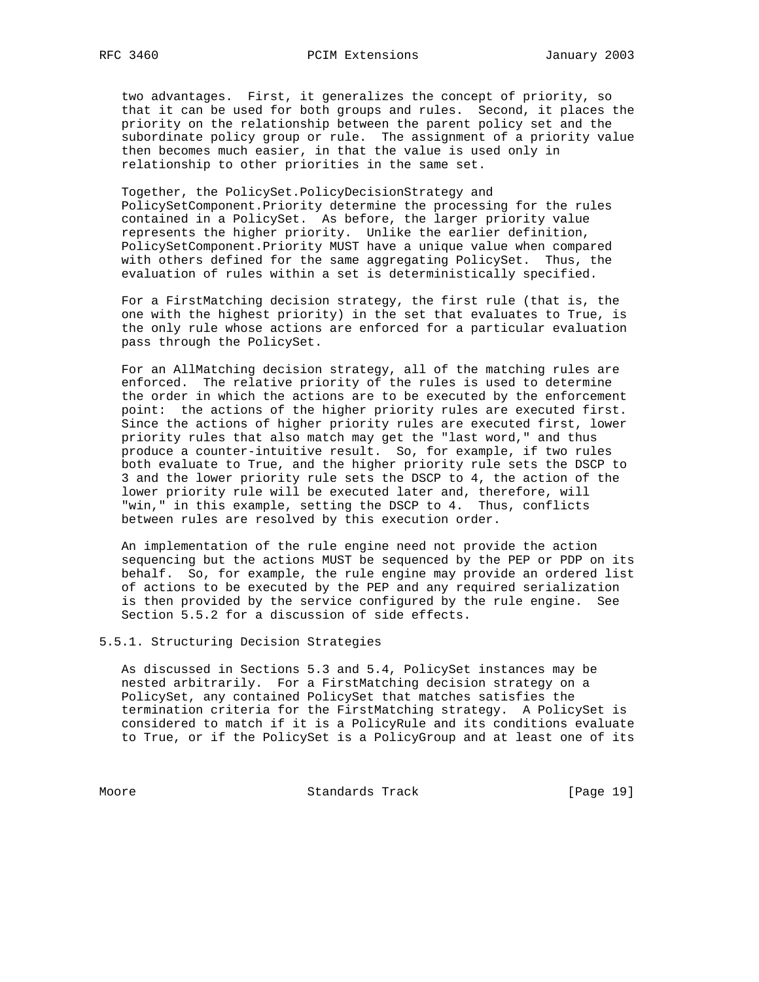two advantages. First, it generalizes the concept of priority, so that it can be used for both groups and rules. Second, it places the priority on the relationship between the parent policy set and the subordinate policy group or rule. The assignment of a priority value then becomes much easier, in that the value is used only in relationship to other priorities in the same set.

 Together, the PolicySet.PolicyDecisionStrategy and PolicySetComponent.Priority determine the processing for the rules contained in a PolicySet. As before, the larger priority value represents the higher priority. Unlike the earlier definition, PolicySetComponent.Priority MUST have a unique value when compared with others defined for the same aggregating PolicySet. Thus, the evaluation of rules within a set is deterministically specified.

 For a FirstMatching decision strategy, the first rule (that is, the one with the highest priority) in the set that evaluates to True, is the only rule whose actions are enforced for a particular evaluation pass through the PolicySet.

 For an AllMatching decision strategy, all of the matching rules are enforced. The relative priority of the rules is used to determine the order in which the actions are to be executed by the enforcement point: the actions of the higher priority rules are executed first. Since the actions of higher priority rules are executed first, lower priority rules that also match may get the "last word," and thus produce a counter-intuitive result. So, for example, if two rules both evaluate to True, and the higher priority rule sets the DSCP to 3 and the lower priority rule sets the DSCP to 4, the action of the lower priority rule will be executed later and, therefore, will "win," in this example, setting the DSCP to 4. Thus, conflicts between rules are resolved by this execution order.

 An implementation of the rule engine need not provide the action sequencing but the actions MUST be sequenced by the PEP or PDP on its behalf. So, for example, the rule engine may provide an ordered list of actions to be executed by the PEP and any required serialization is then provided by the service configured by the rule engine. See Section 5.5.2 for a discussion of side effects.

5.5.1. Structuring Decision Strategies

 As discussed in Sections 5.3 and 5.4, PolicySet instances may be nested arbitrarily. For a FirstMatching decision strategy on a PolicySet, any contained PolicySet that matches satisfies the termination criteria for the FirstMatching strategy. A PolicySet is considered to match if it is a PolicyRule and its conditions evaluate to True, or if the PolicySet is a PolicyGroup and at least one of its

Moore Standards Track [Page 19]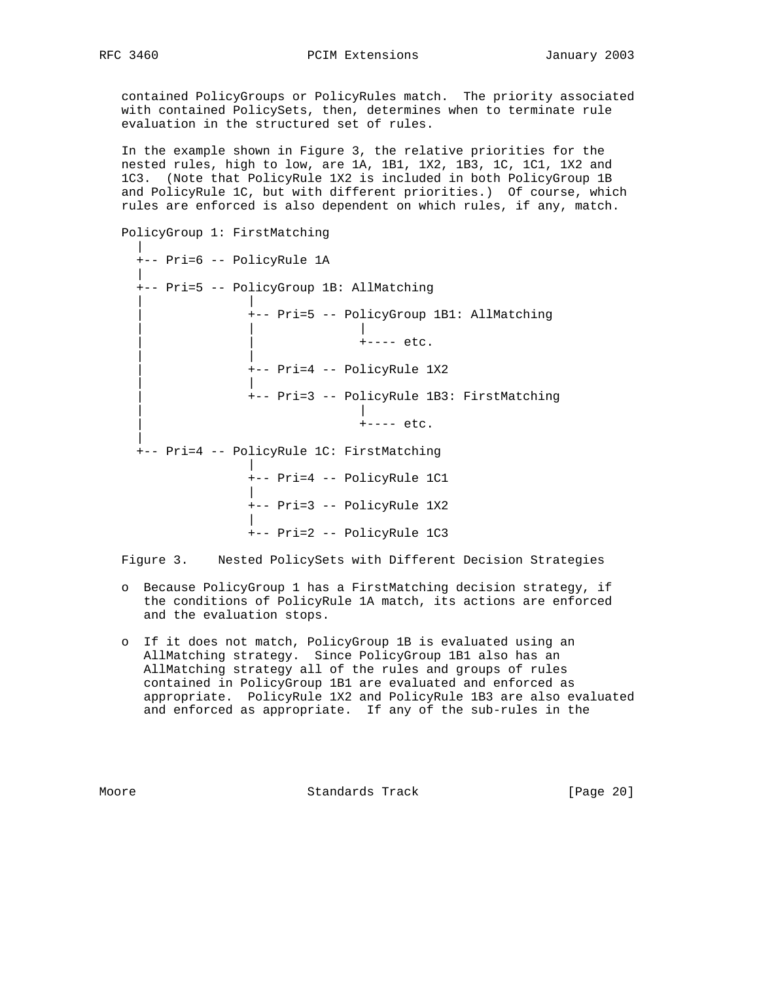contained PolicyGroups or PolicyRules match. The priority associated with contained PolicySets, then, determines when to terminate rule evaluation in the structured set of rules.

 In the example shown in Figure 3, the relative priorities for the nested rules, high to low, are 1A, 1B1, 1X2, 1B3, 1C, 1C1, 1X2 and 1C3. (Note that PolicyRule 1X2 is included in both PolicyGroup 1B and PolicyRule 1C, but with different priorities.) Of course, which rules are enforced is also dependent on which rules, if any, match.

```
 PolicyGroup 1: FirstMatching
 |
    +-- Pri=6 -- PolicyRule 1A
 |
    +-- Pri=5 -- PolicyGroup 1B: AllMatching
 | |
               | +-- Pri=5 -- PolicyGroup 1B1: AllMatching
 | | |
                         |<br>|+---- etc.
 | |
               | +-- Pri=4 -- PolicyRule 1X2
 | |
               | +-- Pri=3 -- PolicyRule 1B3: FirstMatching
 | |
                         +--- etc. |
    +-- Pri=4 -- PolicyRule 1C: FirstMatching
 |
               +-- Pri=4 -- PolicyRule 1C1
 |
               +-- Pri=3 -- PolicyRule 1X2
 |
               +-- Pri=2 -- PolicyRule 1C3
```
Figure 3. Nested PolicySets with Different Decision Strategies

- o Because PolicyGroup 1 has a FirstMatching decision strategy, if the conditions of PolicyRule 1A match, its actions are enforced and the evaluation stops.
- o If it does not match, PolicyGroup 1B is evaluated using an AllMatching strategy. Since PolicyGroup 1B1 also has an AllMatching strategy all of the rules and groups of rules contained in PolicyGroup 1B1 are evaluated and enforced as appropriate. PolicyRule 1X2 and PolicyRule 1B3 are also evaluated and enforced as appropriate. If any of the sub-rules in the

Moore **Standards Track** [Page 20]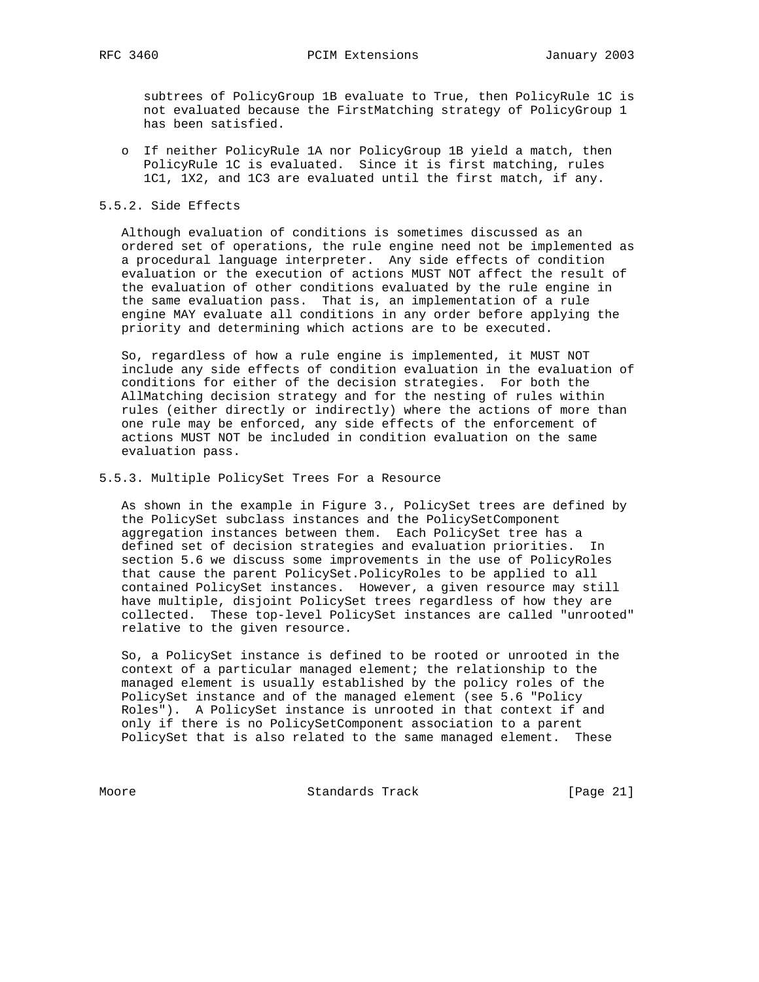subtrees of PolicyGroup 1B evaluate to True, then PolicyRule 1C is not evaluated because the FirstMatching strategy of PolicyGroup 1 has been satisfied.

 o If neither PolicyRule 1A nor PolicyGroup 1B yield a match, then PolicyRule 1C is evaluated. Since it is first matching, rules 1C1, 1X2, and 1C3 are evaluated until the first match, if any.

## 5.5.2. Side Effects

 Although evaluation of conditions is sometimes discussed as an ordered set of operations, the rule engine need not be implemented as a procedural language interpreter. Any side effects of condition evaluation or the execution of actions MUST NOT affect the result of the evaluation of other conditions evaluated by the rule engine in the same evaluation pass. That is, an implementation of a rule engine MAY evaluate all conditions in any order before applying the priority and determining which actions are to be executed.

 So, regardless of how a rule engine is implemented, it MUST NOT include any side effects of condition evaluation in the evaluation of conditions for either of the decision strategies. For both the AllMatching decision strategy and for the nesting of rules within rules (either directly or indirectly) where the actions of more than one rule may be enforced, any side effects of the enforcement of actions MUST NOT be included in condition evaluation on the same evaluation pass.

5.5.3. Multiple PolicySet Trees For a Resource

 As shown in the example in Figure 3., PolicySet trees are defined by the PolicySet subclass instances and the PolicySetComponent aggregation instances between them. Each PolicySet tree has a defined set of decision strategies and evaluation priorities. In section 5.6 we discuss some improvements in the use of PolicyRoles that cause the parent PolicySet.PolicyRoles to be applied to all contained PolicySet instances. However, a given resource may still have multiple, disjoint PolicySet trees regardless of how they are collected. These top-level PolicySet instances are called "unrooted" relative to the given resource.

 So, a PolicySet instance is defined to be rooted or unrooted in the context of a particular managed element; the relationship to the managed element is usually established by the policy roles of the PolicySet instance and of the managed element (see 5.6 "Policy Roles"). A PolicySet instance is unrooted in that context if and only if there is no PolicySetComponent association to a parent PolicySet that is also related to the same managed element. These

Moore Standards Track [Page 21]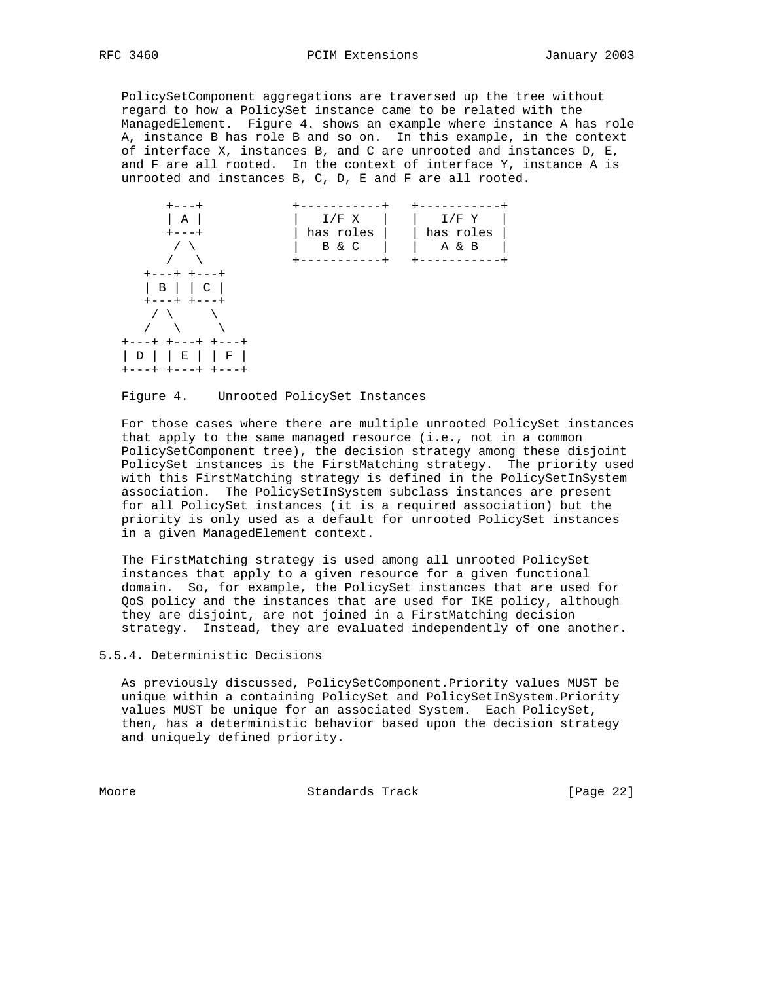PolicySetComponent aggregations are traversed up the tree without regard to how a PolicySet instance came to be related with the ManagedElement. Figure 4. shows an example where instance A has role A, instance B has role B and so on. In this example, in the context of interface X, instances B, and C are unrooted and instances D, E, and F are all rooted. In the context of interface Y, instance A is unrooted and instances B, C, D, E and F are all rooted.



Figure 4. Unrooted PolicySet Instances

 For those cases where there are multiple unrooted PolicySet instances that apply to the same managed resource (i.e., not in a common PolicySetComponent tree), the decision strategy among these disjoint PolicySet instances is the FirstMatching strategy. The priority used with this FirstMatching strategy is defined in the PolicySetInSystem association. The PolicySetInSystem subclass instances are present for all PolicySet instances (it is a required association) but the priority is only used as a default for unrooted PolicySet instances in a given ManagedElement context.

 The FirstMatching strategy is used among all unrooted PolicySet instances that apply to a given resource for a given functional domain. So, for example, the PolicySet instances that are used for QoS policy and the instances that are used for IKE policy, although they are disjoint, are not joined in a FirstMatching decision strategy. Instead, they are evaluated independently of one another.

5.5.4. Deterministic Decisions

 As previously discussed, PolicySetComponent.Priority values MUST be unique within a containing PolicySet and PolicySetInSystem.Priority values MUST be unique for an associated System. Each PolicySet, then, has a deterministic behavior based upon the decision strategy and uniquely defined priority.

Moore Standards Track [Page 22]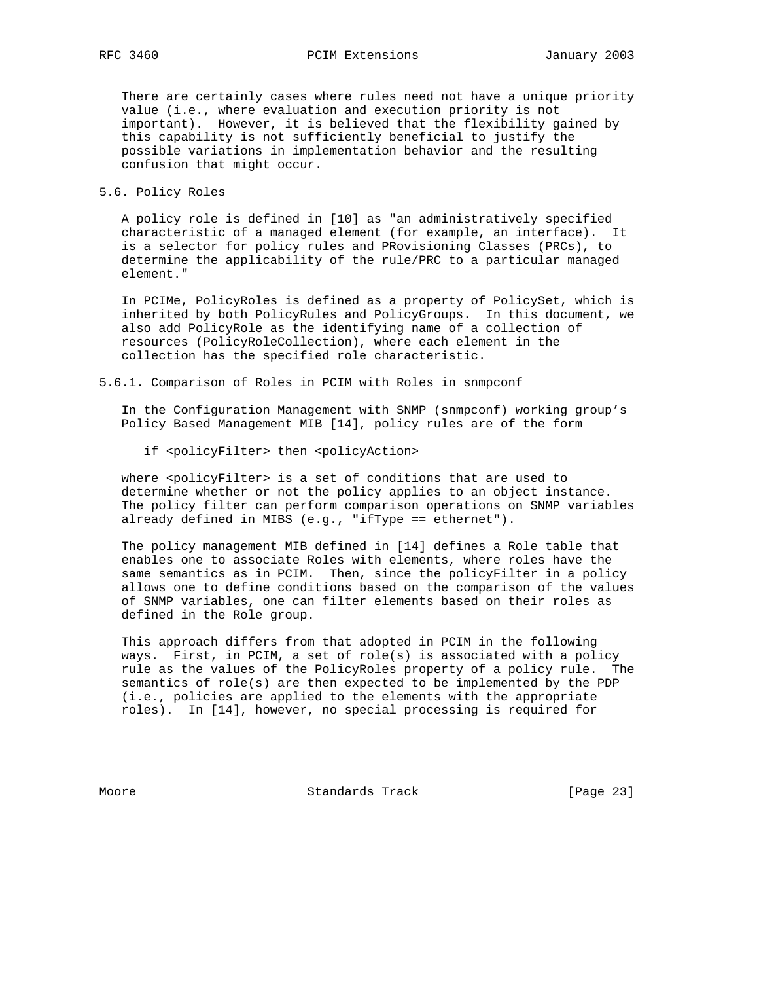There are certainly cases where rules need not have a unique priority value (i.e., where evaluation and execution priority is not important). However, it is believed that the flexibility gained by this capability is not sufficiently beneficial to justify the possible variations in implementation behavior and the resulting confusion that might occur.

5.6. Policy Roles

 A policy role is defined in [10] as "an administratively specified characteristic of a managed element (for example, an interface). It is a selector for policy rules and PRovisioning Classes (PRCs), to determine the applicability of the rule/PRC to a particular managed element."

 In PCIMe, PolicyRoles is defined as a property of PolicySet, which is inherited by both PolicyRules and PolicyGroups. In this document, we also add PolicyRole as the identifying name of a collection of resources (PolicyRoleCollection), where each element in the collection has the specified role characteristic.

5.6.1. Comparison of Roles in PCIM with Roles in snmpconf

 In the Configuration Management with SNMP (snmpconf) working group's Policy Based Management MIB [14], policy rules are of the form

if <policyFilter> then <policyAction>

where <policyFilter> is a set of conditions that are used to determine whether or not the policy applies to an object instance. The policy filter can perform comparison operations on SNMP variables already defined in MIBS (e.g., "ifType == ethernet").

 The policy management MIB defined in [14] defines a Role table that enables one to associate Roles with elements, where roles have the same semantics as in PCIM. Then, since the policyFilter in a policy allows one to define conditions based on the comparison of the values of SNMP variables, one can filter elements based on their roles as defined in the Role group.

 This approach differs from that adopted in PCIM in the following ways. First, in PCIM, a set of role(s) is associated with a policy rule as the values of the PolicyRoles property of a policy rule. The semantics of role(s) are then expected to be implemented by the PDP (i.e., policies are applied to the elements with the appropriate roles). In [14], however, no special processing is required for

Moore Standards Track [Page 23]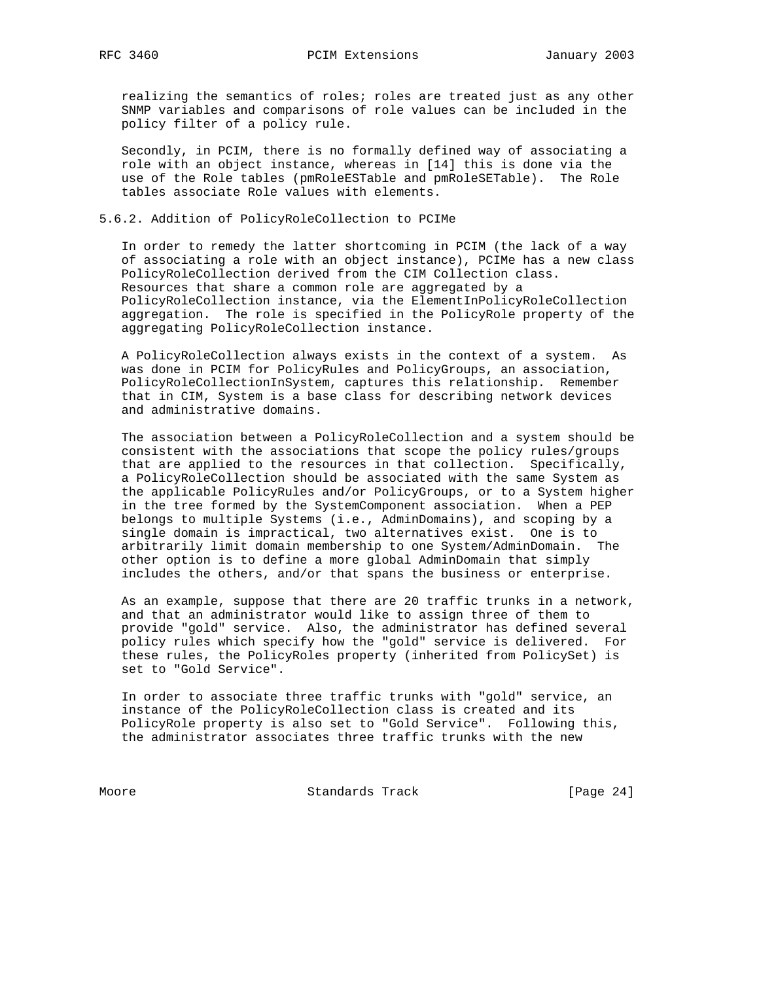realizing the semantics of roles; roles are treated just as any other SNMP variables and comparisons of role values can be included in the policy filter of a policy rule.

 Secondly, in PCIM, there is no formally defined way of associating a role with an object instance, whereas in [14] this is done via the use of the Role tables (pmRoleESTable and pmRoleSETable). The Role tables associate Role values with elements.

## 5.6.2. Addition of PolicyRoleCollection to PCIMe

 In order to remedy the latter shortcoming in PCIM (the lack of a way of associating a role with an object instance), PCIMe has a new class PolicyRoleCollection derived from the CIM Collection class. Resources that share a common role are aggregated by a PolicyRoleCollection instance, via the ElementInPolicyRoleCollection aggregation. The role is specified in the PolicyRole property of the aggregating PolicyRoleCollection instance.

 A PolicyRoleCollection always exists in the context of a system. As was done in PCIM for PolicyRules and PolicyGroups, an association, PolicyRoleCollectionInSystem, captures this relationship. Remember that in CIM, System is a base class for describing network devices and administrative domains.

 The association between a PolicyRoleCollection and a system should be consistent with the associations that scope the policy rules/groups that are applied to the resources in that collection. Specifically, a PolicyRoleCollection should be associated with the same System as the applicable PolicyRules and/or PolicyGroups, or to a System higher in the tree formed by the SystemComponent association. When a PEP belongs to multiple Systems (i.e., AdminDomains), and scoping by a single domain is impractical, two alternatives exist. One is to arbitrarily limit domain membership to one System/AdminDomain. The other option is to define a more global AdminDomain that simply includes the others, and/or that spans the business or enterprise.

 As an example, suppose that there are 20 traffic trunks in a network, and that an administrator would like to assign three of them to provide "gold" service. Also, the administrator has defined several policy rules which specify how the "gold" service is delivered. For these rules, the PolicyRoles property (inherited from PolicySet) is set to "Gold Service".

 In order to associate three traffic trunks with "gold" service, an instance of the PolicyRoleCollection class is created and its PolicyRole property is also set to "Gold Service". Following this, the administrator associates three traffic trunks with the new

Moore Standards Track [Page 24]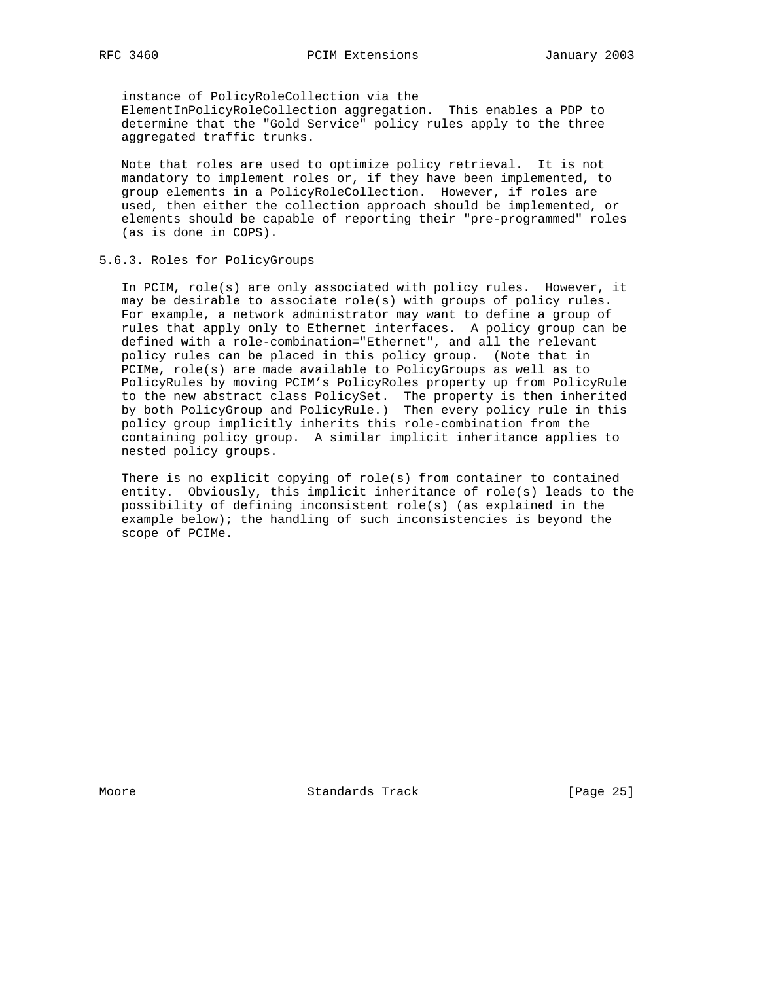instance of PolicyRoleCollection via the ElementInPolicyRoleCollection aggregation. This enables a PDP to determine that the "Gold Service" policy rules apply to the three aggregated traffic trunks.

 Note that roles are used to optimize policy retrieval. It is not mandatory to implement roles or, if they have been implemented, to group elements in a PolicyRoleCollection. However, if roles are used, then either the collection approach should be implemented, or elements should be capable of reporting their "pre-programmed" roles (as is done in COPS).

## 5.6.3. Roles for PolicyGroups

 In PCIM, role(s) are only associated with policy rules. However, it may be desirable to associate role(s) with groups of policy rules. For example, a network administrator may want to define a group of rules that apply only to Ethernet interfaces. A policy group can be defined with a role-combination="Ethernet", and all the relevant policy rules can be placed in this policy group. (Note that in PCIMe, role(s) are made available to PolicyGroups as well as to PolicyRules by moving PCIM's PolicyRoles property up from PolicyRule to the new abstract class PolicySet. The property is then inherited by both PolicyGroup and PolicyRule.) Then every policy rule in this policy group implicitly inherits this role-combination from the containing policy group. A similar implicit inheritance applies to nested policy groups.

 There is no explicit copying of role(s) from container to contained entity. Obviously, this implicit inheritance of role(s) leads to the possibility of defining inconsistent role(s) (as explained in the example below); the handling of such inconsistencies is beyond the scope of PCIMe.

Moore Standards Track [Page 25]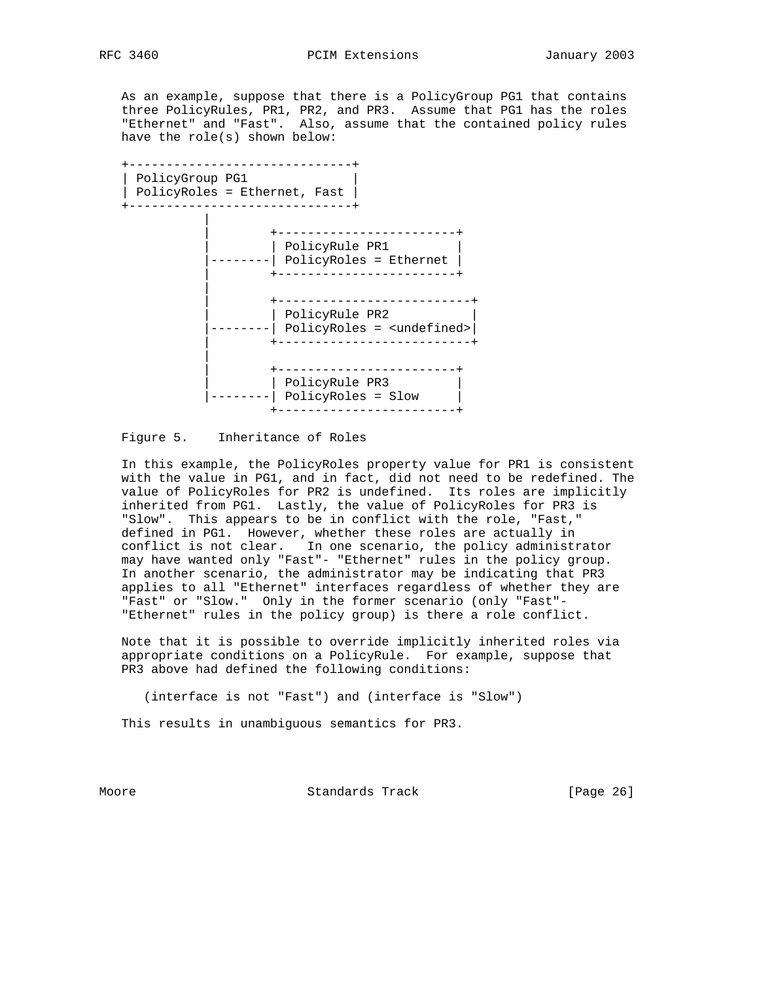As an example, suppose that there is a PolicyGroup PG1 that contains three PolicyRules, PR1, PR2, and PR3. Assume that PG1 has the roles "Ethernet" and "Fast". Also, assume that the contained policy rules have the role(s) shown below:

 +------------------------------+ | PolicyGroup PG1 | | PolicyRoles = Ethernet, Fast | +------------------------------+ | | +------------------------+ | PolicyRule PR1  $-----|$  PolicyRoles = Ethernet  $|$  | +------------------------+ | | +--------------------------+ | PolicyRule PR2 |--------| PolicyRoles = <undefined>| | +--------------------------+ | | +------------------------+ | PolicyRule PR3 | --------| PolicyRoles = Slow | +------------------------+

Figure 5. Inheritance of Roles

 In this example, the PolicyRoles property value for PR1 is consistent with the value in PG1, and in fact, did not need to be redefined. The value of PolicyRoles for PR2 is undefined. Its roles are implicitly inherited from PG1. Lastly, the value of PolicyRoles for PR3 is "Slow". This appears to be in conflict with the role, "Fast," defined in PG1. However, whether these roles are actually in conflict is not clear. In one scenario, the policy administrator may have wanted only "Fast"- "Ethernet" rules in the policy group. In another scenario, the administrator may be indicating that PR3 applies to all "Ethernet" interfaces regardless of whether they are "Fast" or "Slow." Only in the former scenario (only "Fast"- "Ethernet" rules in the policy group) is there a role conflict.

 Note that it is possible to override implicitly inherited roles via appropriate conditions on a PolicyRule. For example, suppose that PR3 above had defined the following conditions:

(interface is not "Fast") and (interface is "Slow")

This results in unambiguous semantics for PR3.

Moore Standards Track [Page 26]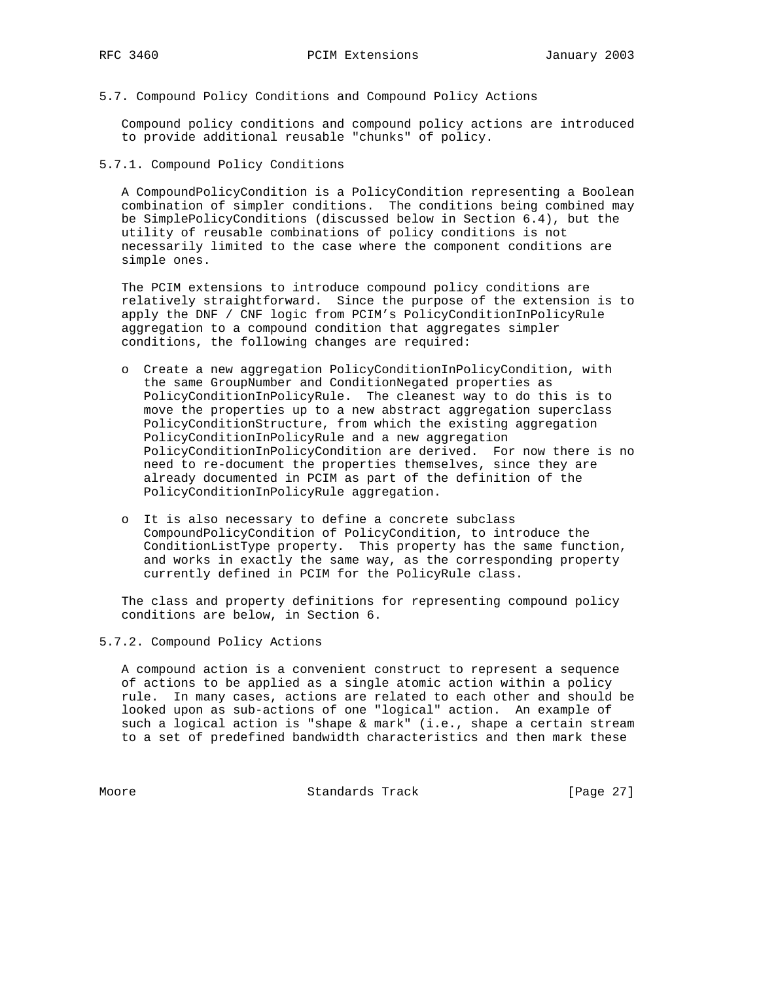5.7. Compound Policy Conditions and Compound Policy Actions

 Compound policy conditions and compound policy actions are introduced to provide additional reusable "chunks" of policy.

5.7.1. Compound Policy Conditions

 A CompoundPolicyCondition is a PolicyCondition representing a Boolean combination of simpler conditions. The conditions being combined may be SimplePolicyConditions (discussed below in Section 6.4), but the utility of reusable combinations of policy conditions is not necessarily limited to the case where the component conditions are simple ones.

 The PCIM extensions to introduce compound policy conditions are relatively straightforward. Since the purpose of the extension is to apply the DNF / CNF logic from PCIM's PolicyConditionInPolicyRule aggregation to a compound condition that aggregates simpler conditions, the following changes are required:

- o Create a new aggregation PolicyConditionInPolicyCondition, with the same GroupNumber and ConditionNegated properties as PolicyConditionInPolicyRule. The cleanest way to do this is to move the properties up to a new abstract aggregation superclass PolicyConditionStructure, from which the existing aggregation PolicyConditionInPolicyRule and a new aggregation PolicyConditionInPolicyCondition are derived. For now there is no need to re-document the properties themselves, since they are already documented in PCIM as part of the definition of the PolicyConditionInPolicyRule aggregation.
	- o It is also necessary to define a concrete subclass CompoundPolicyCondition of PolicyCondition, to introduce the ConditionListType property. This property has the same function, and works in exactly the same way, as the corresponding property currently defined in PCIM for the PolicyRule class.

 The class and property definitions for representing compound policy conditions are below, in Section 6.

5.7.2. Compound Policy Actions

 A compound action is a convenient construct to represent a sequence of actions to be applied as a single atomic action within a policy rule. In many cases, actions are related to each other and should be looked upon as sub-actions of one "logical" action. An example of such a logical action is "shape & mark" (i.e., shape a certain stream to a set of predefined bandwidth characteristics and then mark these

Moore Standards Track [Page 27]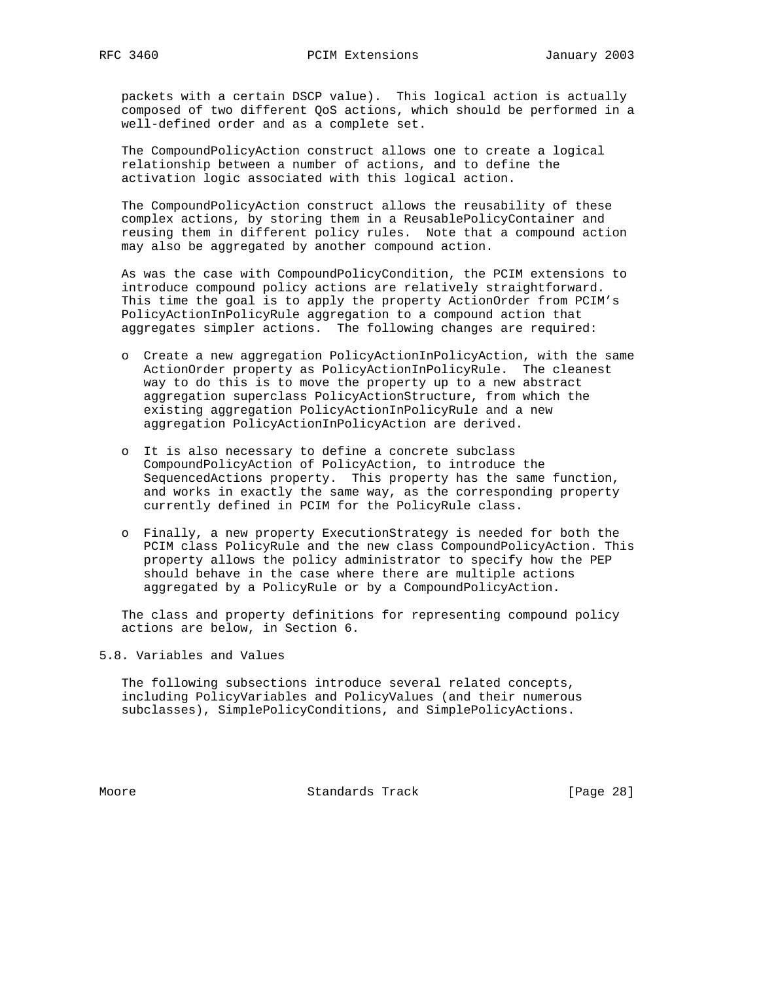packets with a certain DSCP value). This logical action is actually composed of two different QoS actions, which should be performed in a well-defined order and as a complete set.

 The CompoundPolicyAction construct allows one to create a logical relationship between a number of actions, and to define the activation logic associated with this logical action.

 The CompoundPolicyAction construct allows the reusability of these complex actions, by storing them in a ReusablePolicyContainer and reusing them in different policy rules. Note that a compound action may also be aggregated by another compound action.

 As was the case with CompoundPolicyCondition, the PCIM extensions to introduce compound policy actions are relatively straightforward. This time the goal is to apply the property ActionOrder from PCIM's PolicyActionInPolicyRule aggregation to a compound action that aggregates simpler actions. The following changes are required:

- o Create a new aggregation PolicyActionInPolicyAction, with the same ActionOrder property as PolicyActionInPolicyRule. The cleanest way to do this is to move the property up to a new abstract aggregation superclass PolicyActionStructure, from which the existing aggregation PolicyActionInPolicyRule and a new aggregation PolicyActionInPolicyAction are derived.
- o It is also necessary to define a concrete subclass CompoundPolicyAction of PolicyAction, to introduce the SequencedActions property. This property has the same function, and works in exactly the same way, as the corresponding property currently defined in PCIM for the PolicyRule class.
- o Finally, a new property ExecutionStrategy is needed for both the PCIM class PolicyRule and the new class CompoundPolicyAction. This property allows the policy administrator to specify how the PEP should behave in the case where there are multiple actions aggregated by a PolicyRule or by a CompoundPolicyAction.

 The class and property definitions for representing compound policy actions are below, in Section 6.

## 5.8. Variables and Values

 The following subsections introduce several related concepts, including PolicyVariables and PolicyValues (and their numerous subclasses), SimplePolicyConditions, and SimplePolicyActions.

Moore Standards Track [Page 28]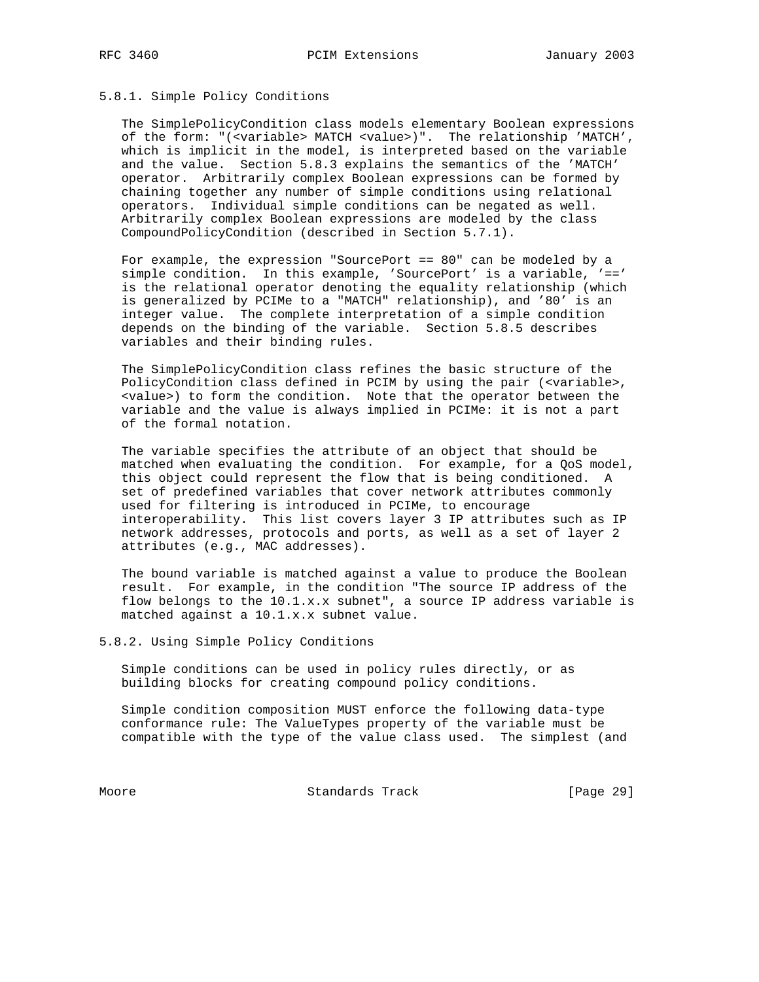## 5.8.1. Simple Policy Conditions

 The SimplePolicyCondition class models elementary Boolean expressions of the form: "(<variable> MATCH <value>)". The relationship 'MATCH', which is implicit in the model, is interpreted based on the variable and the value. Section 5.8.3 explains the semantics of the 'MATCH' operator. Arbitrarily complex Boolean expressions can be formed by chaining together any number of simple conditions using relational operators. Individual simple conditions can be negated as well. Arbitrarily complex Boolean expressions are modeled by the class CompoundPolicyCondition (described in Section 5.7.1).

 For example, the expression "SourcePort == 80" can be modeled by a simple condition. In this example, 'SourcePort' is a variable, '==' is the relational operator denoting the equality relationship (which is generalized by PCIMe to a "MATCH" relationship), and '80' is an integer value. The complete interpretation of a simple condition depends on the binding of the variable. Section 5.8.5 describes variables and their binding rules.

 The SimplePolicyCondition class refines the basic structure of the PolicyCondition class defined in PCIM by using the pair (<variable>, <value>) to form the condition. Note that the operator between the variable and the value is always implied in PCIMe: it is not a part of the formal notation.

 The variable specifies the attribute of an object that should be matched when evaluating the condition. For example, for a QoS model, this object could represent the flow that is being conditioned. A set of predefined variables that cover network attributes commonly used for filtering is introduced in PCIMe, to encourage interoperability. This list covers layer 3 IP attributes such as IP network addresses, protocols and ports, as well as a set of layer 2 attributes (e.g., MAC addresses).

 The bound variable is matched against a value to produce the Boolean result. For example, in the condition "The source IP address of the flow belongs to the 10.1.x.x subnet", a source IP address variable is matched against a 10.1.x.x subnet value.

5.8.2. Using Simple Policy Conditions

 Simple conditions can be used in policy rules directly, or as building blocks for creating compound policy conditions.

 Simple condition composition MUST enforce the following data-type conformance rule: The ValueTypes property of the variable must be compatible with the type of the value class used. The simplest (and

Moore Standards Track [Page 29]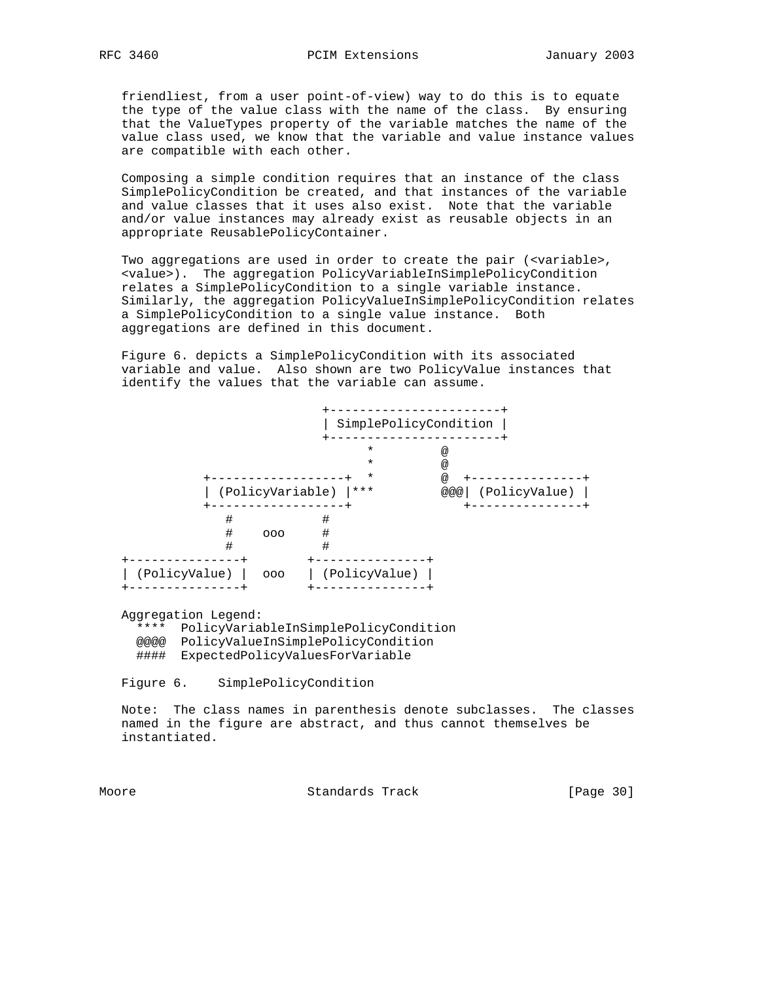friendliest, from a user point-of-view) way to do this is to equate the type of the value class with the name of the class. By ensuring that the ValueTypes property of the variable matches the name of the value class used, we know that the variable and value instance values are compatible with each other.

 Composing a simple condition requires that an instance of the class SimplePolicyCondition be created, and that instances of the variable and value classes that it uses also exist. Note that the variable and/or value instances may already exist as reusable objects in an appropriate ReusablePolicyContainer.

 Two aggregations are used in order to create the pair (<variable>, <value>). The aggregation PolicyVariableInSimplePolicyCondition relates a SimplePolicyCondition to a single variable instance. Similarly, the aggregation PolicyValueInSimplePolicyCondition relates a SimplePolicyCondition to a single value instance. Both aggregations are defined in this document.

 Figure 6. depicts a SimplePolicyCondition with its associated variable and value. Also shown are two PolicyValue instances that identify the values that the variable can assume.



Aggregation Legend:

 \*\*\*\* PolicyVariableInSimplePolicyCondition @@@@ PolicyValueInSimplePolicyCondition #### ExpectedPolicyValuesForVariable

Figure 6. SimplePolicyCondition

 Note: The class names in parenthesis denote subclasses. The classes named in the figure are abstract, and thus cannot themselves be instantiated.

Moore Standards Track [Page 30]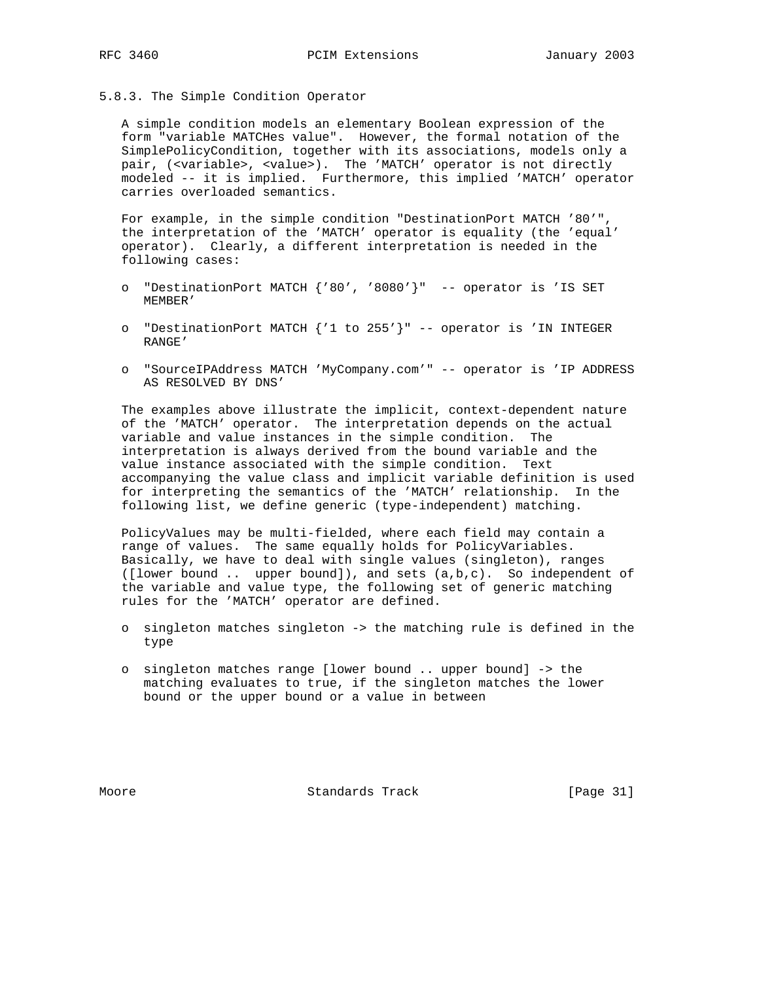5.8.3. The Simple Condition Operator

 A simple condition models an elementary Boolean expression of the form "variable MATCHes value". However, the formal notation of the SimplePolicyCondition, together with its associations, models only a pair, (<variable>, <value>). The 'MATCH' operator is not directly modeled -- it is implied. Furthermore, this implied 'MATCH' operator carries overloaded semantics.

 For example, in the simple condition "DestinationPort MATCH '80'", the interpretation of the 'MATCH' operator is equality (the 'equal' operator). Clearly, a different interpretation is needed in the following cases:

- o "DestinationPort MATCH {'80', '8080'}" -- operator is 'IS SET MEMBER'
- o "DestinationPort MATCH {'1 to 255'}" -- operator is 'IN INTEGER RANGE'
- o "SourceIPAddress MATCH 'MyCompany.com'" -- operator is 'IP ADDRESS AS RESOLVED BY DNS'

 The examples above illustrate the implicit, context-dependent nature of the 'MATCH' operator. The interpretation depends on the actual variable and value instances in the simple condition. The interpretation is always derived from the bound variable and the value instance associated with the simple condition. Text accompanying the value class and implicit variable definition is used for interpreting the semantics of the 'MATCH' relationship. In the following list, we define generic (type-independent) matching.

 PolicyValues may be multi-fielded, where each field may contain a range of values. The same equally holds for PolicyVariables. Basically, we have to deal with single values (singleton), ranges ([lower bound .. upper bound]), and sets (a,b,c). So independent of the variable and value type, the following set of generic matching rules for the 'MATCH' operator are defined.

- o singleton matches singleton -> the matching rule is defined in the type
- o singleton matches range [lower bound .. upper bound] -> the matching evaluates to true, if the singleton matches the lower bound or the upper bound or a value in between

Moore Standards Track [Page 31]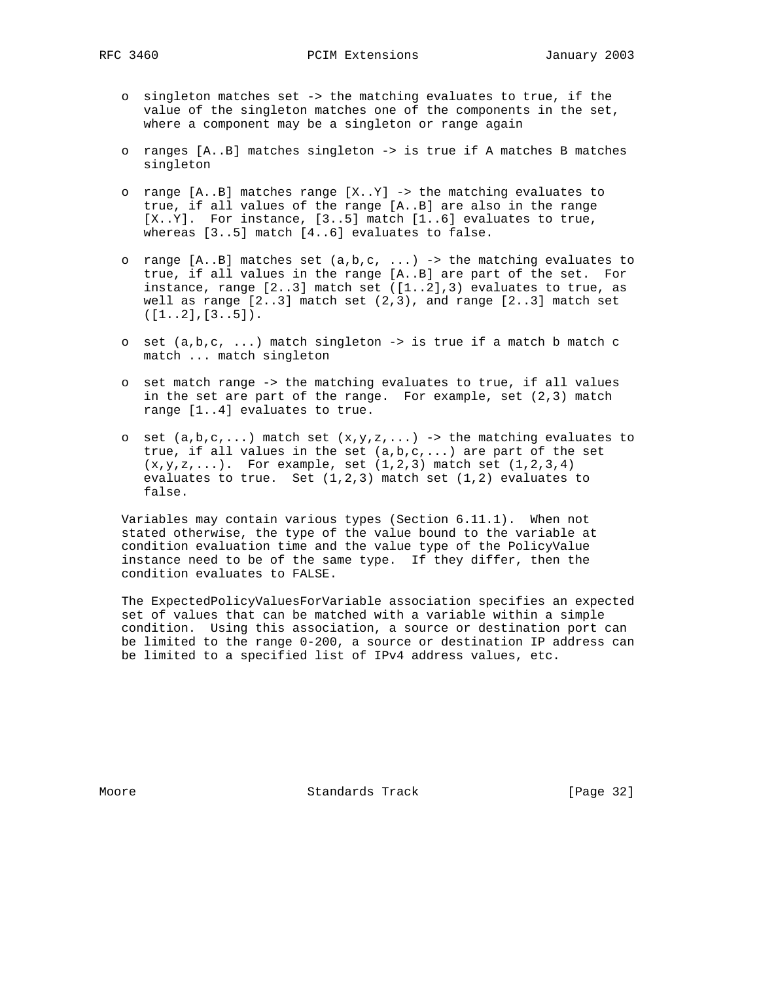- o singleton matches set -> the matching evaluates to true, if the value of the singleton matches one of the components in the set, where a component may be a singleton or range again
- o ranges [A..B] matches singleton -> is true if A matches B matches singleton
- o range [A..B] matches range [X..Y] -> the matching evaluates to true, if all values of the range [A..B] are also in the range  $[X..Y]$ . For instance,  $[3..5]$  match  $[1..6]$  evaluates to true, whereas [3..5] match [4..6] evaluates to false.
- o range  $[A..B]$  matches set  $(a,b,c, ...)$  -> the matching evaluates to true, if all values in the range [A..B] are part of the set. For instance, range [2..3] match set ([1..2],3) evaluates to true, as well as range  $[2..3]$  match set  $(2,3)$ , and range  $[2..3]$  match set  $([1..2],[3..5]).$
- o set (a,b,c, ...) match singleton -> is true if a match b match c match ... match singleton
- o set match range -> the matching evaluates to true, if all values in the set are part of the range. For example, set (2,3) match range [1..4] evaluates to true.
- o set  $(a,b,c,...)$  match set  $(x,y,z,...)$  -> the matching evaluates to true, if all values in the set  $(a,b,c,...)$  are part of the set  $(x,y,z,...).$  For example, set  $(1,2,3)$  match set  $(1,2,3,4)$  evaluates to true. Set (1,2,3) match set (1,2) evaluates to false.

 Variables may contain various types (Section 6.11.1). When not stated otherwise, the type of the value bound to the variable at condition evaluation time and the value type of the PolicyValue instance need to be of the same type. If they differ, then the condition evaluates to FALSE.

 The ExpectedPolicyValuesForVariable association specifies an expected set of values that can be matched with a variable within a simple condition. Using this association, a source or destination port can be limited to the range 0-200, a source or destination IP address can be limited to a specified list of IPv4 address values, etc.

Moore Standards Track [Page 32]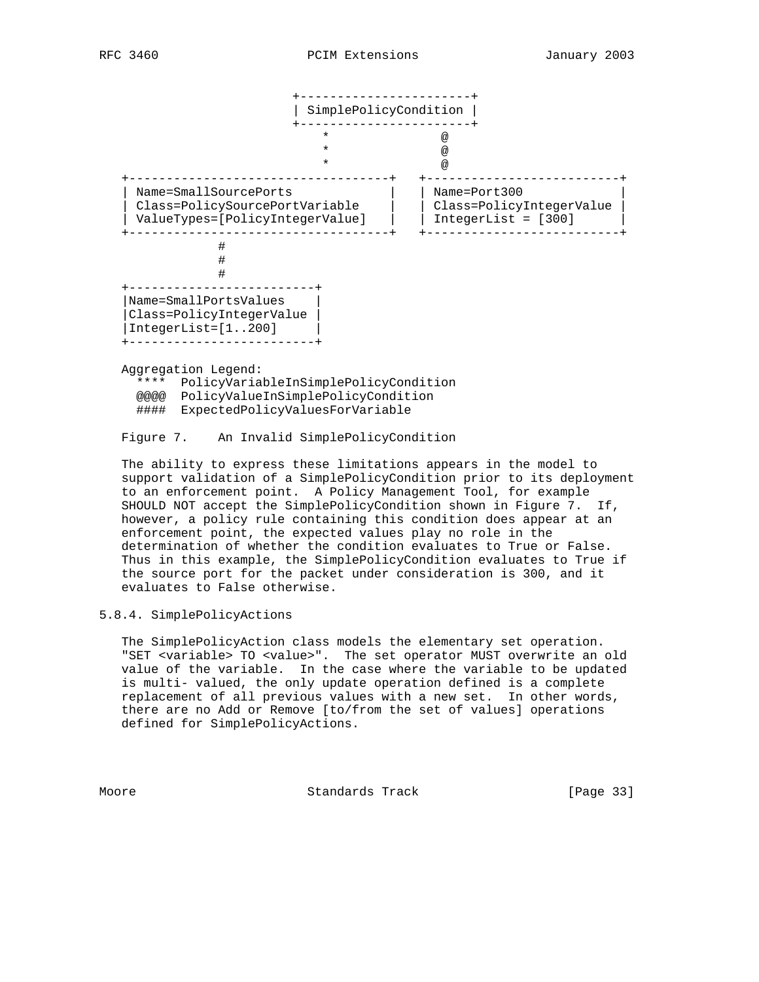

Figure 7. An Invalid SimplePolicyCondition

 The ability to express these limitations appears in the model to support validation of a SimplePolicyCondition prior to its deployment to an enforcement point. A Policy Management Tool, for example SHOULD NOT accept the SimplePolicyCondition shown in Figure 7. If, however, a policy rule containing this condition does appear at an enforcement point, the expected values play no role in the determination of whether the condition evaluates to True or False. Thus in this example, the SimplePolicyCondition evaluates to True if the source port for the packet under consideration is 300, and it evaluates to False otherwise.

# 5.8.4. SimplePolicyActions

 The SimplePolicyAction class models the elementary set operation. "SET <variable> TO <value>". The set operator MUST overwrite an old value of the variable. In the case where the variable to be updated is multi- valued, the only update operation defined is a complete replacement of all previous values with a new set. In other words, there are no Add or Remove [to/from the set of values] operations defined for SimplePolicyActions.

Moore Standards Track [Page 33]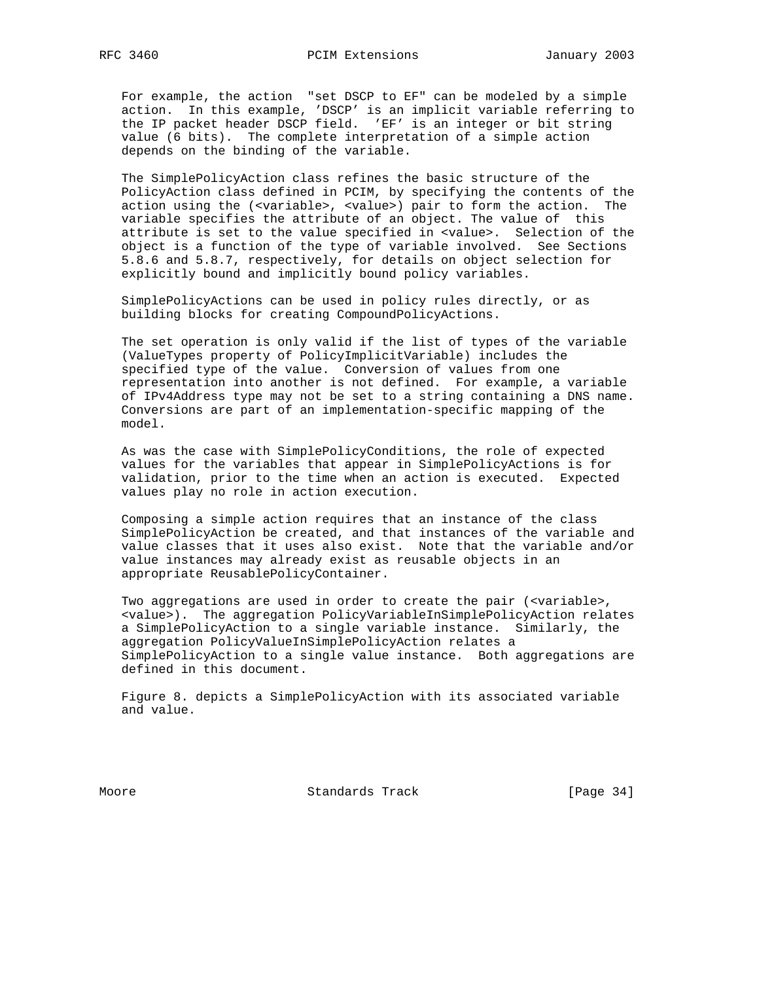For example, the action "set DSCP to EF" can be modeled by a simple action. In this example, 'DSCP' is an implicit variable referring to the IP packet header DSCP field. 'EF' is an integer or bit string value (6 bits). The complete interpretation of a simple action depends on the binding of the variable.

 The SimplePolicyAction class refines the basic structure of the PolicyAction class defined in PCIM, by specifying the contents of the action using the (<variable>, <value>) pair to form the action. The variable specifies the attribute of an object. The value of this attribute is set to the value specified in <value>. Selection of the object is a function of the type of variable involved. See Sections 5.8.6 and 5.8.7, respectively, for details on object selection for explicitly bound and implicitly bound policy variables.

 SimplePolicyActions can be used in policy rules directly, or as building blocks for creating CompoundPolicyActions.

 The set operation is only valid if the list of types of the variable (ValueTypes property of PolicyImplicitVariable) includes the specified type of the value. Conversion of values from one representation into another is not defined. For example, a variable of IPv4Address type may not be set to a string containing a DNS name. Conversions are part of an implementation-specific mapping of the model.

 As was the case with SimplePolicyConditions, the role of expected values for the variables that appear in SimplePolicyActions is for validation, prior to the time when an action is executed. Expected values play no role in action execution.

 Composing a simple action requires that an instance of the class SimplePolicyAction be created, and that instances of the variable and value classes that it uses also exist. Note that the variable and/or value instances may already exist as reusable objects in an appropriate ReusablePolicyContainer.

 Two aggregations are used in order to create the pair (<variable>, <value>). The aggregation PolicyVariableInSimplePolicyAction relates a SimplePolicyAction to a single variable instance. Similarly, the aggregation PolicyValueInSimplePolicyAction relates a SimplePolicyAction to a single value instance. Both aggregations are defined in this document.

 Figure 8. depicts a SimplePolicyAction with its associated variable and value.

Moore **Standards Track** [Page 34]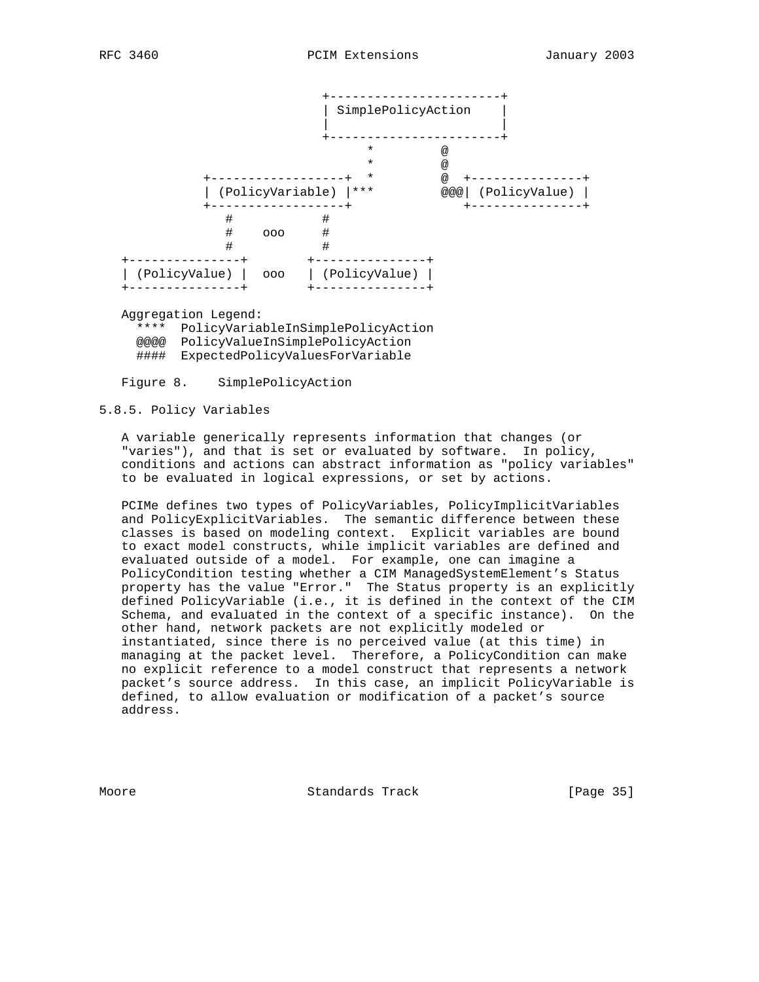

 Aggregation Legend: \*\*\*\* PolicyVariableInSimplePolicyAction @@@@ PolicyValueInSimplePolicyAction #### ExpectedPolicyValuesForVariable

Figure 8. SimplePolicyAction

## 5.8.5. Policy Variables

 A variable generically represents information that changes (or "varies"), and that is set or evaluated by software. In policy, conditions and actions can abstract information as "policy variables" to be evaluated in logical expressions, or set by actions.

 PCIMe defines two types of PolicyVariables, PolicyImplicitVariables and PolicyExplicitVariables. The semantic difference between these classes is based on modeling context. Explicit variables are bound to exact model constructs, while implicit variables are defined and evaluated outside of a model. For example, one can imagine a PolicyCondition testing whether a CIM ManagedSystemElement's Status property has the value "Error." The Status property is an explicitly defined PolicyVariable (i.e., it is defined in the context of the CIM Schema, and evaluated in the context of a specific instance). On the other hand, network packets are not explicitly modeled or instantiated, since there is no perceived value (at this time) in managing at the packet level. Therefore, a PolicyCondition can make no explicit reference to a model construct that represents a network packet's source address. In this case, an implicit PolicyVariable is defined, to allow evaluation or modification of a packet's source address.

Moore **Standards Track** [Page 35]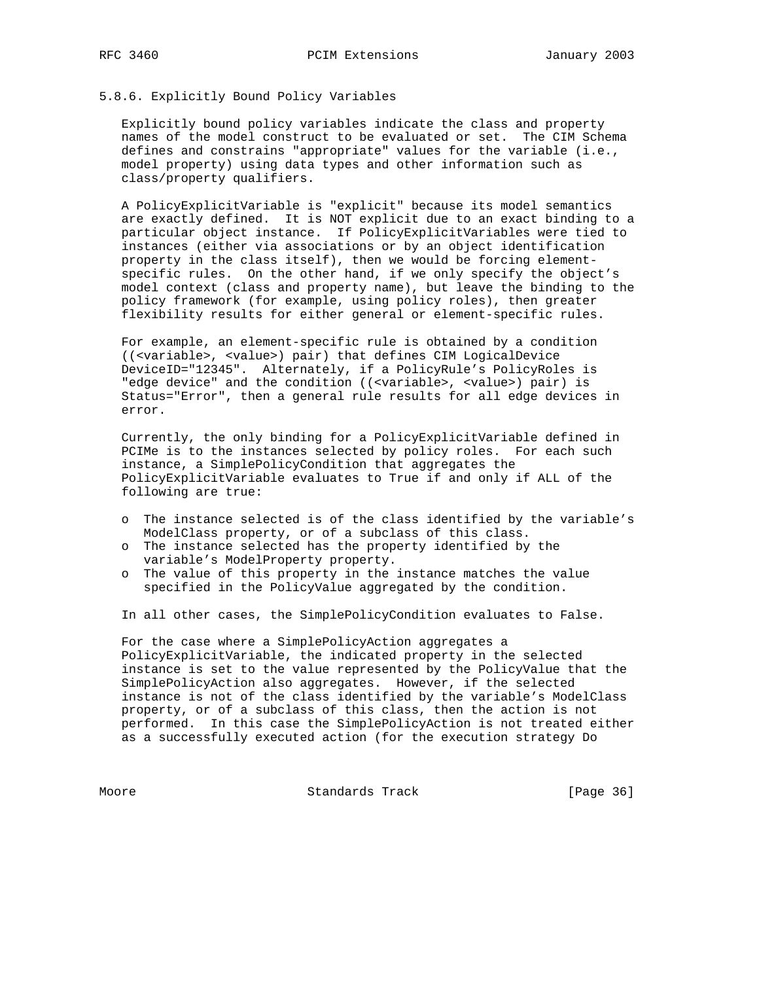# 5.8.6. Explicitly Bound Policy Variables

 Explicitly bound policy variables indicate the class and property names of the model construct to be evaluated or set. The CIM Schema defines and constrains "appropriate" values for the variable (i.e., model property) using data types and other information such as class/property qualifiers.

 A PolicyExplicitVariable is "explicit" because its model semantics are exactly defined. It is NOT explicit due to an exact binding to a particular object instance. If PolicyExplicitVariables were tied to instances (either via associations or by an object identification property in the class itself), then we would be forcing element specific rules. On the other hand, if we only specify the object's model context (class and property name), but leave the binding to the policy framework (for example, using policy roles), then greater flexibility results for either general or element-specific rules.

 For example, an element-specific rule is obtained by a condition ((<variable>, <value>) pair) that defines CIM LogicalDevice DeviceID="12345". Alternately, if a PolicyRule's PolicyRoles is "edge device" and the condition ((<variable>, <value>) pair) is Status="Error", then a general rule results for all edge devices in error.

 Currently, the only binding for a PolicyExplicitVariable defined in PCIMe is to the instances selected by policy roles. For each such instance, a SimplePolicyCondition that aggregates the PolicyExplicitVariable evaluates to True if and only if ALL of the following are true:

- o The instance selected is of the class identified by the variable's ModelClass property, or of a subclass of this class.
- o The instance selected has the property identified by the variable's ModelProperty property.
- o The value of this property in the instance matches the value specified in the PolicyValue aggregated by the condition.

In all other cases, the SimplePolicyCondition evaluates to False.

 For the case where a SimplePolicyAction aggregates a PolicyExplicitVariable, the indicated property in the selected instance is set to the value represented by the PolicyValue that the SimplePolicyAction also aggregates. However, if the selected instance is not of the class identified by the variable's ModelClass property, or of a subclass of this class, then the action is not performed. In this case the SimplePolicyAction is not treated either as a successfully executed action (for the execution strategy Do

Moore Standards Track [Page 36]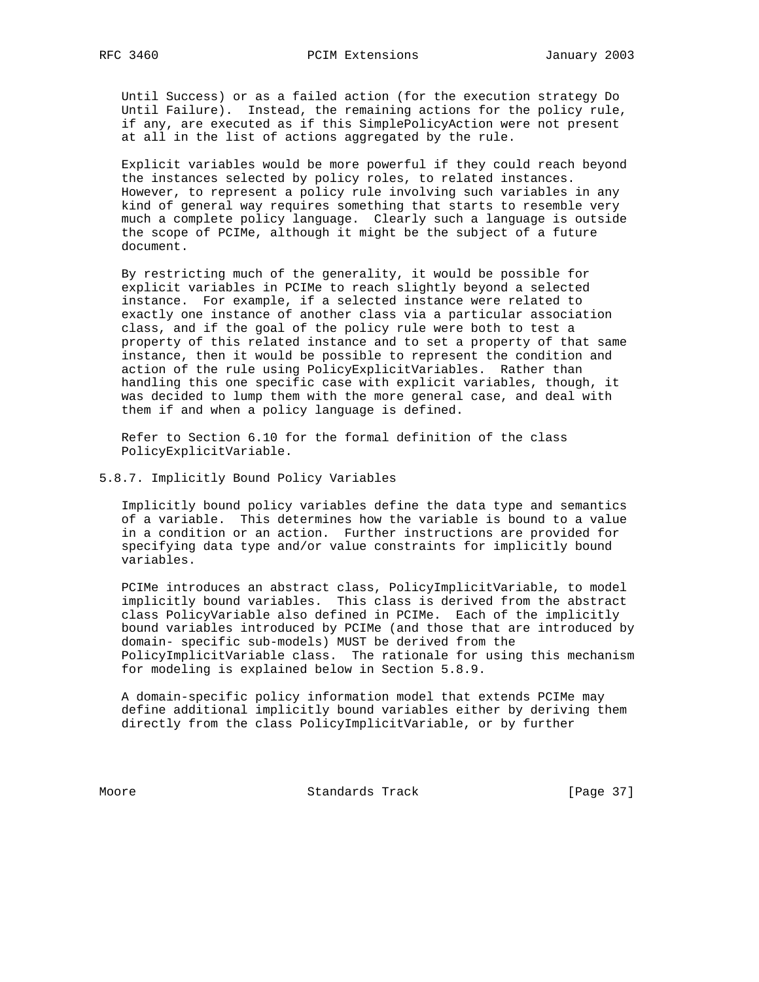Until Success) or as a failed action (for the execution strategy Do Until Failure). Instead, the remaining actions for the policy rule, if any, are executed as if this SimplePolicyAction were not present at all in the list of actions aggregated by the rule.

 Explicit variables would be more powerful if they could reach beyond the instances selected by policy roles, to related instances. However, to represent a policy rule involving such variables in any kind of general way requires something that starts to resemble very much a complete policy language. Clearly such a language is outside the scope of PCIMe, although it might be the subject of a future document.

 By restricting much of the generality, it would be possible for explicit variables in PCIMe to reach slightly beyond a selected instance. For example, if a selected instance were related to exactly one instance of another class via a particular association class, and if the goal of the policy rule were both to test a property of this related instance and to set a property of that same instance, then it would be possible to represent the condition and action of the rule using PolicyExplicitVariables. Rather than handling this one specific case with explicit variables, though, it was decided to lump them with the more general case, and deal with them if and when a policy language is defined.

 Refer to Section 6.10 for the formal definition of the class PolicyExplicitVariable.

5.8.7. Implicitly Bound Policy Variables

 Implicitly bound policy variables define the data type and semantics of a variable. This determines how the variable is bound to a value in a condition or an action. Further instructions are provided for specifying data type and/or value constraints for implicitly bound variables.

 PCIMe introduces an abstract class, PolicyImplicitVariable, to model implicitly bound variables. This class is derived from the abstract class PolicyVariable also defined in PCIMe. Each of the implicitly bound variables introduced by PCIMe (and those that are introduced by domain- specific sub-models) MUST be derived from the PolicyImplicitVariable class. The rationale for using this mechanism for modeling is explained below in Section 5.8.9.

 A domain-specific policy information model that extends PCIMe may define additional implicitly bound variables either by deriving them directly from the class PolicyImplicitVariable, or by further

Moore Standards Track [Page 37]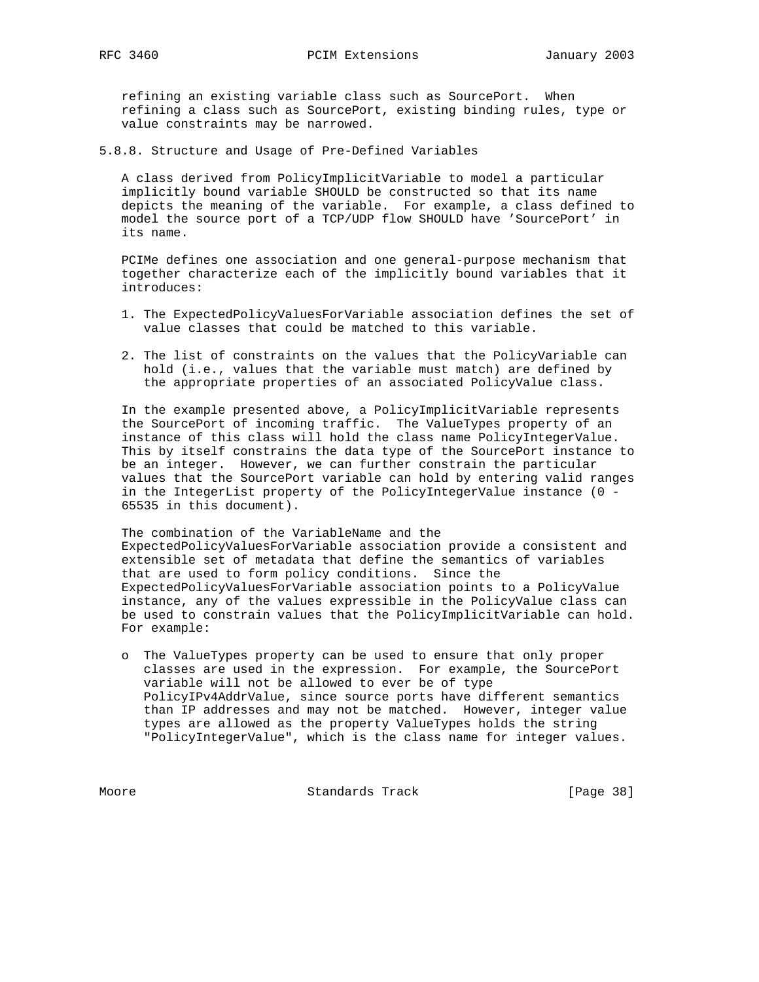refining an existing variable class such as SourcePort. When refining a class such as SourcePort, existing binding rules, type or value constraints may be narrowed.

5.8.8. Structure and Usage of Pre-Defined Variables

 A class derived from PolicyImplicitVariable to model a particular implicitly bound variable SHOULD be constructed so that its name depicts the meaning of the variable. For example, a class defined to model the source port of a TCP/UDP flow SHOULD have 'SourcePort' in its name.

 PCIMe defines one association and one general-purpose mechanism that together characterize each of the implicitly bound variables that it introduces:

- 1. The ExpectedPolicyValuesForVariable association defines the set of value classes that could be matched to this variable.
- 2. The list of constraints on the values that the PolicyVariable can hold (i.e., values that the variable must match) are defined by the appropriate properties of an associated PolicyValue class.

 In the example presented above, a PolicyImplicitVariable represents the SourcePort of incoming traffic. The ValueTypes property of an instance of this class will hold the class name PolicyIntegerValue. This by itself constrains the data type of the SourcePort instance to be an integer. However, we can further constrain the particular values that the SourcePort variable can hold by entering valid ranges in the IntegerList property of the PolicyIntegerValue instance (0 - 65535 in this document).

 The combination of the VariableName and the ExpectedPolicyValuesForVariable association provide a consistent and extensible set of metadata that define the semantics of variables that are used to form policy conditions. Since the ExpectedPolicyValuesForVariable association points to a PolicyValue instance, any of the values expressible in the PolicyValue class can be used to constrain values that the PolicyImplicitVariable can hold. For example:

 o The ValueTypes property can be used to ensure that only proper classes are used in the expression. For example, the SourcePort variable will not be allowed to ever be of type PolicyIPv4AddrValue, since source ports have different semantics than IP addresses and may not be matched. However, integer value types are allowed as the property ValueTypes holds the string "PolicyIntegerValue", which is the class name for integer values.

Moore Standards Track [Page 38]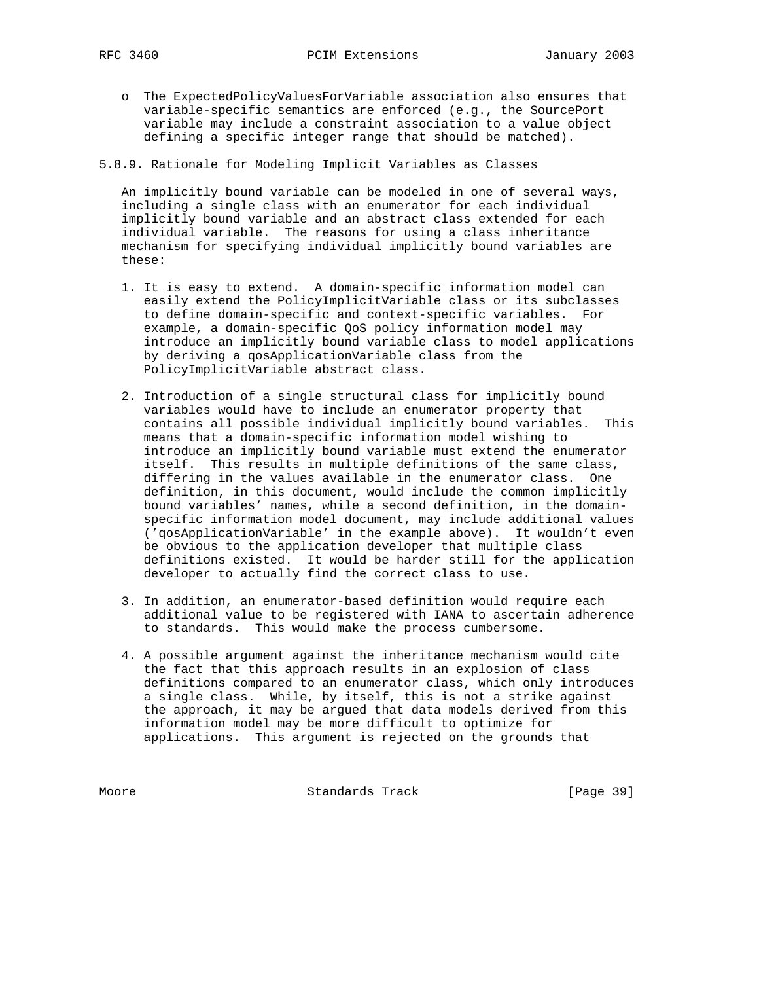o The ExpectedPolicyValuesForVariable association also ensures that variable-specific semantics are enforced (e.g., the SourcePort variable may include a constraint association to a value object defining a specific integer range that should be matched).

5.8.9. Rationale for Modeling Implicit Variables as Classes

 An implicitly bound variable can be modeled in one of several ways, including a single class with an enumerator for each individual implicitly bound variable and an abstract class extended for each individual variable. The reasons for using a class inheritance mechanism for specifying individual implicitly bound variables are these:

- 1. It is easy to extend. A domain-specific information model can easily extend the PolicyImplicitVariable class or its subclasses to define domain-specific and context-specific variables. For example, a domain-specific QoS policy information model may introduce an implicitly bound variable class to model applications by deriving a qosApplicationVariable class from the PolicyImplicitVariable abstract class.
- 2. Introduction of a single structural class for implicitly bound variables would have to include an enumerator property that contains all possible individual implicitly bound variables. This means that a domain-specific information model wishing to introduce an implicitly bound variable must extend the enumerator itself. This results in multiple definitions of the same class, differing in the values available in the enumerator class. One definition, in this document, would include the common implicitly bound variables' names, while a second definition, in the domain specific information model document, may include additional values ('qosApplicationVariable' in the example above). It wouldn't even be obvious to the application developer that multiple class definitions existed. It would be harder still for the application developer to actually find the correct class to use.
- 3. In addition, an enumerator-based definition would require each additional value to be registered with IANA to ascertain adherence to standards. This would make the process cumbersome.
- 4. A possible argument against the inheritance mechanism would cite the fact that this approach results in an explosion of class definitions compared to an enumerator class, which only introduces a single class. While, by itself, this is not a strike against the approach, it may be argued that data models derived from this information model may be more difficult to optimize for applications. This argument is rejected on the grounds that

Moore Standards Track [Page 39]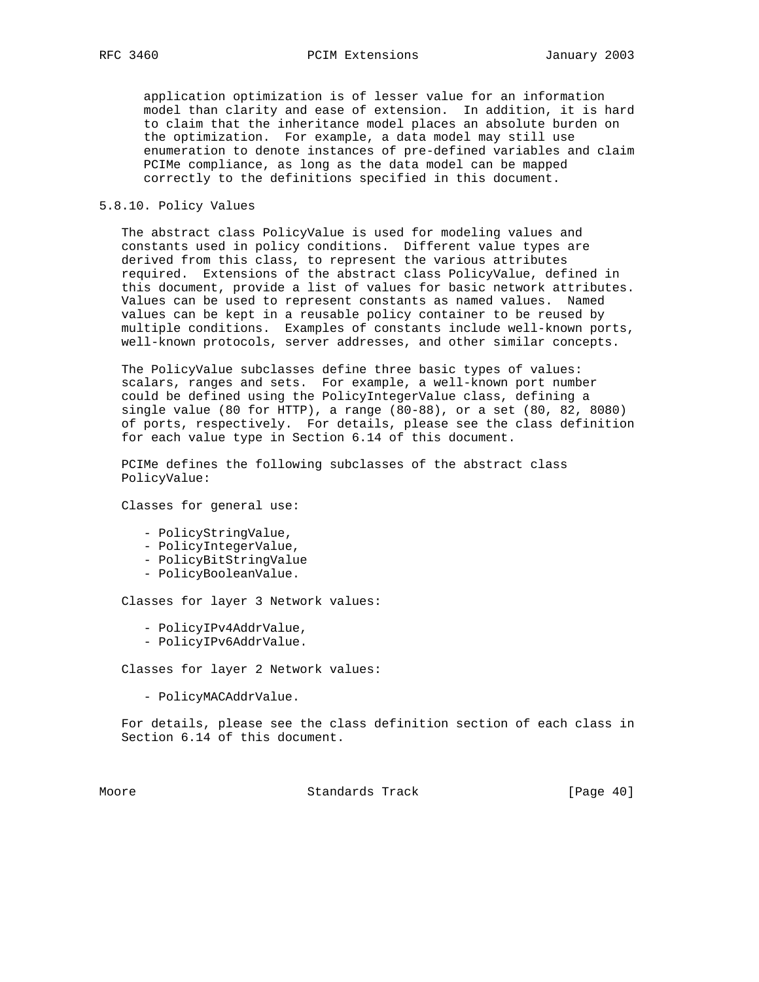application optimization is of lesser value for an information model than clarity and ease of extension. In addition, it is hard to claim that the inheritance model places an absolute burden on the optimization. For example, a data model may still use enumeration to denote instances of pre-defined variables and claim PCIMe compliance, as long as the data model can be mapped correctly to the definitions specified in this document.

# 5.8.10. Policy Values

 The abstract class PolicyValue is used for modeling values and constants used in policy conditions. Different value types are derived from this class, to represent the various attributes required. Extensions of the abstract class PolicyValue, defined in this document, provide a list of values for basic network attributes. Values can be used to represent constants as named values. Named values can be kept in a reusable policy container to be reused by multiple conditions. Examples of constants include well-known ports, well-known protocols, server addresses, and other similar concepts.

 The PolicyValue subclasses define three basic types of values: scalars, ranges and sets. For example, a well-known port number could be defined using the PolicyIntegerValue class, defining a single value (80 for HTTP), a range (80-88), or a set (80, 82, 8080) of ports, respectively. For details, please see the class definition for each value type in Section 6.14 of this document.

 PCIMe defines the following subclasses of the abstract class PolicyValue:

Classes for general use:

- PolicyStringValue,
- PolicyIntegerValue,
- PolicyBitStringValue
- PolicyBooleanValue.

Classes for layer 3 Network values:

- PolicyIPv4AddrValue,
- PolicyIPv6AddrValue.

Classes for layer 2 Network values:

- PolicyMACAddrValue.

 For details, please see the class definition section of each class in Section 6.14 of this document.

Moore **Standards Track** [Page 40]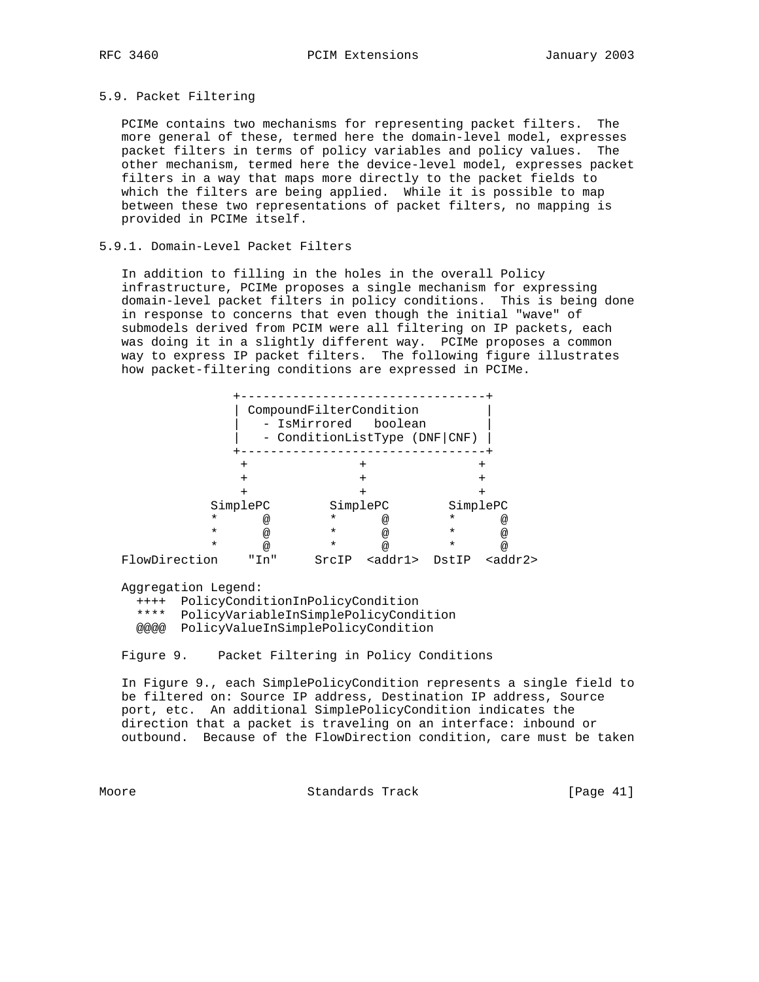## 5.9. Packet Filtering

 PCIMe contains two mechanisms for representing packet filters. The more general of these, termed here the domain-level model, expresses packet filters in terms of policy variables and policy values. The other mechanism, termed here the device-level model, expresses packet filters in a way that maps more directly to the packet fields to which the filters are being applied. While it is possible to map between these two representations of packet filters, no mapping is provided in PCIMe itself.

## 5.9.1. Domain-Level Packet Filters

 In addition to filling in the holes in the overall Policy infrastructure, PCIMe proposes a single mechanism for expressing domain-level packet filters in policy conditions. This is being done in response to concerns that even though the initial "wave" of submodels derived from PCIM were all filtering on IP packets, each was doing it in a slightly different way. PCIMe proposes a common way to express IP packet filters. The following figure illustrates how packet-filtering conditions are expressed in PCIMe.

|               |                 | CompoundFilterCondition<br>- IsMirrored boolean<br>- ConditionListType (DNF CNF) |                 |         |                      |
|---------------|-----------------|----------------------------------------------------------------------------------|-----------------|---------|----------------------|
|               |                 |                                                                                  |                 |         |                      |
|               | +               |                                                                                  | $^+$            |         |                      |
|               | $\,{}^+$        |                                                                                  |                 |         | +                    |
|               |                 |                                                                                  |                 |         |                      |
|               | SimplePC        |                                                                                  | SimplePC        |         | SimplePC             |
| $\star$       | @               | $^\star$                                                                         | @               | $\ast$  | @                    |
| $\star$       | $^{\copyright}$ | $\star$                                                                          | $\omega$        | $\star$ | @                    |
| $\star$       | $\omega$        | $\star$                                                                          | @               | $\star$ | $^{\textregistered}$ |
| FlowDirection | "Tn"            | SrcIP                                                                            | <addr1></addr1> | DstIP   | cadar2               |

Aggregation Legend:

 ++++ PolicyConditionInPolicyCondition \*\*\*\* PolicyVariableInSimplePolicyCondition

@@@@ PolicyValueInSimplePolicyCondition

Figure 9. Packet Filtering in Policy Conditions

 In Figure 9., each SimplePolicyCondition represents a single field to be filtered on: Source IP address, Destination IP address, Source port, etc. An additional SimplePolicyCondition indicates the direction that a packet is traveling on an interface: inbound or outbound. Because of the FlowDirection condition, care must be taken

Moore Standards Track [Page 41]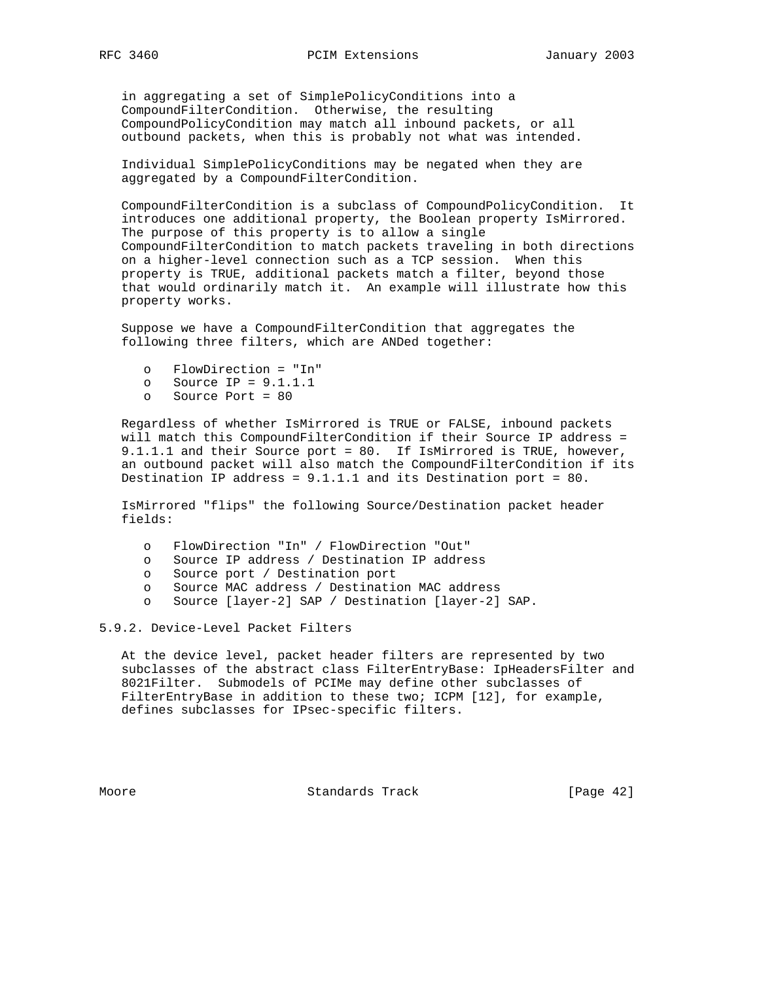in aggregating a set of SimplePolicyConditions into a CompoundFilterCondition. Otherwise, the resulting CompoundPolicyCondition may match all inbound packets, or all outbound packets, when this is probably not what was intended.

 Individual SimplePolicyConditions may be negated when they are aggregated by a CompoundFilterCondition.

 CompoundFilterCondition is a subclass of CompoundPolicyCondition. It introduces one additional property, the Boolean property IsMirrored. The purpose of this property is to allow a single CompoundFilterCondition to match packets traveling in both directions on a higher-level connection such as a TCP session. When this property is TRUE, additional packets match a filter, beyond those that would ordinarily match it. An example will illustrate how this property works.

 Suppose we have a CompoundFilterCondition that aggregates the following three filters, which are ANDed together:

- o FlowDirection = "In"
- o Source IP = 9.1.1.1
- o Source Port = 80

 Regardless of whether IsMirrored is TRUE or FALSE, inbound packets will match this CompoundFilterCondition if their Source IP address = 9.1.1.1 and their Source port = 80. If IsMirrored is TRUE, however, an outbound packet will also match the CompoundFilterCondition if its Destination IP address = 9.1.1.1 and its Destination port = 80.

 IsMirrored "flips" the following Source/Destination packet header fields:

- o FlowDirection "In" / FlowDirection "Out"
- o Source IP address / Destination IP address
- o Source port / Destination port
- o Source MAC address / Destination MAC address
- o Source [layer-2] SAP / Destination [layer-2] SAP.

5.9.2. Device-Level Packet Filters

 At the device level, packet header filters are represented by two subclasses of the abstract class FilterEntryBase: IpHeadersFilter and 8021Filter. Submodels of PCIMe may define other subclasses of FilterEntryBase in addition to these two; ICPM [12], for example, defines subclasses for IPsec-specific filters.

Moore Standards Track [Page 42]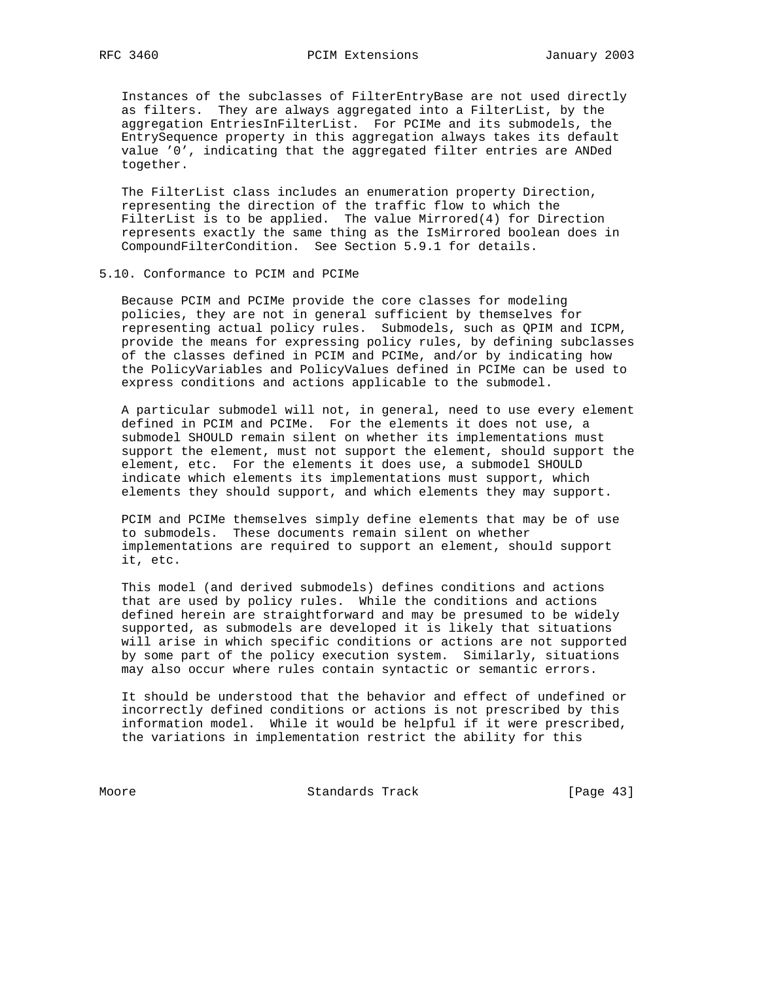Instances of the subclasses of FilterEntryBase are not used directly as filters. They are always aggregated into a FilterList, by the aggregation EntriesInFilterList. For PCIMe and its submodels, the EntrySequence property in this aggregation always takes its default value '0', indicating that the aggregated filter entries are ANDed together.

 The FilterList class includes an enumeration property Direction, representing the direction of the traffic flow to which the FilterList is to be applied. The value Mirrored(4) for Direction represents exactly the same thing as the IsMirrored boolean does in CompoundFilterCondition. See Section 5.9.1 for details.

## 5.10. Conformance to PCIM and PCIMe

 Because PCIM and PCIMe provide the core classes for modeling policies, they are not in general sufficient by themselves for representing actual policy rules. Submodels, such as QPIM and ICPM, provide the means for expressing policy rules, by defining subclasses of the classes defined in PCIM and PCIMe, and/or by indicating how the PolicyVariables and PolicyValues defined in PCIMe can be used to express conditions and actions applicable to the submodel.

 A particular submodel will not, in general, need to use every element defined in PCIM and PCIMe. For the elements it does not use, a submodel SHOULD remain silent on whether its implementations must support the element, must not support the element, should support the element, etc. For the elements it does use, a submodel SHOULD indicate which elements its implementations must support, which elements they should support, and which elements they may support.

 PCIM and PCIMe themselves simply define elements that may be of use to submodels. These documents remain silent on whether implementations are required to support an element, should support it, etc.

 This model (and derived submodels) defines conditions and actions that are used by policy rules. While the conditions and actions defined herein are straightforward and may be presumed to be widely supported, as submodels are developed it is likely that situations will arise in which specific conditions or actions are not supported by some part of the policy execution system. Similarly, situations may also occur where rules contain syntactic or semantic errors.

 It should be understood that the behavior and effect of undefined or incorrectly defined conditions or actions is not prescribed by this information model. While it would be helpful if it were prescribed, the variations in implementation restrict the ability for this

Moore Standards Track [Page 43]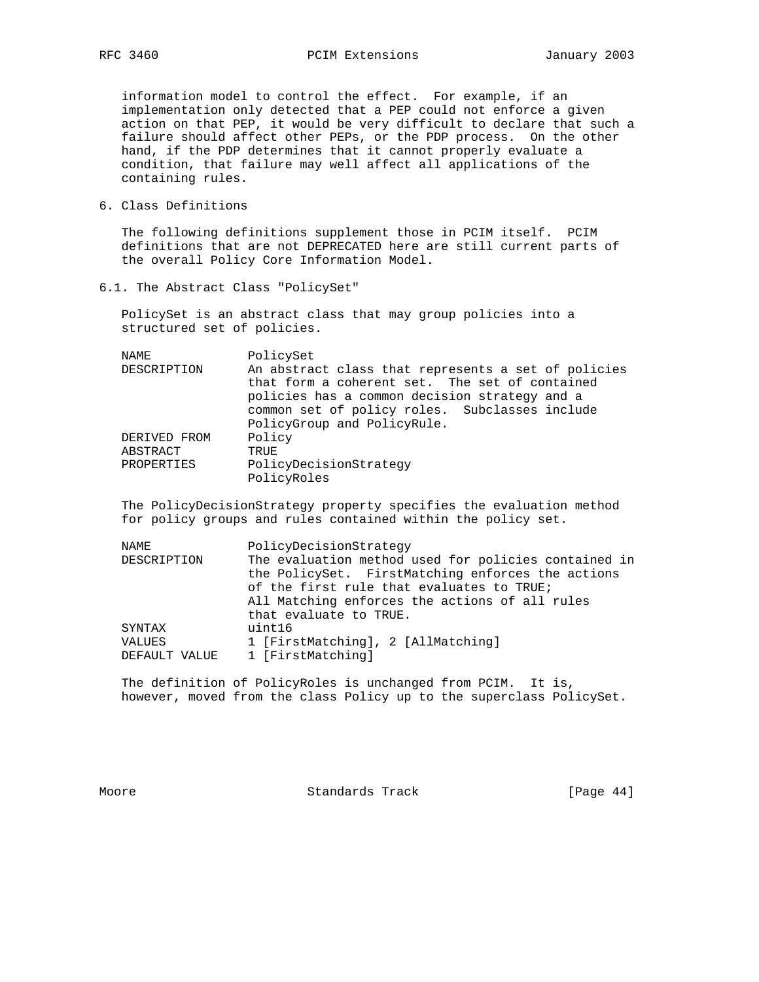information model to control the effect. For example, if an implementation only detected that a PEP could not enforce a given action on that PEP, it would be very difficult to declare that such a failure should affect other PEPs, or the PDP process. On the other hand, if the PDP determines that it cannot properly evaluate a condition, that failure may well affect all applications of the containing rules.

6. Class Definitions

 The following definitions supplement those in PCIM itself. PCIM definitions that are not DEPRECATED here are still current parts of the overall Policy Core Information Model.

6.1. The Abstract Class "PolicySet"

 PolicySet is an abstract class that may group policies into a structured set of policies.

| PolicySet                                           |
|-----------------------------------------------------|
| An abstract class that represents a set of policies |
| that form a coherent set. The set of contained      |
| policies has a common decision strategy and a       |
| common set of policy roles. Subclasses include      |
| PolicyGroup and PolicyRule.                         |
| Policy                                              |
| TRUE.                                               |
| PolicyDecisionStrategy<br>PolicyRoles               |
|                                                     |

 The PolicyDecisionStrategy property specifies the evaluation method for policy groups and rules contained within the policy set.

| NAMF.         | PolicyDecisionStrategy                               |
|---------------|------------------------------------------------------|
| DESCRIPTION   | The evaluation method used for policies contained in |
|               | the PolicySet. FirstMatching enforces the actions    |
|               | of the first rule that evaluates to TRUE;            |
|               | All Matching enforces the actions of all rules       |
|               | that evaluate to TRUE.                               |
| SYNTAX        | uint16                                               |
| VALUES        | 1 [FirstMatching], 2 [AllMatching]                   |
| DEFAULT VALUE | 1 [FirstMatching]                                    |
|               |                                                      |

 The definition of PolicyRoles is unchanged from PCIM. It is, however, moved from the class Policy up to the superclass PolicySet.

Moore Standards Track [Page 44]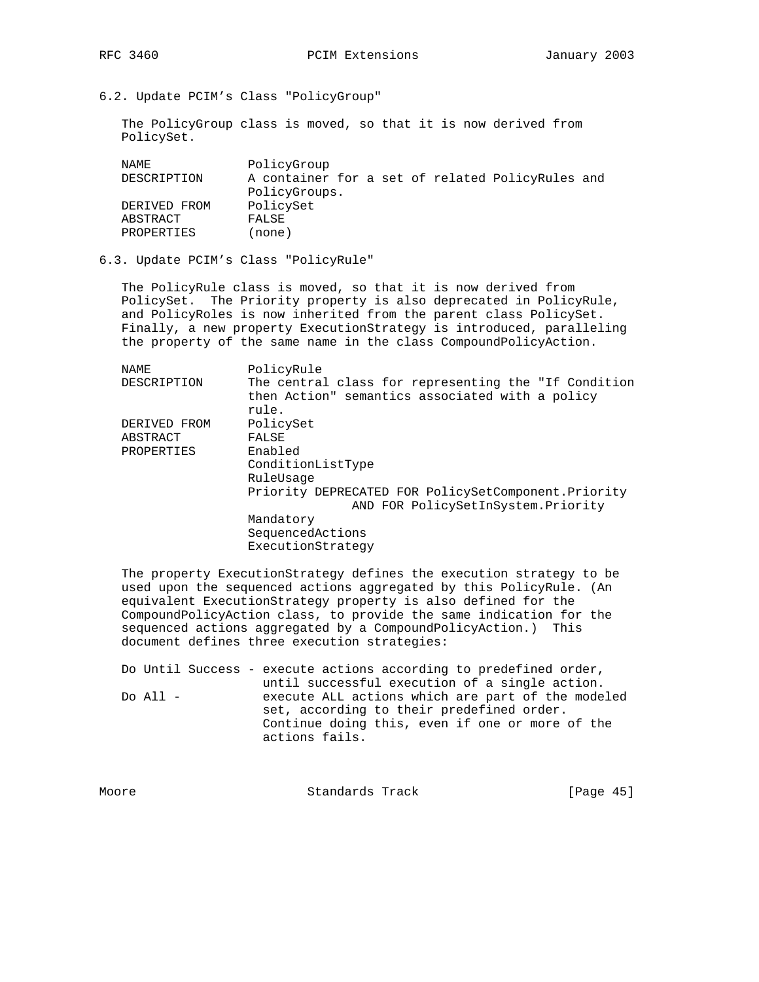6.2. Update PCIM's Class "PolicyGroup"

 The PolicyGroup class is moved, so that it is now derived from PolicySet.

| PolicySet<br>DERIVED FROM<br>ABSTRACT<br>FALSE | NAMF.<br>DESCRIPTION | PolicyGroup<br>A container for a set of related PolicyRules and<br>PolicyGroups. |
|------------------------------------------------|----------------------|----------------------------------------------------------------------------------|
|                                                | PROPERTIES           | (none)                                                                           |

## 6.3. Update PCIM's Class "PolicyRule"

 The PolicyRule class is moved, so that it is now derived from PolicySet. The Priority property is also deprecated in PolicyRule, and PolicyRoles is now inherited from the parent class PolicySet. Finally, a new property ExecutionStrategy is introduced, paralleling the property of the same name in the class CompoundPolicyAction.

| NAMF.        | PolicyRule                                           |
|--------------|------------------------------------------------------|
| DESCRIPTION  | The central class for representing the "If Condition |
|              | then Action" semantics associated with a policy      |
|              | rule.                                                |
| DERIVED FROM | PolicySet                                            |
| ABSTRACT     | FALSE                                                |
| PROPERTIES   | Enabled                                              |
|              | ConditionListType                                    |
|              | RuleUsage                                            |
|              | Priority DEPRECATED FOR PolicySetComponent.Priority  |
|              | AND FOR PolicySetInSystem. Priority                  |
|              | Mandatory                                            |
|              | SequencedActions                                     |
|              | ExecutionStrategy                                    |
|              |                                                      |

 The property ExecutionStrategy defines the execution strategy to be used upon the sequenced actions aggregated by this PolicyRule. (An equivalent ExecutionStrategy property is also defined for the CompoundPolicyAction class, to provide the same indication for the sequenced actions aggregated by a CompoundPolicyAction.) This document defines three execution strategies:

 Do Until Success - execute actions according to predefined order, until successful execution of a single action. Do All - execute ALL actions which are part of the modeled set, according to their predefined order. Continue doing this, even if one or more of the actions fails.

| Moore | Standards Track | [Page $45$ ] |  |
|-------|-----------------|--------------|--|
|       |                 |              |  |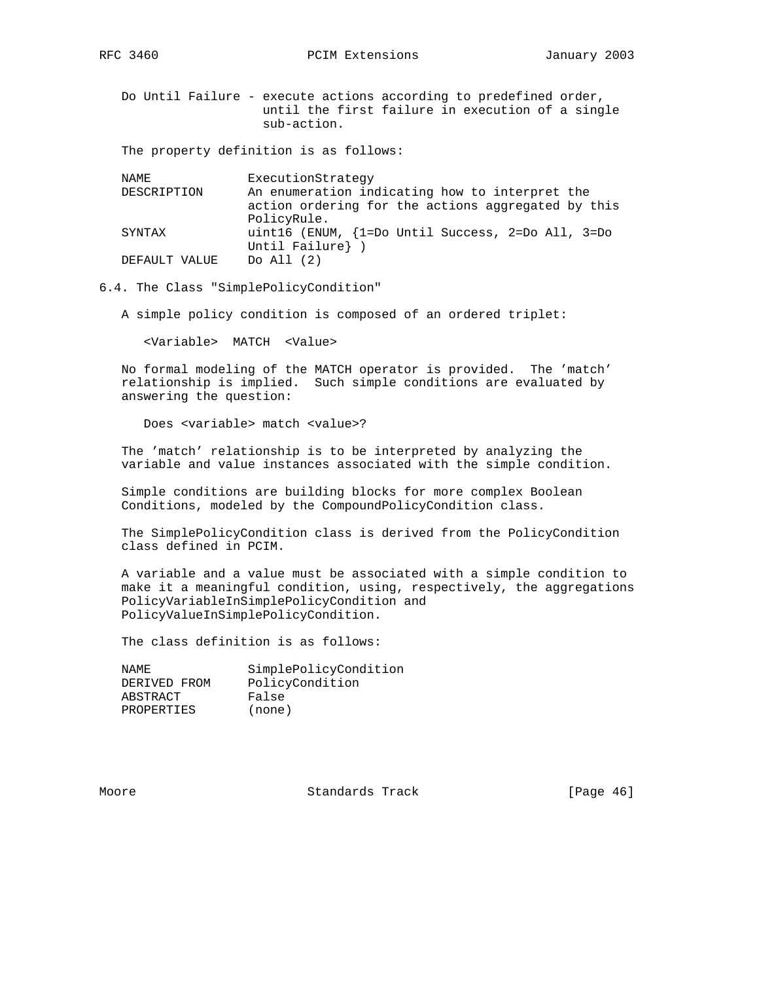RFC 3460 **PCIM Extensions** January 2003

 Do Until Failure - execute actions according to predefined order, until the first failure in execution of a single sub-action.

The property definition is as follows:

| NAMF.         | ExecutionStrategy                                  |
|---------------|----------------------------------------------------|
| DESCRIPTION   | An enumeration indicating how to interpret the     |
|               | action ordering for the actions aggregated by this |
|               | PolicyRule.                                        |
| SYNTAX        | uint16 (ENUM, {1=Do Until Success, 2=Do All, 3=Do  |
|               | Until Failure} )                                   |
| DEFAULT VALUE | Do All $(2)$                                       |
|               |                                                    |

6.4. The Class "SimplePolicyCondition"

A simple policy condition is composed of an ordered triplet:

<Variable> MATCH <Value>

 No formal modeling of the MATCH operator is provided. The 'match' relationship is implied. Such simple conditions are evaluated by answering the question:

Does <variable> match <value>?

 The 'match' relationship is to be interpreted by analyzing the variable and value instances associated with the simple condition.

 Simple conditions are building blocks for more complex Boolean Conditions, modeled by the CompoundPolicyCondition class.

 The SimplePolicyCondition class is derived from the PolicyCondition class defined in PCIM.

 A variable and a value must be associated with a simple condition to make it a meaningful condition, using, respectively, the aggregations PolicyVariableInSimplePolicyCondition and PolicyValueInSimplePolicyCondition.

The class definition is as follows:

NAME SimplePolicyCondition DERIVED FROM PolicyCondition ABSTRACT False PROPERTIES (none)

Moore **Standards Track** [Page 46]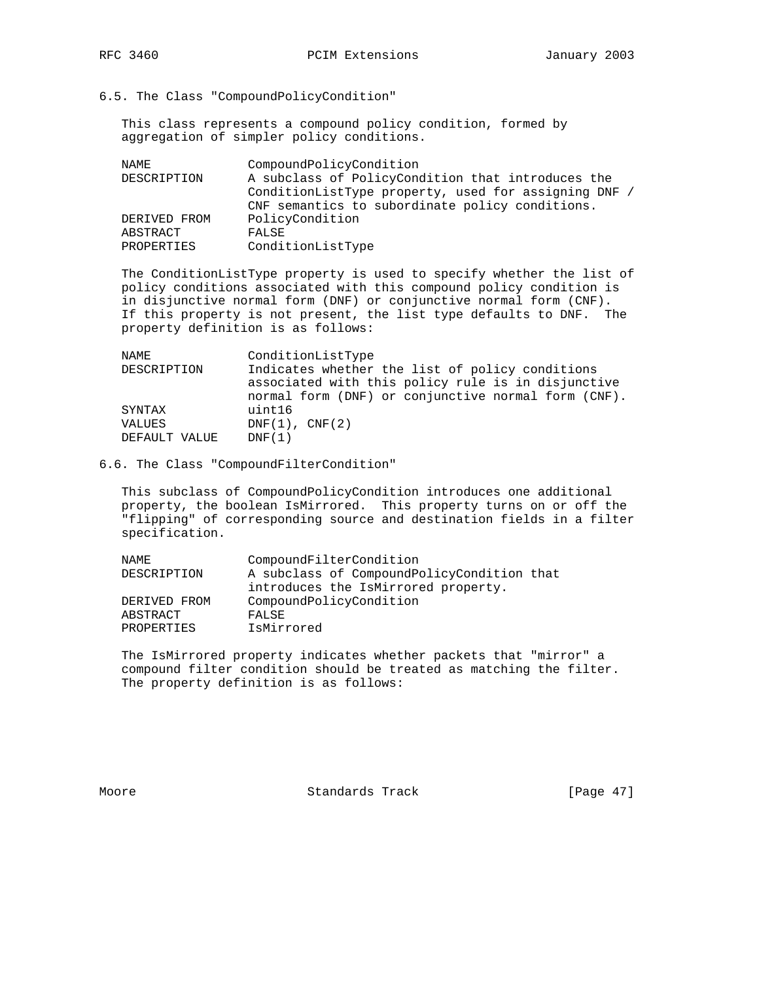6.5. The Class "CompoundPolicyCondition"

 This class represents a compound policy condition, formed by aggregation of simpler policy conditions.

| NAMF.        | CompoundPolicyCondition                              |
|--------------|------------------------------------------------------|
| DESCRIPTION  | A subclass of PolicyCondition that introduces the    |
|              | ConditionListType property, used for assigning DNF / |
|              | CNF semantics to subordinate policy conditions.      |
| DERIVED FROM | PolicyCondition                                      |
| ABSTRACT     | FALSE                                                |
| PROPERTIES   | ConditionListType                                    |
|              |                                                      |

 The ConditionListType property is used to specify whether the list of policy conditions associated with this compound policy condition is in disjunctive normal form (DNF) or conjunctive normal form (CNF). If this property is not present, the list type defaults to DNF. The property definition is as follows:

| NAMF.         | ConditionListType                                                                                                                                            |
|---------------|--------------------------------------------------------------------------------------------------------------------------------------------------------------|
| DESCRIPTION   | Indicates whether the list of policy conditions<br>associated with this policy rule is in disjunctive<br>normal form (DNF) or conjunctive normal form (CNF). |
| SYNTAX        | uint16                                                                                                                                                       |
| VALUES        | $DNF(1)$ , $CNF(2)$                                                                                                                                          |
| DEFAULT VALUE | DNF(1)                                                                                                                                                       |

# 6.6. The Class "CompoundFilterCondition"

 This subclass of CompoundPolicyCondition introduces one additional property, the boolean IsMirrored. This property turns on or off the "flipping" of corresponding source and destination fields in a filter specification.

| NAME.        | CompoundFilterCondition                    |
|--------------|--------------------------------------------|
| DESCRIPTION  | A subclass of CompoundPolicyCondition that |
|              | introduces the IsMirrored property.        |
| DERIVED FROM | CompoundPolicyCondition                    |
| ABSTRACT     | FALSE                                      |
| PROPERTIES   | IsMirrored                                 |

 The IsMirrored property indicates whether packets that "mirror" a compound filter condition should be treated as matching the filter. The property definition is as follows:

Moore Standards Track [Page 47]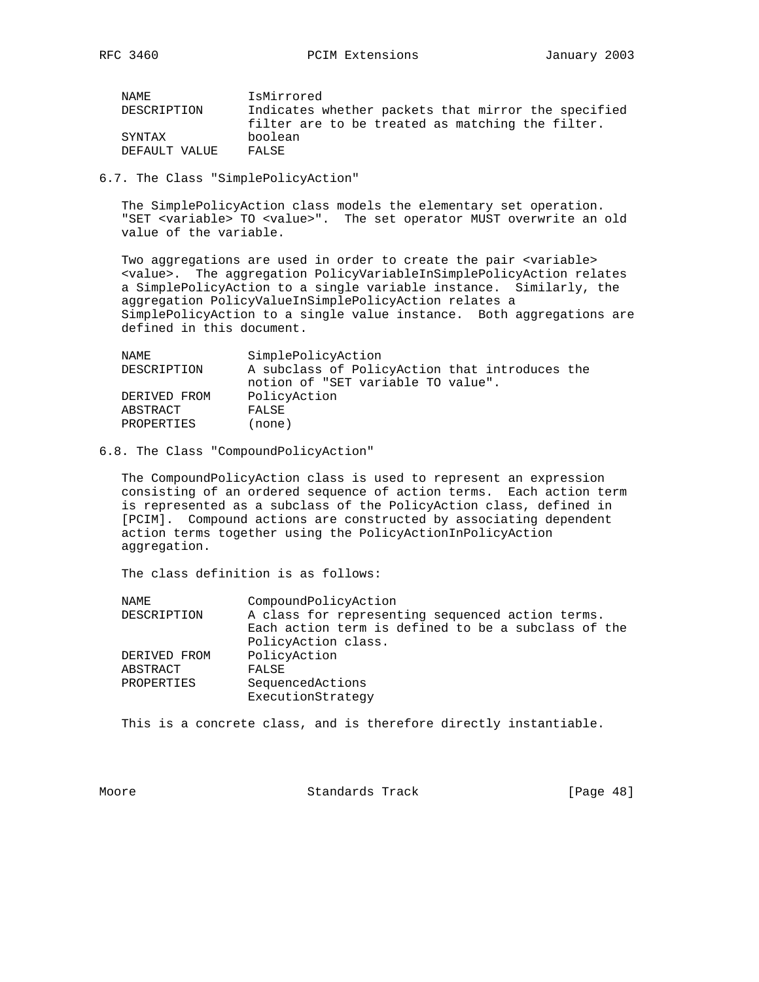| NAMF.         | IsMirrored                                          |
|---------------|-----------------------------------------------------|
| DESCRIPTION   | Indicates whether packets that mirror the specified |
|               | filter are to be treated as matching the filter.    |
| SYNTAX        | boolean                                             |
| DEFAULT VALUE | FALSE                                               |
|               |                                                     |

6.7. The Class "SimplePolicyAction"

 The SimplePolicyAction class models the elementary set operation. "SET <variable> TO <value>". The set operator MUST overwrite an old value of the variable.

 Two aggregations are used in order to create the pair <variable> <value>. The aggregation PolicyVariableInSimplePolicyAction relates a SimplePolicyAction to a single variable instance. Similarly, the aggregation PolicyValueInSimplePolicyAction relates a SimplePolicyAction to a single value instance. Both aggregations are defined in this document.

| A subclass of PolicyAction that introduces the |
|------------------------------------------------|
|                                                |
|                                                |
|                                                |
|                                                |
|                                                |

# 6.8. The Class "CompoundPolicyAction"

 The CompoundPolicyAction class is used to represent an expression consisting of an ordered sequence of action terms. Each action term is represented as a subclass of the PolicyAction class, defined in [PCIM]. Compound actions are constructed by associating dependent action terms together using the PolicyActionInPolicyAction aggregation.

The class definition is as follows:

| NAME                                   | CompoundPolicyAction                                                                                                           |
|----------------------------------------|--------------------------------------------------------------------------------------------------------------------------------|
| DESCRIPTION                            | A class for representing sequenced action terms.<br>Each action term is defined to be a subclass of the<br>PolicyAction class. |
| DERIVED FROM<br>ABSTRACT<br>PROPERTIES | PolicyAction<br>FALSE<br>SequencedActions<br>ExecutionStrategy                                                                 |

This is a concrete class, and is therefore directly instantiable.

Moore Standards Track [Page 48]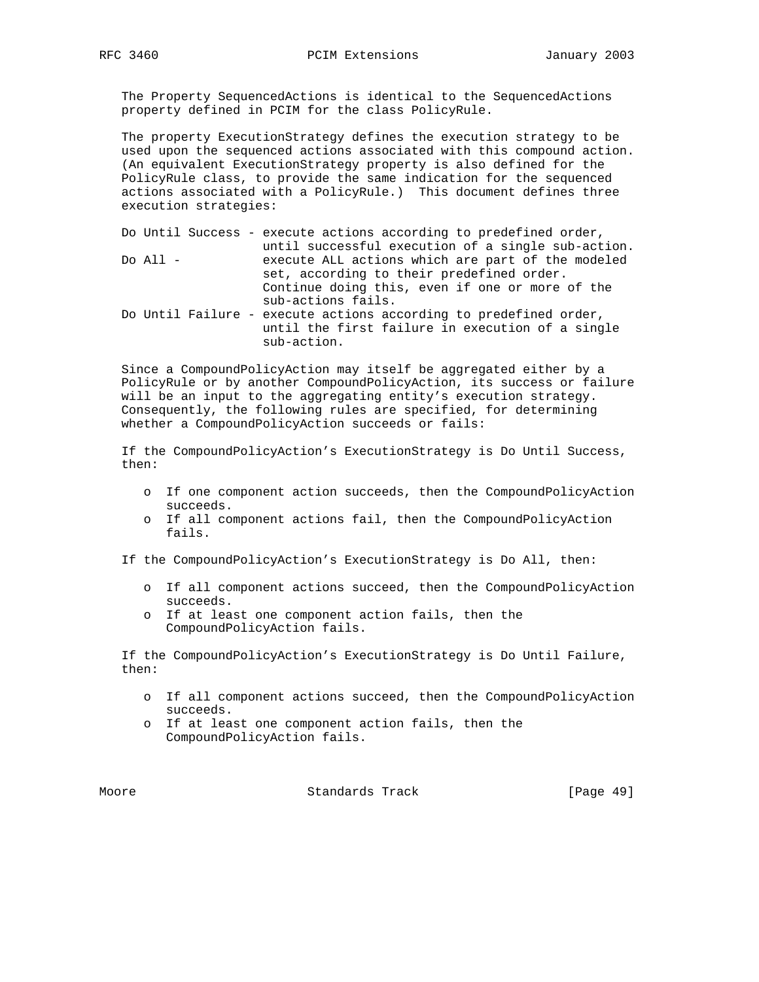The Property SequencedActions is identical to the SequencedActions property defined in PCIM for the class PolicyRule.

 The property ExecutionStrategy defines the execution strategy to be used upon the sequenced actions associated with this compound action. (An equivalent ExecutionStrategy property is also defined for the PolicyRule class, to provide the same indication for the sequenced actions associated with a PolicyRule.) This document defines three execution strategies:

|            | Do Until Success - execute actions according to predefined order, |
|------------|-------------------------------------------------------------------|
|            | until successful execution of a single sub-action.                |
| Do All $-$ | execute ALL actions which are part of the modeled                 |
|            | set, according to their predefined order.                         |
|            | Continue doing this, even if one or more of the                   |
|            | sub-actions fails.                                                |
|            | Do Until Failure - execute actions according to predefined order, |
|            | until the first failure in execution of a single                  |
|            | sub-action.                                                       |

 Since a CompoundPolicyAction may itself be aggregated either by a PolicyRule or by another CompoundPolicyAction, its success or failure will be an input to the aggregating entity's execution strategy. Consequently, the following rules are specified, for determining whether a CompoundPolicyAction succeeds or fails:

 If the CompoundPolicyAction's ExecutionStrategy is Do Until Success, then:

- o If one component action succeeds, then the CompoundPolicyAction succeeds.
- o If all component actions fail, then the CompoundPolicyAction fails.

If the CompoundPolicyAction's ExecutionStrategy is Do All, then:

- o If all component actions succeed, then the CompoundPolicyAction succeeds.
- o If at least one component action fails, then the CompoundPolicyAction fails.

 If the CompoundPolicyAction's ExecutionStrategy is Do Until Failure, then:

- o If all component actions succeed, then the CompoundPolicyAction succeeds.
- o If at least one component action fails, then the CompoundPolicyAction fails.

Moore Standards Track [Page 49]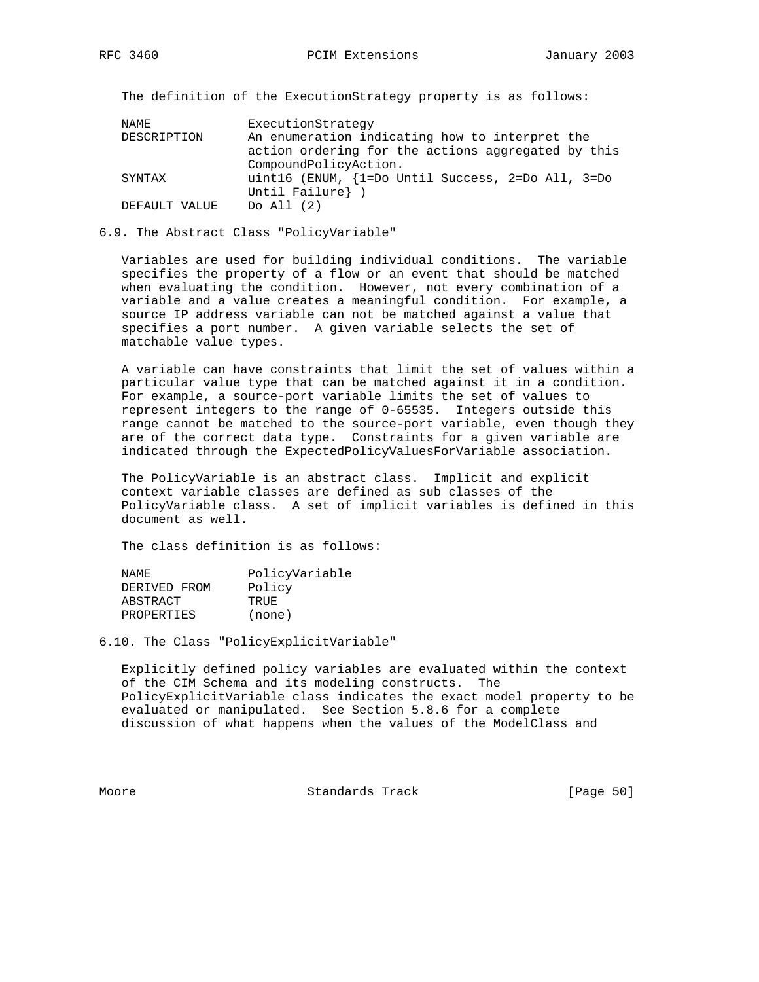The definition of the ExecutionStrategy property is as follows:

| NAME          | ExecutionStrategy                                                                                    |
|---------------|------------------------------------------------------------------------------------------------------|
| DESCRIPTION   | An enumeration indicating how to interpret the<br>action ordering for the actions aggregated by this |
|               | CompoundPolicyAction.                                                                                |
| SYNTAX        | uint16 (ENUM, {1=Do Until Success, 2=Do All, 3=Do                                                    |
|               | Until Failure} )                                                                                     |
| DEFAULT VALUE | Do All $(2)$                                                                                         |

### 6.9. The Abstract Class "PolicyVariable"

 Variables are used for building individual conditions. The variable specifies the property of a flow or an event that should be matched when evaluating the condition. However, not every combination of a variable and a value creates a meaningful condition. For example, a source IP address variable can not be matched against a value that specifies a port number. A given variable selects the set of matchable value types.

 A variable can have constraints that limit the set of values within a particular value type that can be matched against it in a condition. For example, a source-port variable limits the set of values to represent integers to the range of 0-65535. Integers outside this range cannot be matched to the source-port variable, even though they are of the correct data type. Constraints for a given variable are indicated through the ExpectedPolicyValuesForVariable association.

 The PolicyVariable is an abstract class. Implicit and explicit context variable classes are defined as sub classes of the PolicyVariable class. A set of implicit variables is defined in this document as well.

The class definition is as follows:

| NAMF.             | PolicyVariable |
|-------------------|----------------|
| DERIVED FROM      | Policy         |
| ABSTRACT          | TRUE.          |
| <b>PROPERTIES</b> | (none)         |

6.10. The Class "PolicyExplicitVariable"

 Explicitly defined policy variables are evaluated within the context of the CIM Schema and its modeling constructs. The PolicyExplicitVariable class indicates the exact model property to be evaluated or manipulated. See Section 5.8.6 for a complete discussion of what happens when the values of the ModelClass and

Moore **Standards Track** [Page 50]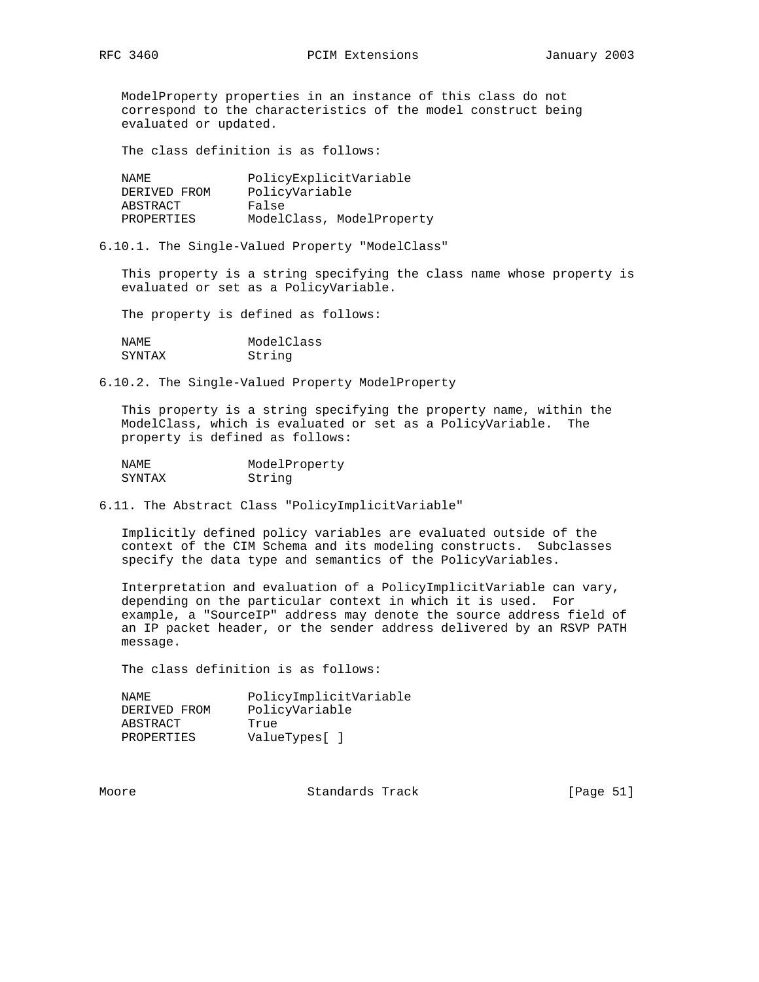ModelProperty properties in an instance of this class do not correspond to the characteristics of the model construct being evaluated or updated.

The class definition is as follows:

| NAMF.        | PolicyExplicitVariable    |
|--------------|---------------------------|
| DERIVED FROM | PolicyVariable            |
| ABSTRACT     | False                     |
| PROPERTIES   | ModelClass, ModelProperty |

6.10.1. The Single-Valued Property "ModelClass"

 This property is a string specifying the class name whose property is evaluated or set as a PolicyVariable.

The property is defined as follows:

| NAMF.  | ModelClass |
|--------|------------|
| SYNTAX | String     |

6.10.2. The Single-Valued Property ModelProperty

 This property is a string specifying the property name, within the ModelClass, which is evaluated or set as a PolicyVariable. The property is defined as follows:

| NAMF.  | ModelProperty |
|--------|---------------|
| SYNTAX | String        |

6.11. The Abstract Class "PolicyImplicitVariable"

 Implicitly defined policy variables are evaluated outside of the context of the CIM Schema and its modeling constructs. Subclasses specify the data type and semantics of the PolicyVariables.

 Interpretation and evaluation of a PolicyImplicitVariable can vary, depending on the particular context in which it is used. For example, a "SourceIP" address may denote the source address field of an IP packet header, or the sender address delivered by an RSVP PATH message.

The class definition is as follows:

| NAMF.        | PolicyImplicitVariable |
|--------------|------------------------|
| DERIVED FROM | PolicyVariable         |
| ABSTRACT     | True                   |
| PROPERTIES   | ValueTypes[]           |

Moore **Standards Track** [Page 51]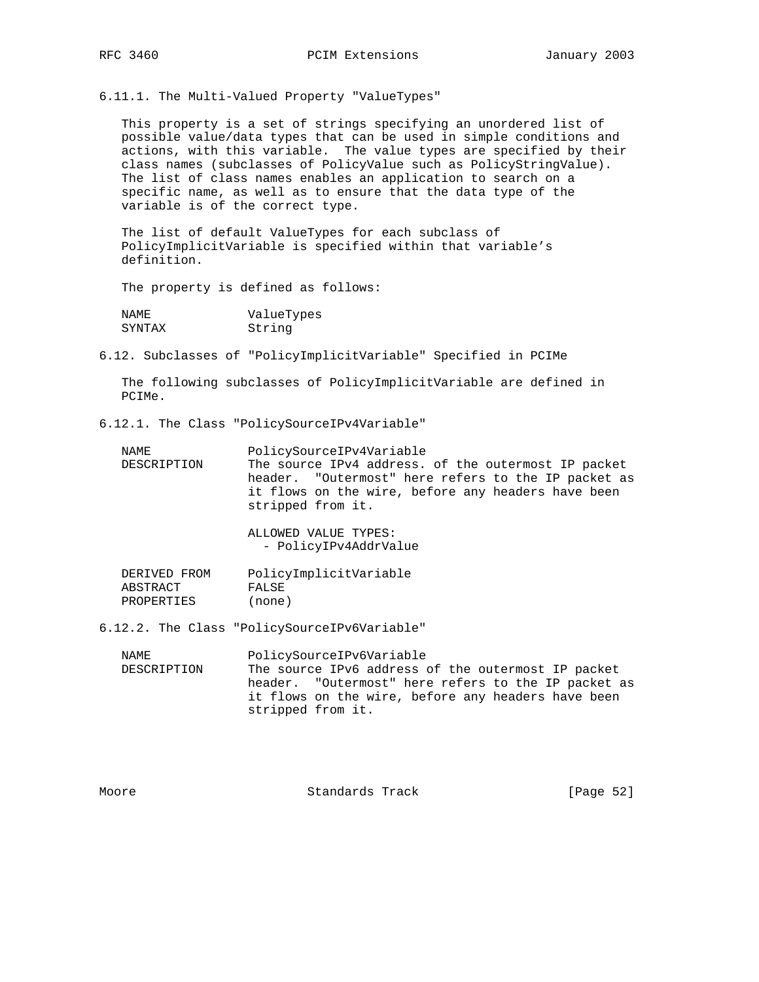6.11.1. The Multi-Valued Property "ValueTypes"

 This property is a set of strings specifying an unordered list of possible value/data types that can be used in simple conditions and actions, with this variable. The value types are specified by their class names (subclasses of PolicyValue such as PolicyStringValue). The list of class names enables an application to search on a specific name, as well as to ensure that the data type of the variable is of the correct type.

 The list of default ValueTypes for each subclass of PolicyImplicitVariable is specified within that variable's definition.

The property is defined as follows:

| NAMF.  | ValueTypes |
|--------|------------|
| SYNTAX | String     |

6.12. Subclasses of "PolicyImplicitVariable" Specified in PCIMe

 The following subclasses of PolicyImplicitVariable are defined in PCIMe.

6.12.1. The Class "PolicySourceIPv4Variable"

| NAME        | PolicySourceIPv4Variable                            |
|-------------|-----------------------------------------------------|
| DESCRIPTION | The source IPv4 address. of the outermost IP packet |
|             | header. "Outermost" here refers to the IP packet as |
|             | it flows on the wire, before any headers have been  |
|             | stripped from it.                                   |

 ALLOWED VALUE TYPES: - PolicyIPv4AddrValue

DERIVED FROM PolicyImplicitVariable<br>ABSTRACT FALSE **ABSTRACT** PROPERTIES (none)

6.12.2. The Class "PolicySourceIPv6Variable"

| NAME        | PolicySourceIPv6Variable                            |
|-------------|-----------------------------------------------------|
| DESCRIPTION | The source IPv6 address of the outermost IP packet  |
|             | header. "Outermost" here refers to the IP packet as |
|             | it flows on the wire, before any headers have been  |
|             | stripped from it.                                   |

Moore Standards Track [Page 52]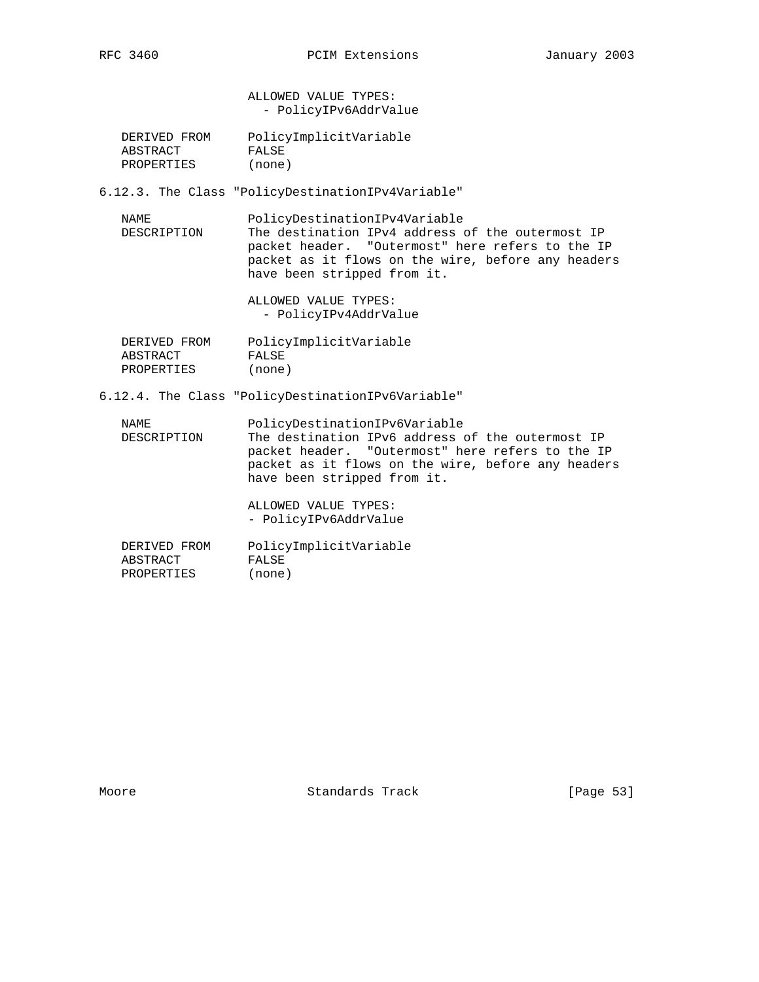ALLOWED VALUE TYPES: - PolicyIPv6AddrValue

| DERIVED FROM | PolicyImplicitVariable |
|--------------|------------------------|
| ABSTRACT     | FALSE                  |
| PROPERTIES   | (none)                 |

6.12.3. The Class "PolicyDestinationIPv4Variable"

 NAME PolicyDestinationIPv4Variable DESCRIPTION The destination IPv4 address of the outermost IP packet header. "Outermost" here refers to the IP packet as it flows on the wire, before any headers have been stripped from it.

> ALLOWED VALUE TYPES: - PolicyIPv4AddrValue

| DERIVED FROM | PolicyImplicitVariable |
|--------------|------------------------|
| ABSTRACT     | FALSE                  |
| PROPERTIES   | (none)                 |

6.12.4. The Class "PolicyDestinationIPv6Variable"

 NAME PolicyDestinationIPv6Variable DESCRIPTION The destination IPv6 address of the outermost IP packet header. "Outermost" here refers to the IP packet as it flows on the wire, before any headers have been stripped from it.

> ALLOWED VALUE TYPES: - PolicyIPv6AddrValue

| DERIVED FROM | PolicyImplicitVariable |
|--------------|------------------------|
| ABSTRACT     | FALSE                  |
| PROPERTIES   | (none)                 |

Moore Standards Track [Page 53]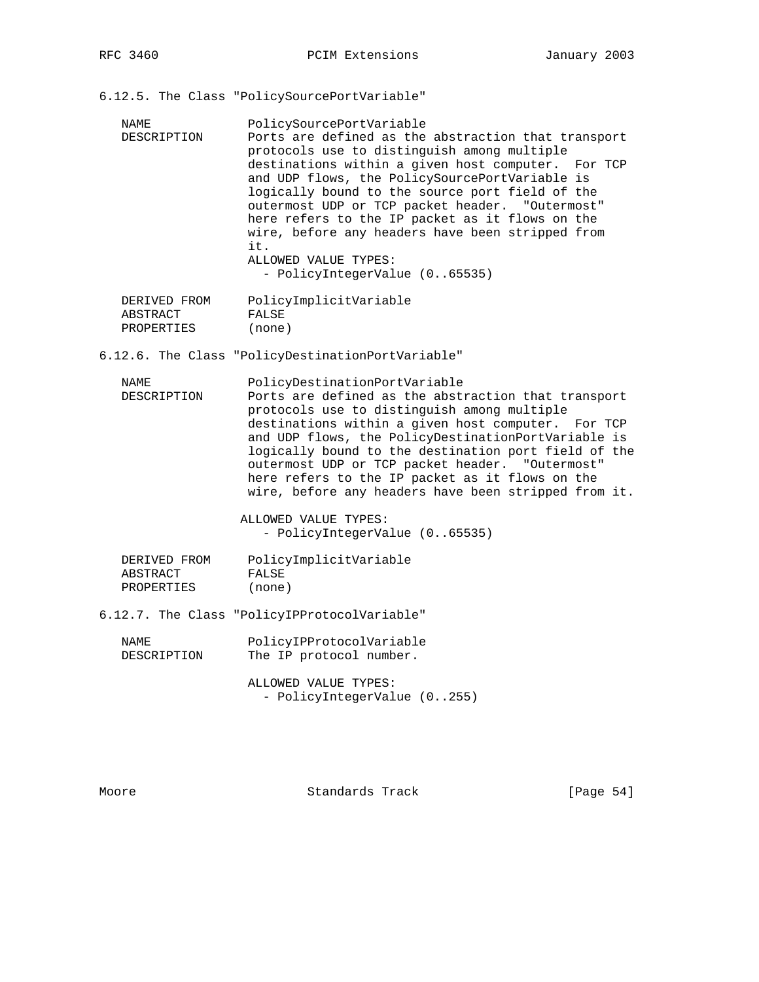RFC 3460 **PCIM Extensions** January 2003

- 6.12.5. The Class "PolicySourcePortVariable"
	- NAME PolicySourcePortVariable DESCRIPTION Ports are defined as the abstraction that transport protocols use to distinguish among multiple destinations within a given host computer. For TCP and UDP flows, the PolicySourcePortVariable is logically bound to the source port field of the outermost UDP or TCP packet header. "Outermost" here refers to the IP packet as it flows on the wire, before any headers have been stripped from it. ALLOWED VALUE TYPES: - PolicyIntegerValue (0..65535)

| DERIVED FROM | PolicyImplicitVariable |
|--------------|------------------------|
| ABSTRACT     | FALSE                  |
| PROPERTIES   | (none)                 |

6.12.6. The Class "PolicyDestinationPortVariable"

 NAME PolicyDestinationPortVariable DESCRIPTION Ports are defined as the abstraction that transport protocols use to distinguish among multiple destinations within a given host computer. For TCP and UDP flows, the PolicyDestinationPortVariable is logically bound to the destination port field of the outermost UDP or TCP packet header. "Outermost" here refers to the IP packet as it flows on the wire, before any headers have been stripped from it.

> ALLOWED VALUE TYPES: - PolicyIntegerValue (0..65535)

| DERIVED FROM | PolicyImplicitVariable |
|--------------|------------------------|
| ABSTRACT     | FALSE                  |
| PROPERTIES   | (none)                 |

6.12.7. The Class "PolicyIPProtocolVariable"

| NAMF.       | PolicyIPProtocolVariable |
|-------------|--------------------------|
| DESCRIPTION | The IP protocol number.  |

 ALLOWED VALUE TYPES: - PolicyIntegerValue (0..255)

Moore **Standards Track** [Page 54]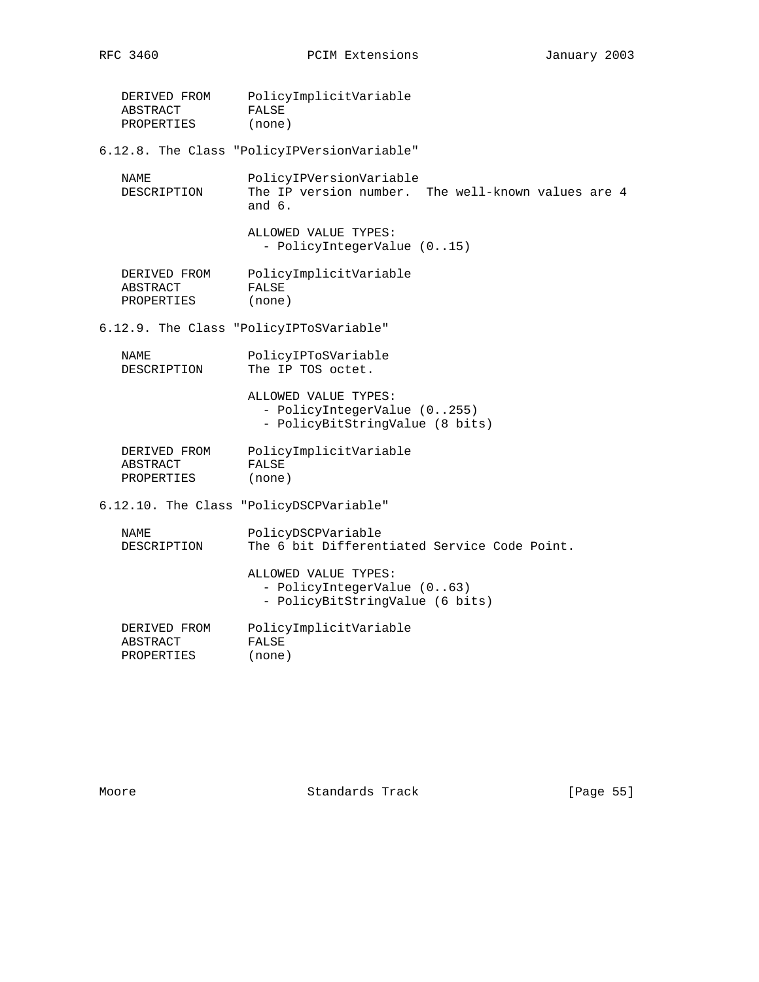| DERIVED FROM<br>ABSTRACT<br>PROPERTIES | PolicyImplicitVariable<br>FALSE<br>(none)                                                 |
|----------------------------------------|-------------------------------------------------------------------------------------------|
|                                        | 6.12.8. The Class "PolicyIPVersionVariable"                                               |
| NAME<br>DESCRIPTION                    | PolicyIPVersionVariable<br>The IP version number. The well-known values are 4<br>and $6.$ |
|                                        | ALLOWED VALUE TYPES:<br>- PolicyIntegerValue (015)                                        |
| DERIVED FROM<br>ABSTRACT<br>PROPERTIES | PolicyImplicitVariable<br>FALSE<br>(none)                                                 |
|                                        | 6.12.9. The Class "PolicyIPToSVariable"                                                   |
| <b>NAME</b><br>DESCRIPTION             | PolicyIPToSVariable<br>The IP TOS octet.                                                  |
|                                        | ALLOWED VALUE TYPES:<br>- PolicyIntegerValue (0255)<br>- PolicyBitStringValue (8 bits)    |
| DERIVED FROM<br>ABSTRACT<br>PROPERTIES | PolicyImplicitVariable<br>FALSE<br>(none)                                                 |
|                                        | 6.12.10. The Class "PolicyDSCPVariable"                                                   |
| NAME<br>DESCRIPTION                    | PolicyDSCPVariable<br>The 6 bit Differentiated Service Code Point.                        |
|                                        | ALLOWED VALUE TYPES:<br>- PolicyIntegerValue (063)<br>- PolicyBitStringValue (6 bits)     |
| DERIVED FROM<br>ABSTRACT<br>PROPERTIES | PolicyImplicitVariable<br>FALSE<br>(none)                                                 |

Moore Standards Track [Page 55]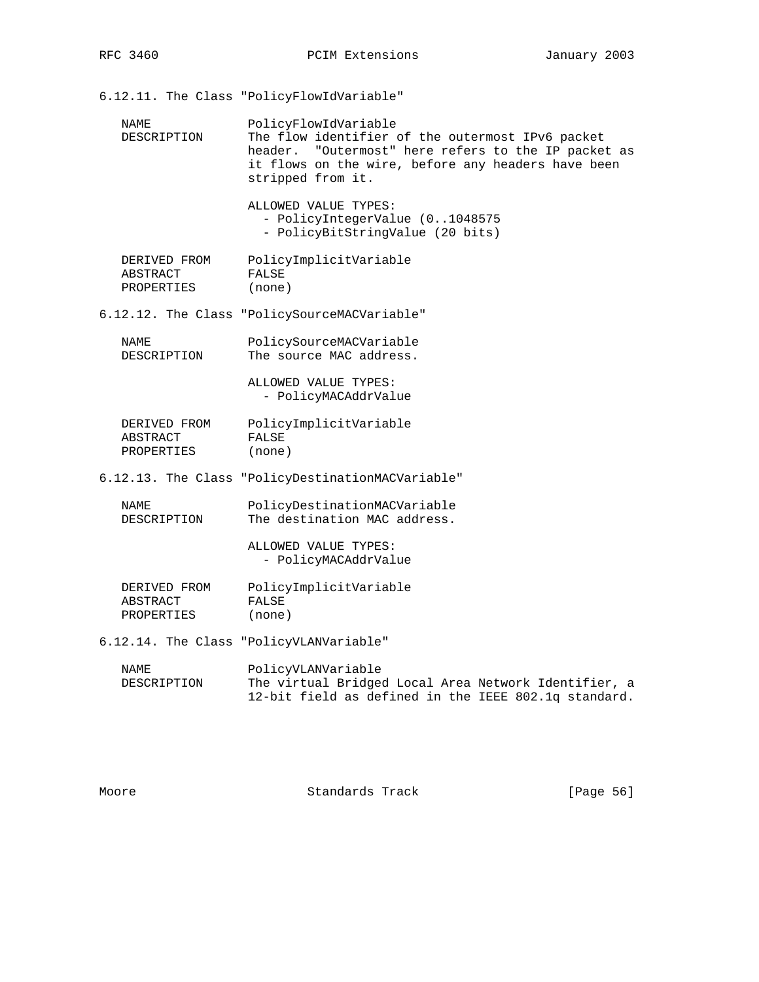6.12.11. The Class "PolicyFlowIdVariable" NAME PolicyFlowIdVariable DESCRIPTION The flow identifier of the outermost IPv6 packet header. "Outermost" here refers to the IP packet as it flows on the wire, before any headers have been stripped from it. ALLOWED VALUE TYPES: - PolicyIntegerValue (0..1048575 - PolicyBitStringValue (20 bits) DERIVED FROM PolicyImplicitVariable ABSTRACT FALSE PROPERTIES (none) 6.12.12. The Class "PolicySourceMACVariable" NAME PolicySourceMACVariable DESCRIPTION The source MAC address. ALLOWED VALUE TYPES: - PolicyMACAddrValue DERIVED FROM PolicyImplicitVariable<br>ABSTRACT FALSE ABSTRACT FALSE PROPERTIES (none) 6.12.13. The Class "PolicyDestinationMACVariable" NAME PolicyDestinationMACVariable<br>DESCRIPTION The destination MAC address. The destination MAC address. ALLOWED VALUE TYPES: - PolicyMACAddrValue DERIVED FROM PolicyImplicitVariable<br>ABSTRACT FALSE **ABSTRACT**  PROPERTIES (none) 6.12.14. The Class "PolicyVLANVariable" NAME PolicyVLANVariable<br>DESCRIPTION The virtual Bridge The virtual Bridged Local Area Network Identifier, a 12-bit field as defined in the IEEE 802.1q standard.

Moore **Standards Track** [Page 56]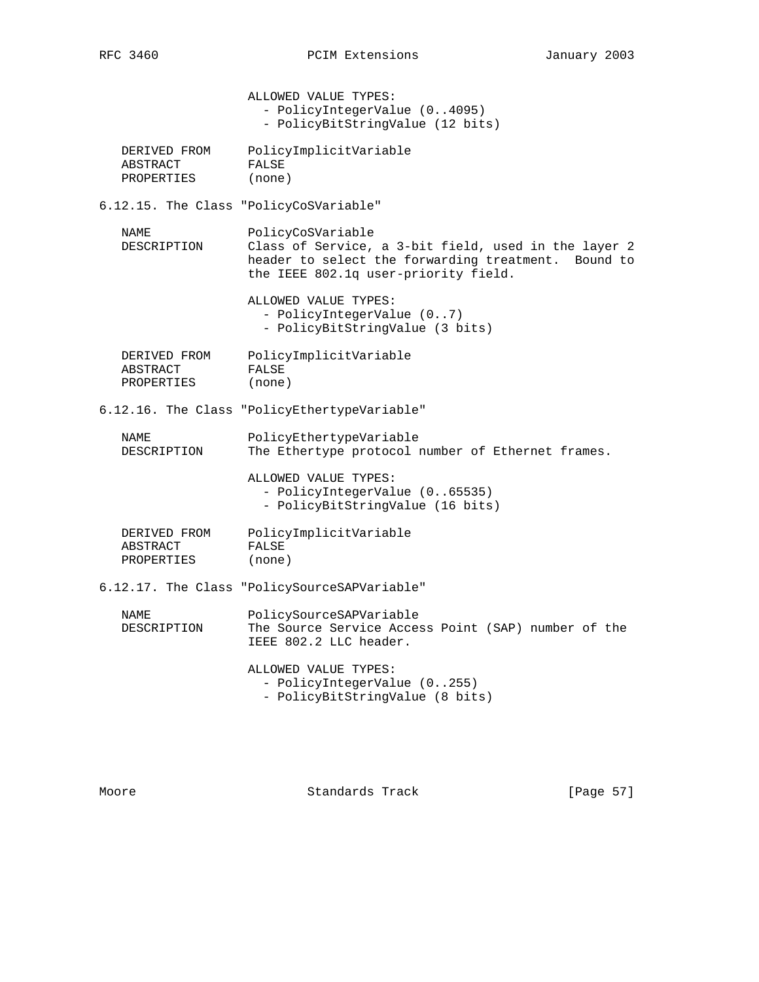- PolicyIntegerValue (0..4095)

ALLOWED VALUE TYPES:

|                                        | - PolicyBitStringValue (12 bits)                                                                                                                                         |
|----------------------------------------|--------------------------------------------------------------------------------------------------------------------------------------------------------------------------|
| DERIVED FROM<br>ABSTRACT<br>PROPERTIES | PolicyImplicitVariable<br>FALSE<br>(none)                                                                                                                                |
|                                        |                                                                                                                                                                          |
|                                        | 6.12.15. The Class "PolicyCoSVariable"                                                                                                                                   |
| NAME<br>DESCRIPTION                    | PolicyCoSVariable<br>Class of Service, a 3-bit field, used in the layer 2<br>header to select the forwarding treatment. Bound to<br>the IEEE 802.1q user-priority field. |
|                                        | ALLOWED VALUE TYPES:<br>- PolicyIntegerValue (07)<br>- PolicyBitStringValue (3 bits)                                                                                     |
| DERIVED FROM<br>ABSTRACT<br>PROPERTIES | PolicyImplicitVariable<br>FALSE<br>(none)                                                                                                                                |
|                                        | 6.12.16. The Class "PolicyEthertypeVariable"                                                                                                                             |
| NAME<br>DESCRIPTION                    | PolicyEthertypeVariable<br>The Ethertype protocol number of Ethernet frames.                                                                                             |
|                                        | ALLOWED VALUE TYPES:<br>- PolicyIntegerValue (065535)<br>- PolicyBitStringValue (16 bits)                                                                                |
| DERIVED FROM<br>ABSTRACT<br>PROPERTIES | PolicyImplicitVariable<br>FALSE<br>(none)                                                                                                                                |
|                                        | 6.12.17. The Class "PolicySourceSAPVariable"                                                                                                                             |
| NAME<br>DESCRIPTION                    | PolicySourceSAPVariable<br>The Source Service Access Point (SAP) number of the<br>IEEE 802.2 LLC header.                                                                 |
|                                        | ALLOWED VALUE TYPES:<br>- PolicyIntegerValue (0255)<br>- PolicyBitStringValue (8 bits)                                                                                   |
|                                        |                                                                                                                                                                          |

Moore Standards Track [Page 57]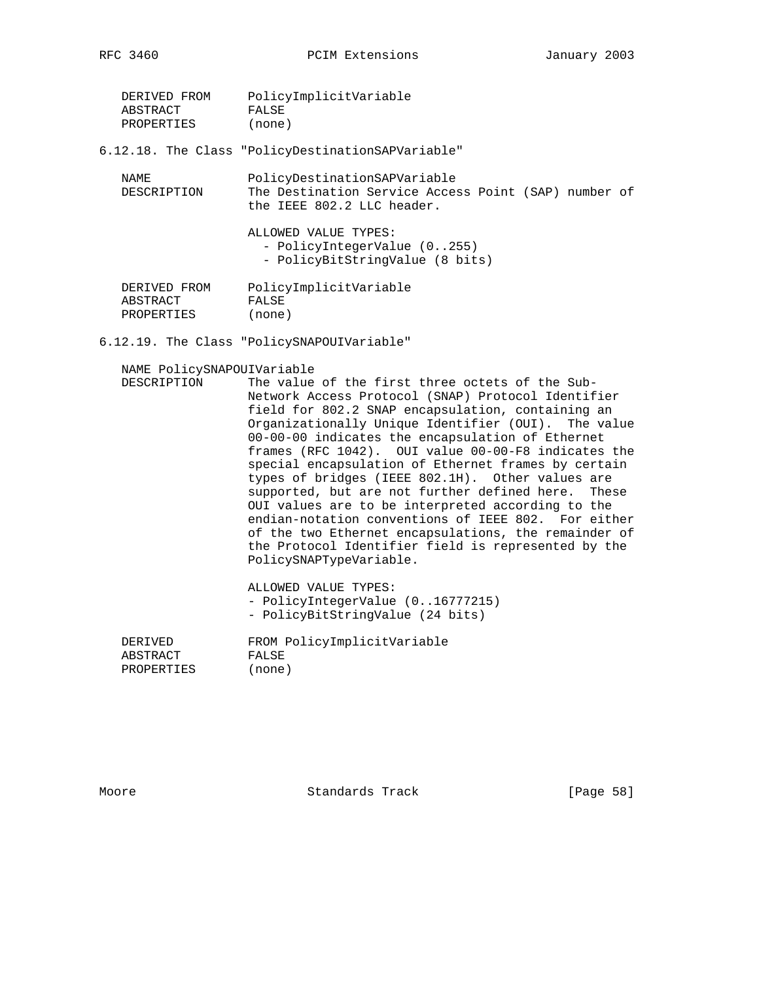| DERIVED FROM | PolicyImplicitVariable |
|--------------|------------------------|
| ABSTRACT     | FALSE                  |
| PROPERTIES   | (none)                 |

6.12.18. The Class "PolicyDestinationSAPVariable"

| NAME.<br>DESCRIPTION                          | PolicyDestinationSAPVariable<br>The Destination Service Access Point (SAP) number of<br>the IEEE 802.2 LLC header. |
|-----------------------------------------------|--------------------------------------------------------------------------------------------------------------------|
|                                               | ALLOWED VALUE TYPES:<br>- PolicyIntegerValue (0255)<br>- PolicyBitStringValue (8 bits)                             |
| DERIVED FROM<br>ABSTRACT<br><b>PROPERTIES</b> | PolicyImplicitVariable<br>FALSE<br>(none)                                                                          |

6.12.19. The Class "PolicySNAPOUIVariable"

NAME PolicySNAPOUIVariable

 DESCRIPTION The value of the first three octets of the Sub- Network Access Protocol (SNAP) Protocol Identifier field for 802.2 SNAP encapsulation, containing an Organizationally Unique Identifier (OUI). The value 00-00-00 indicates the encapsulation of Ethernet frames (RFC 1042). OUI value 00-00-F8 indicates the special encapsulation of Ethernet frames by certain types of bridges (IEEE 802.1H). Other values are supported, but are not further defined here. These OUI values are to be interpreted according to the endian-notation conventions of IEEE 802. For either of the two Ethernet encapsulations, the remainder of the Protocol Identifier field is represented by the PolicySNAPTypeVariable.

> ALLOWED VALUE TYPES: - PolicyIntegerValue (0..16777215) - PolicyBitStringValue (24 bits)

| DERIVED    | FROM PolicyImplicitVariable |
|------------|-----------------------------|
| ABSTRACT   | FALSE                       |
| PROPERTIES | (none)                      |

Moore Standards Track [Page 58]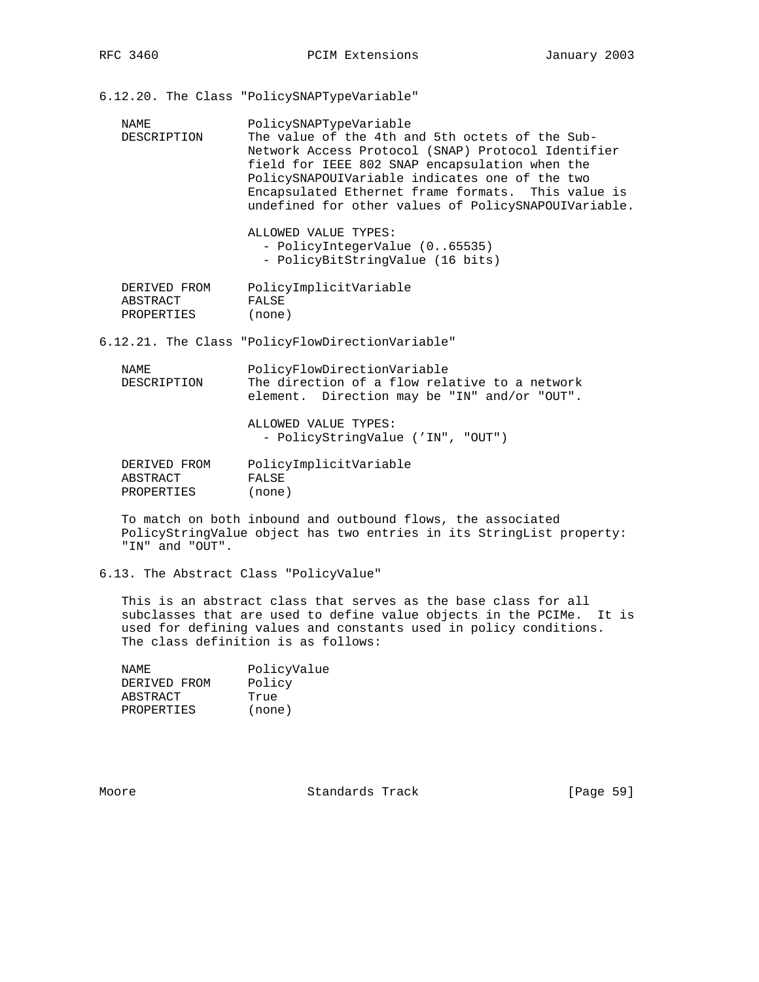6.12.20. The Class "PolicySNAPTypeVariable"

| NAME<br>DESCRIPTION                    | PolicySNAPTypeVariable<br>The value of the 4th and 5th octets of the Sub-<br>Network Access Protocol (SNAP) Protocol Identifier<br>field for IEEE 802 SNAP encapsulation when the<br>PolicySNAPOUIVariable indicates one of the two<br>Encapsulated Ethernet frame formats. This value is<br>undefined for other values of PolicySNAPOUIVariable.<br>ALLOWED VALUE TYPES:<br>- PolicyIntegerValue (065535)<br>- PolicyBitStringValue (16 bits) |
|----------------------------------------|------------------------------------------------------------------------------------------------------------------------------------------------------------------------------------------------------------------------------------------------------------------------------------------------------------------------------------------------------------------------------------------------------------------------------------------------|
| DERIVED FROM<br>ABSTRACT<br>PROPERTIES | PolicyImplicitVariable<br>FALSE<br>(none)                                                                                                                                                                                                                                                                                                                                                                                                      |
|                                        | 6.12.21. The Class "PolicyFlowDirectionVariable"                                                                                                                                                                                                                                                                                                                                                                                               |
| NAME<br>DESCRIPTION                    | PolicyFlowDirectionVariable<br>The direction of a flow relative to a network<br>element. Direction may be "IN" and/or "OUT".                                                                                                                                                                                                                                                                                                                   |
|                                        | ALLOWED VALUE TYPES:<br>- PolicyStringValue ('IN", "OUT")                                                                                                                                                                                                                                                                                                                                                                                      |
| DERIVED FROM<br>ABSTRACT<br>PROPERTIES | PolicyImplicitVariable<br>FALSE<br>(none)                                                                                                                                                                                                                                                                                                                                                                                                      |

 To match on both inbound and outbound flows, the associated PolicyStringValue object has two entries in its StringList property: "IN" and "OUT".

6.13. The Abstract Class "PolicyValue"

 This is an abstract class that serves as the base class for all subclasses that are used to define value objects in the PCIMe. It is used for defining values and constants used in policy conditions. The class definition is as follows:

| NAME.        | PolicyValue |
|--------------|-------------|
| DERIVED FROM | Policy      |
| ABSTRACT     | True        |
| PROPERTIES   | (none)      |

Moore Standards Track [Page 59]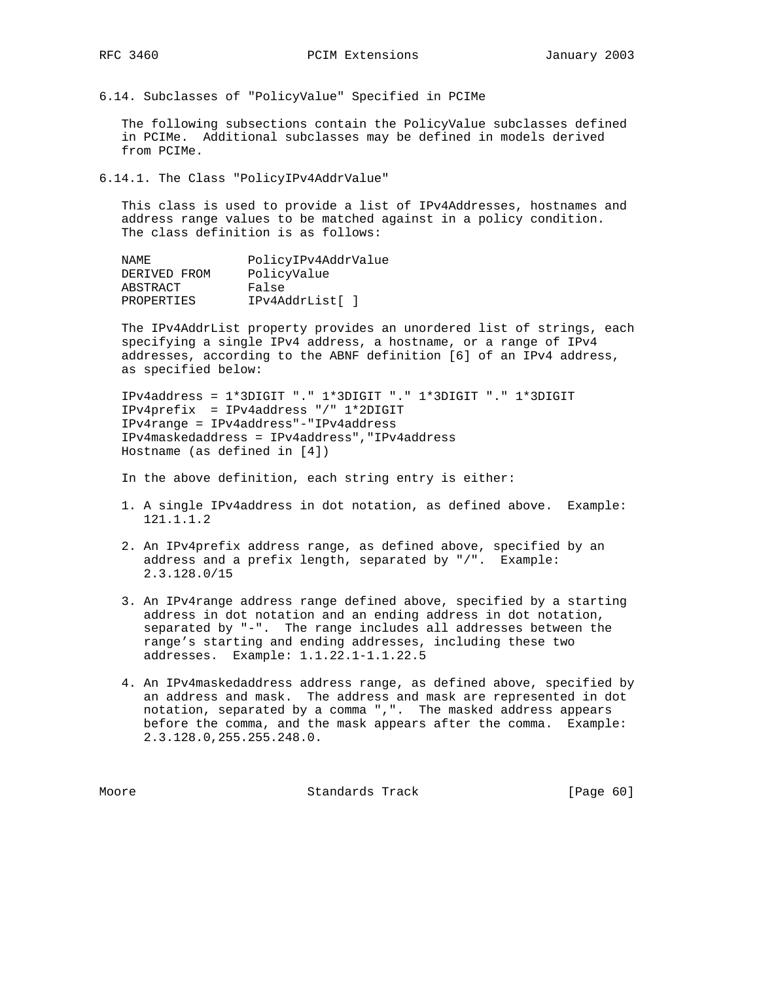6.14. Subclasses of "PolicyValue" Specified in PCIMe

 The following subsections contain the PolicyValue subclasses defined in PCIMe. Additional subclasses may be defined in models derived from PCIMe.

6.14.1. The Class "PolicyIPv4AddrValue"

 This class is used to provide a list of IPv4Addresses, hostnames and address range values to be matched against in a policy condition. The class definition is as follows:

| NAMF.             | PolicyIPv4AddrValue |  |
|-------------------|---------------------|--|
| DERIVED FROM      | PolicyValue         |  |
| ABSTRACT          | False               |  |
| <b>PROPERTIES</b> | IPv4AddrList[ ]     |  |

 The IPv4AddrList property provides an unordered list of strings, each specifying a single IPv4 address, a hostname, or a range of IPv4 addresses, according to the ABNF definition [6] of an IPv4 address, as specified below:

 IPv4address = 1\*3DIGIT "." 1\*3DIGIT "." 1\*3DIGIT "." 1\*3DIGIT IPv4prefix = IPv4address "/" 1\*2DIGIT IPv4range = IPv4address"-"IPv4address IPv4maskedaddress = IPv4address","IPv4address Hostname (as defined in [4])

In the above definition, each string entry is either:

- 1. A single IPv4address in dot notation, as defined above. Example: 121.1.1.2
- 2. An IPv4prefix address range, as defined above, specified by an address and a prefix length, separated by "/". Example: 2.3.128.0/15
- 3. An IPv4range address range defined above, specified by a starting address in dot notation and an ending address in dot notation, separated by "-". The range includes all addresses between the range's starting and ending addresses, including these two addresses. Example: 1.1.22.1-1.1.22.5
- 4. An IPv4maskedaddress address range, as defined above, specified by an address and mask. The address and mask are represented in dot notation, separated by a comma ",". The masked address appears before the comma, and the mask appears after the comma. Example: 2.3.128.0,255.255.248.0.

Moore Standards Track [Page 60]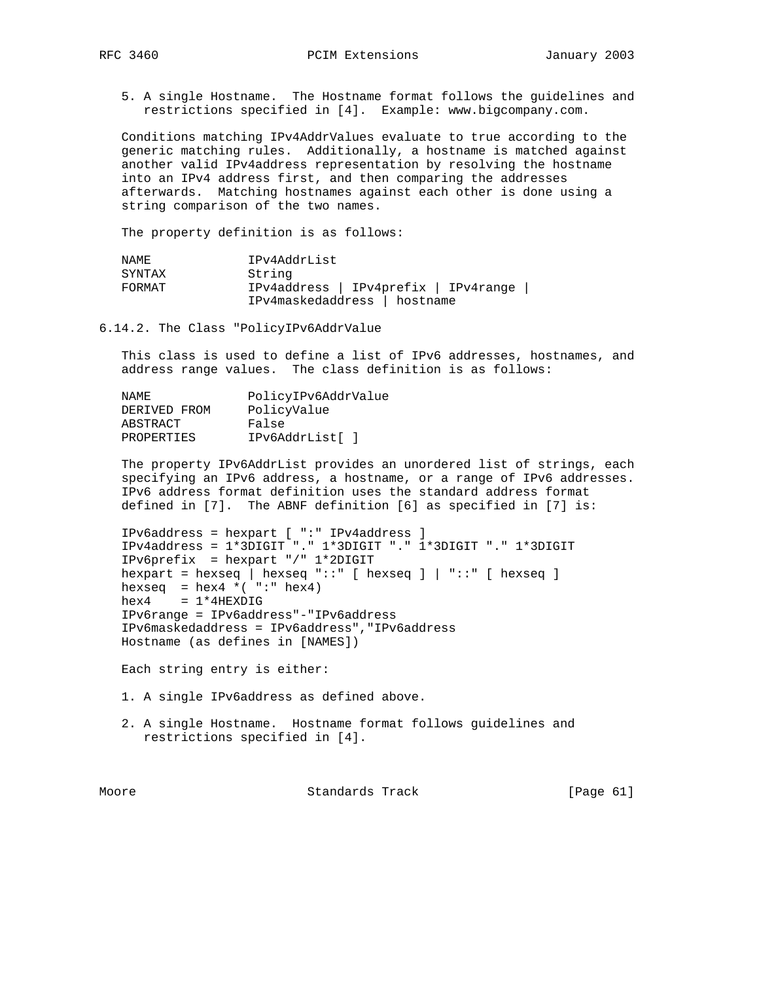5. A single Hostname. The Hostname format follows the guidelines and restrictions specified in [4]. Example: www.bigcompany.com.

 Conditions matching IPv4AddrValues evaluate to true according to the generic matching rules. Additionally, a hostname is matched against another valid IPv4address representation by resolving the hostname into an IPv4 address first, and then comparing the addresses afterwards. Matching hostnames against each other is done using a string comparison of the two names.

The property definition is as follows:

| NAMF.  | IPv4AddrList                         |  |  |
|--------|--------------------------------------|--|--|
| SYNTAX | String                               |  |  |
| FORMAT | IPv4address   IPv4prefix   IPv4range |  |  |
|        | IPv4maskedaddress   hostname         |  |  |

6.14.2. The Class "PolicyIPv6AddrValue

 This class is used to define a list of IPv6 addresses, hostnames, and address range values. The class definition is as follows:

| NAMF.        | PolicyIPv6AddrValue |
|--------------|---------------------|
| DERIVED FROM | PolicyValue         |
| ABSTRACT     | False               |
| PROPERTIES   | IPv6AddrList[ ]     |
|              |                     |

 The property IPv6AddrList provides an unordered list of strings, each specifying an IPv6 address, a hostname, or a range of IPv6 addresses. IPv6 address format definition uses the standard address format defined in [7]. The ABNF definition [6] as specified in [7] is:

```
 IPv6address = hexpart [ ":" IPv4address ]
 IPv4address = 1*3DIGIT "." 1*3DIGIT "." 1*3DIGIT "." 1*3DIGIT
 IPv6prefix = hexpart "/" 1*2DIGIT
hexpart = hexseq | hexseq "::" [ hexseq ] | "::" [ hexseq ]
hexseq = hex4 * ( "": " hex4)hex4 = 1*4HEXDIG
 IPv6range = IPv6address"-"IPv6address
 IPv6maskedaddress = IPv6address","IPv6address
 Hostname (as defines in [NAMES])
```
Each string entry is either:

- 1. A single IPv6address as defined above.
- 2. A single Hostname. Hostname format follows guidelines and restrictions specified in [4].

Moore Standards Track [Page 61]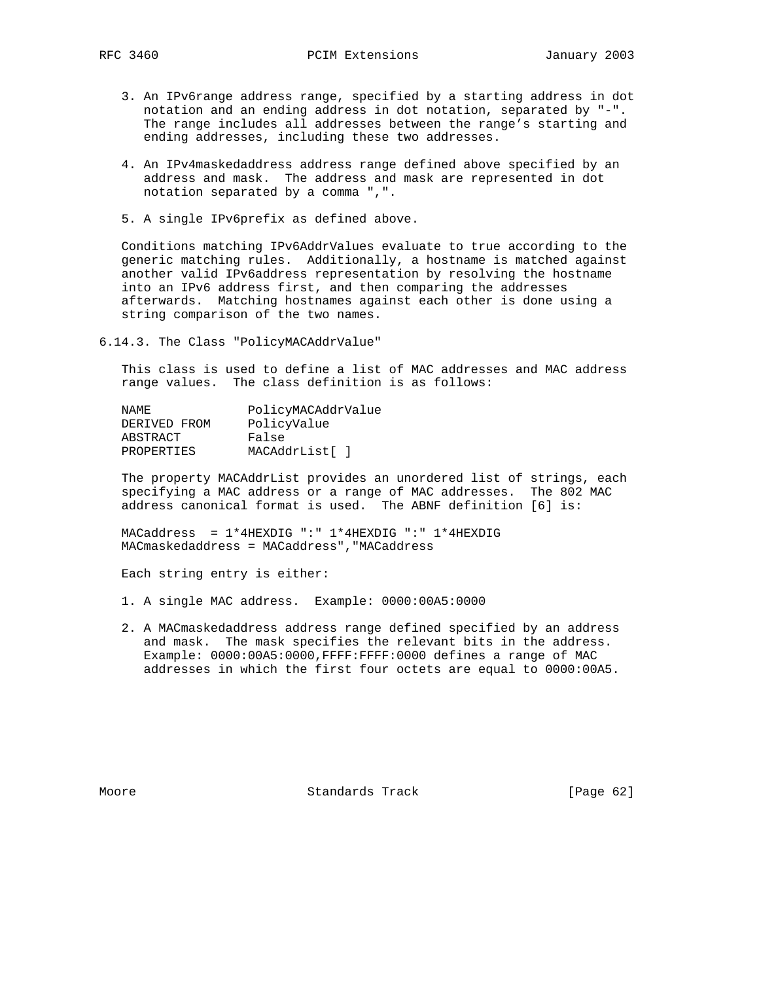- 3. An IPv6range address range, specified by a starting address in dot notation and an ending address in dot notation, separated by "-". The range includes all addresses between the range's starting and ending addresses, including these two addresses.
- 4. An IPv4maskedaddress address range defined above specified by an address and mask. The address and mask are represented in dot notation separated by a comma ",".
- 5. A single IPv6prefix as defined above.

 Conditions matching IPv6AddrValues evaluate to true according to the generic matching rules. Additionally, a hostname is matched against another valid IPv6address representation by resolving the hostname into an IPv6 address first, and then comparing the addresses afterwards. Matching hostnames against each other is done using a string comparison of the two names.

6.14.3. The Class "PolicyMACAddrValue"

 This class is used to define a list of MAC addresses and MAC address range values. The class definition is as follows:

| NAMF.        | PolicyMACAddrValue |
|--------------|--------------------|
| DERIVED FROM | PolicyValue        |
| ABSTRACT     | False              |
| PROPERTIES   | MACAddrList[ ]     |

 The property MACAddrList provides an unordered list of strings, each specifying a MAC address or a range of MAC addresses. The 802 MAC address canonical format is used. The ABNF definition [6] is:

 MACaddress = 1\*4HEXDIG ":" 1\*4HEXDIG ":" 1\*4HEXDIG MACmaskedaddress = MACaddress","MACaddress

Each string entry is either:

- 1. A single MAC address. Example: 0000:00A5:0000
- 2. A MACmaskedaddress address range defined specified by an address and mask. The mask specifies the relevant bits in the address. Example: 0000:00A5:0000,FFFF:FFFF:0000 defines a range of MAC addresses in which the first four octets are equal to 0000:00A5.

Moore **Standards Track** [Page 62]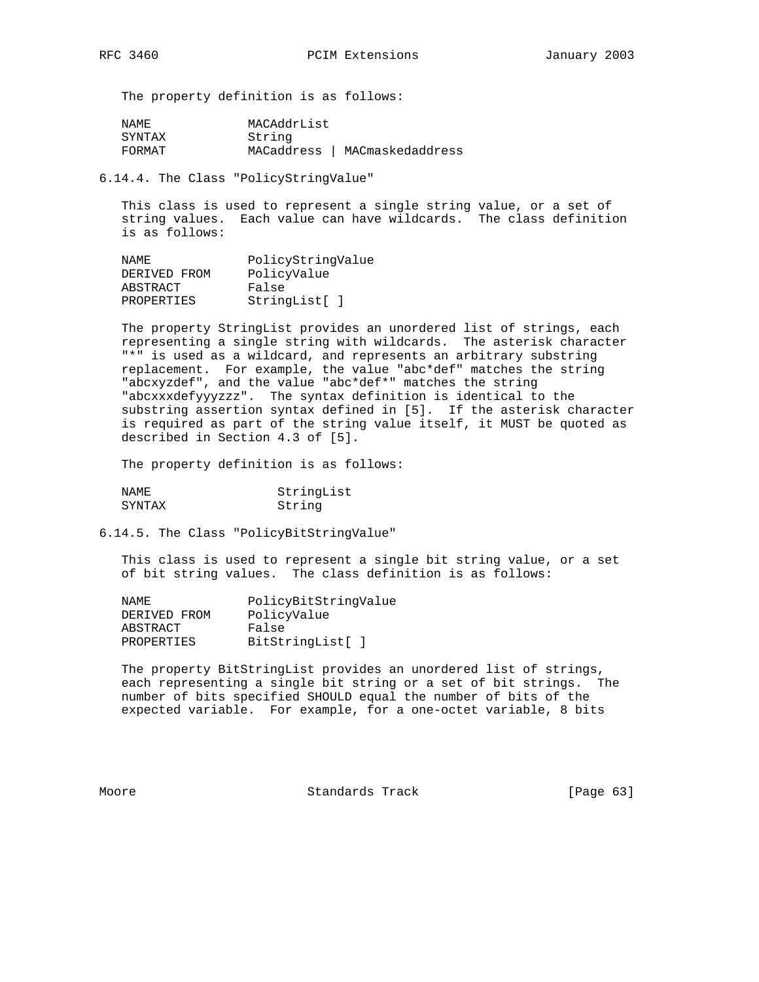The property definition is as follows:

| NAME.  | MACAddrList |                  |
|--------|-------------|------------------|
| SYNTAX | String      |                  |
| FORMAT | MACaddress  | MACmaskedaddress |

6.14.4. The Class "PolicyStringValue"

 This class is used to represent a single string value, or a set of string values. Each value can have wildcards. The class definition is as follows:

| NAMF.             | PolicyStringValue |
|-------------------|-------------------|
| DERIVED FROM      | PolicyValue       |
| ABSTRACT          | False             |
| <b>PROPERTIES</b> | StringList[]      |

 The property StringList provides an unordered list of strings, each representing a single string with wildcards. The asterisk character "\*" is used as a wildcard, and represents an arbitrary substring replacement. For example, the value "abc\*def" matches the string "abcxyzdef", and the value "abc\*def\*" matches the string "abcxxxdefyyyzzz". The syntax definition is identical to the substring assertion syntax defined in [5]. If the asterisk character is required as part of the string value itself, it MUST be quoted as described in Section 4.3 of [5].

The property definition is as follows:

| NAME.  | StringList |
|--------|------------|
| SYNTAX | String     |

6.14.5. The Class "PolicyBitStringValue"

 This class is used to represent a single bit string value, or a set of bit string values. The class definition is as follows:

| NAMF.        | PolicyBitStringValue |
|--------------|----------------------|
| DERIVED FROM | PolicyValue          |
| ABSTRACT     | False                |
| PROPERTIES   | BitStringList[]      |

 The property BitStringList provides an unordered list of strings, each representing a single bit string or a set of bit strings. The number of bits specified SHOULD equal the number of bits of the expected variable. For example, for a one-octet variable, 8 bits

Moore **Standards Track** [Page 63]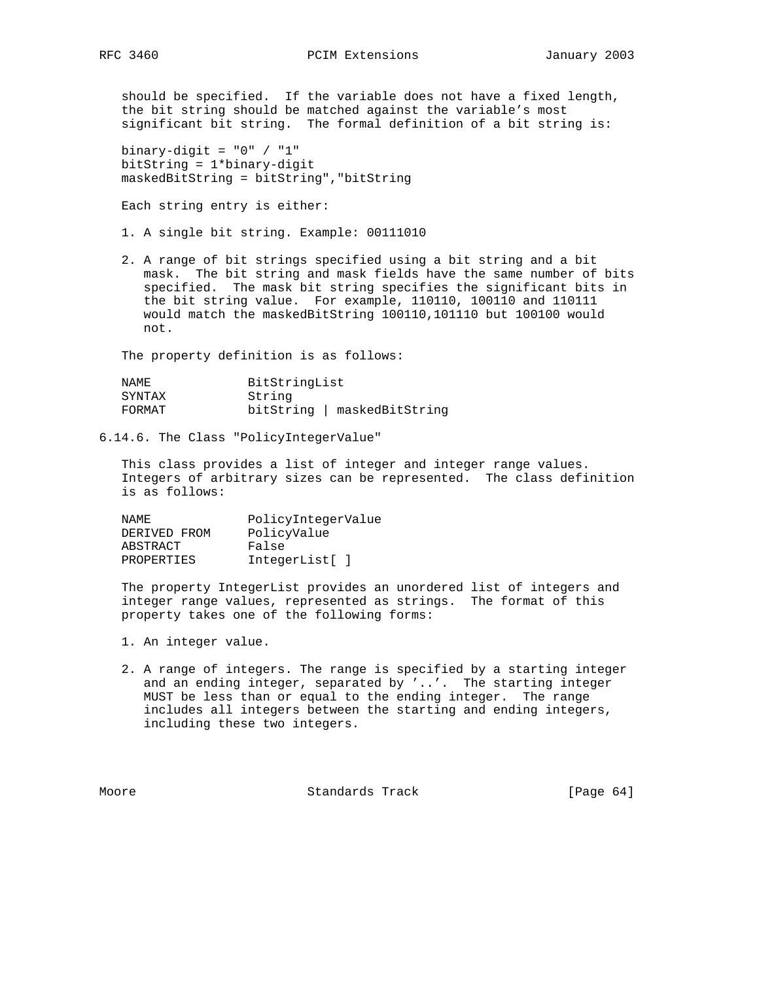should be specified. If the variable does not have a fixed length, the bit string should be matched against the variable's most significant bit string. The formal definition of a bit string is:

binary-digit =  $"0" / "1"$  bitString = 1\*binary-digit maskedBitString = bitString","bitString

Each string entry is either:

- 1. A single bit string. Example: 00111010
- 2. A range of bit strings specified using a bit string and a bit mask. The bit string and mask fields have the same number of bits specified. The mask bit string specifies the significant bits in the bit string value. For example, 110110, 100110 and 110111 would match the maskedBitString 100110,101110 but 100100 would not.

The property definition is as follows:

| NAMF.  | BitStringList               |
|--------|-----------------------------|
| SYNTAX | String                      |
| FORMAT | bitString   maskedBitString |

6.14.6. The Class "PolicyIntegerValue"

 This class provides a list of integer and integer range values. Integers of arbitrary sizes can be represented. The class definition is as follows:

| NAMF.        | PolicyIntegerValue |
|--------------|--------------------|
| DERIVED FROM | PolicyValue        |
| ABSTRACT     | False              |
| PROPERTIES   | IntegerList[]      |

 The property IntegerList provides an unordered list of integers and integer range values, represented as strings. The format of this property takes one of the following forms:

- 1. An integer value.
- 2. A range of integers. The range is specified by a starting integer and an ending integer, separated by '..'. The starting integer MUST be less than or equal to the ending integer. The range includes all integers between the starting and ending integers, including these two integers.

Moore Standards Track [Page 64]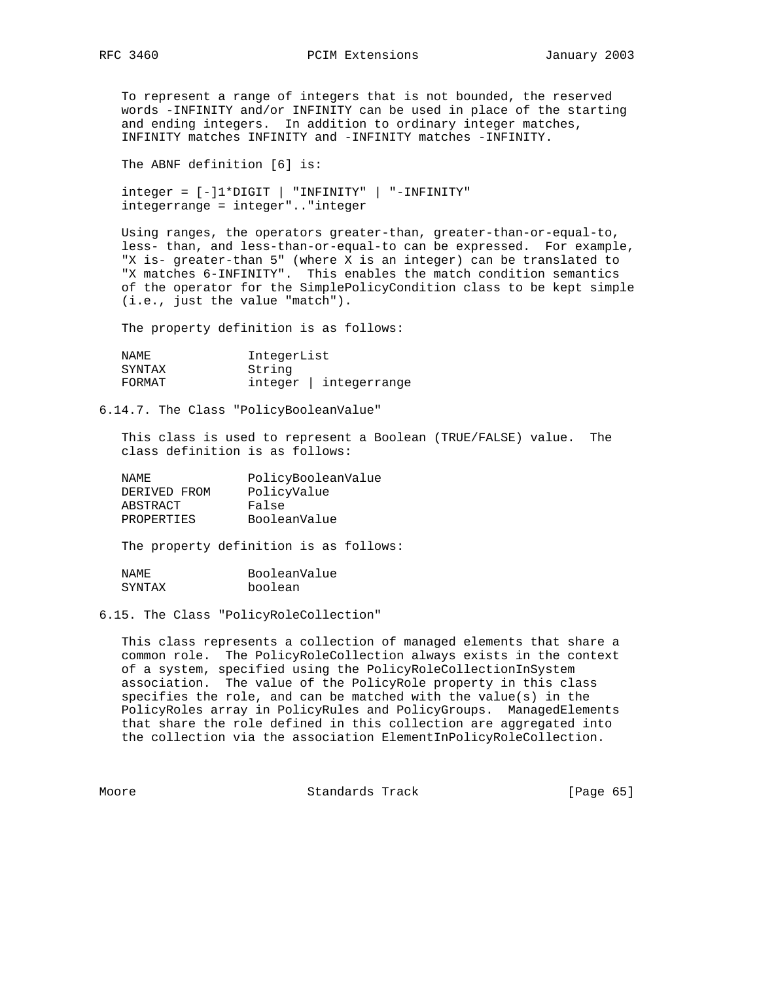RFC 3460 **PCIM Extensions** January 2003

 To represent a range of integers that is not bounded, the reserved words -INFINITY and/or INFINITY can be used in place of the starting and ending integers. In addition to ordinary integer matches, INFINITY matches INFINITY and -INFINITY matches -INFINITY.

The ABNF definition [6] is:

 integer = [-]1\*DIGIT | "INFINITY" | "-INFINITY" integerrange = integer".."integer

 Using ranges, the operators greater-than, greater-than-or-equal-to, less- than, and less-than-or-equal-to can be expressed. For example, "X is- greater-than 5" (where X is an integer) can be translated to "X matches 6-INFINITY". This enables the match condition semantics of the operator for the SimplePolicyCondition class to be kept simple (i.e., just the value "match").

The property definition is as follows:

| NAMF.  | IntegerList |                   |
|--------|-------------|-------------------|
| SYNTAX | String      |                   |
| FORMAT |             | integer   integer |

## 6.14.7. The Class "PolicyBooleanValue"

 This class is used to represent a Boolean (TRUE/FALSE) value. The class definition is as follows:

| NAMF.        | PolicyBooleanValue |
|--------------|--------------------|
| DERIVED FROM | PolicyValue        |
| ABSTRACT     | False              |
| PROPERTIES   | BooleanValue       |

The property definition is as follows:

| NAME.  | BooleanValue |
|--------|--------------|
| SYNTAX | boolean      |

6.15. The Class "PolicyRoleCollection"

 This class represents a collection of managed elements that share a common role. The PolicyRoleCollection always exists in the context of a system, specified using the PolicyRoleCollectionInSystem association. The value of the PolicyRole property in this class specifies the role, and can be matched with the value(s) in the PolicyRoles array in PolicyRules and PolicyGroups. ManagedElements that share the role defined in this collection are aggregated into the collection via the association ElementInPolicyRoleCollection.

Moore **Standards Track** [Page 65]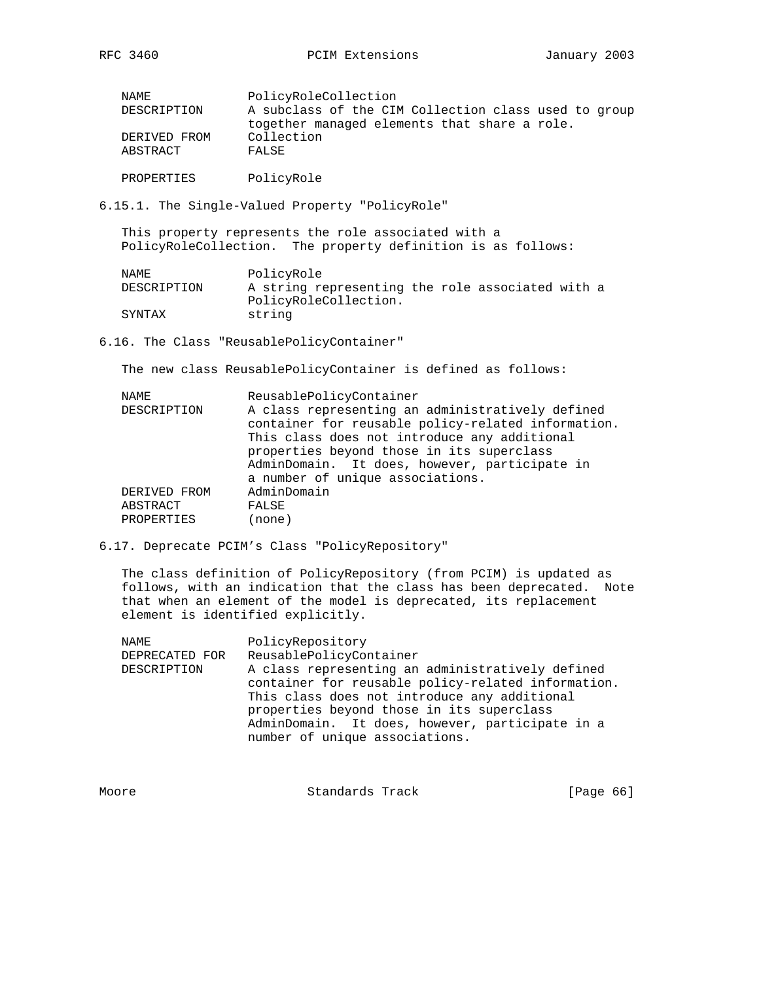| NAMF.                    | PolicyRoleCollection                                                                                 |
|--------------------------|------------------------------------------------------------------------------------------------------|
| DESCRIPTION              | A subclass of the CIM Collection class used to group<br>together managed elements that share a role. |
| DERIVED FROM<br>ABSTRACT | Collection<br>FALSE                                                                                  |
| PROPERTIES               | PolicyRole                                                                                           |

6.15.1. The Single-Valued Property "PolicyRole"

 This property represents the role associated with a PolicyRoleCollection. The property definition is as follows:

| NAME        | PolicyRole                                       |  |
|-------------|--------------------------------------------------|--|
| DESCRIPTION | A string representing the role associated with a |  |
|             | PolicyRoleCollection.                            |  |
| SYNTAX      | string                                           |  |

6.16. The Class "ReusablePolicyContainer"

The new class ReusablePolicyContainer is defined as follows:

| NAME         | ReusablePolicyContainer                            |
|--------------|----------------------------------------------------|
| DESCRIPTION  | A class representing an administratively defined   |
|              | container for reusable policy-related information. |
|              | This class does not introduce any additional       |
|              | properties beyond those in its superclass          |
|              | AdminDomain. It does, however, participate in      |
|              | a number of unique associations.                   |
| DERIVED FROM | AdminDomain                                        |
| ABSTRACT     | FALSE                                              |
| PROPERTIES   | 'none)                                             |
|              |                                                    |

6.17. Deprecate PCIM's Class "PolicyRepository"

 The class definition of PolicyRepository (from PCIM) is updated as follows, with an indication that the class has been deprecated. Note that when an element of the model is deprecated, its replacement element is identified explicitly.

| NAME           | PolicyRepository                                   |
|----------------|----------------------------------------------------|
| DEPRECATED FOR | ReusablePolicyContainer                            |
| DESCRIPTION    | A class representing an administratively defined   |
|                | container for reusable policy-related information. |
|                | This class does not introduce any additional       |
|                | properties beyond those in its superclass          |
|                | AdminDomain. It does, however, participate in a    |
|                | number of unique associations.                     |
|                |                                                    |

| Moore | Standards Track | [Page 66] |  |
|-------|-----------------|-----------|--|
|       |                 |           |  |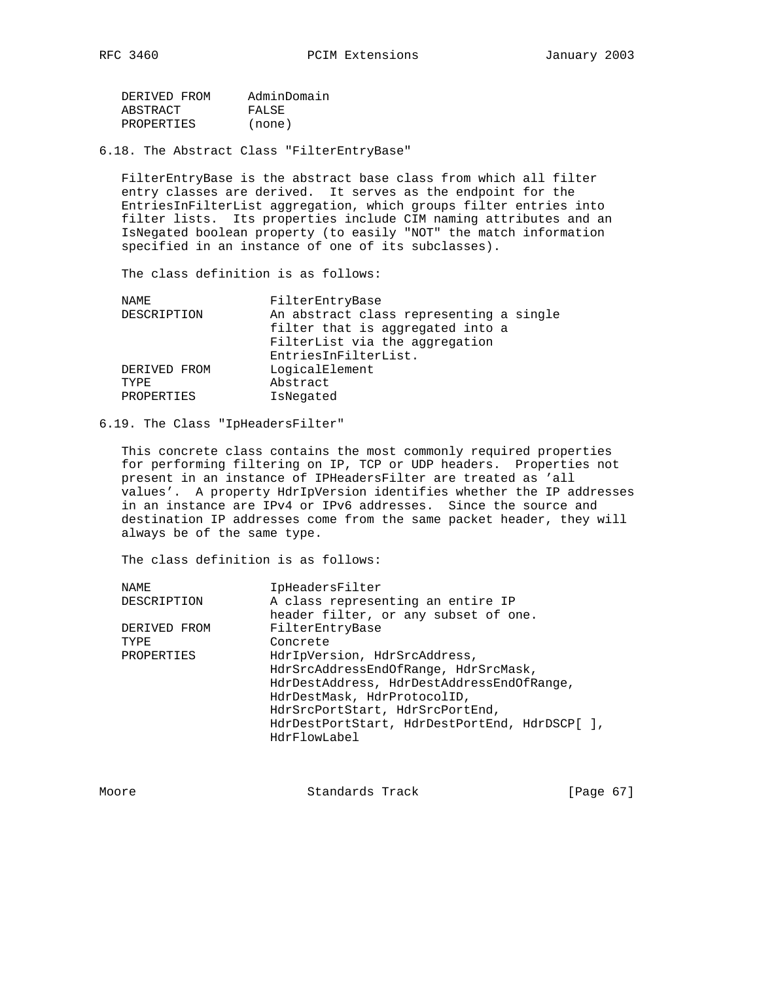| DERIVED FROM | AdminDomain |
|--------------|-------------|
| ABSTRACT     | FALSE       |
| PROPERTIES   | (none)      |

6.18. The Abstract Class "FilterEntryBase"

 FilterEntryBase is the abstract base class from which all filter entry classes are derived. It serves as the endpoint for the EntriesInFilterList aggregation, which groups filter entries into filter lists. Its properties include CIM naming attributes and an IsNegated boolean property (to easily "NOT" the match information specified in an instance of one of its subclasses).

The class definition is as follows:

| NAME         | FilterEntryBase                         |
|--------------|-----------------------------------------|
| DESCRIPTION  | An abstract class representing a single |
|              | filter that is aggregated into a        |
|              | FilterList via the aggregation          |
|              | EntriesInFilterList.                    |
| DERIVED FROM | LogicalElement                          |
| TYPE.        | Abstract                                |
| PROPERTIES   | IsNegated                               |
|              |                                         |

### 6.19. The Class "IpHeadersFilter"

 This concrete class contains the most commonly required properties for performing filtering on IP, TCP or UDP headers. Properties not present in an instance of IPHeadersFilter are treated as 'all values'. A property HdrIpVersion identifies whether the IP addresses in an instance are IPv4 or IPv6 addresses. Since the source and destination IP addresses come from the same packet header, they will always be of the same type.

The class definition is as follows:

| IpHeadersFilter                               |
|-----------------------------------------------|
| A class representing an entire IP             |
| header filter, or any subset of one.          |
| FilterEntryBase                               |
| Concrete                                      |
| HdrIpVersion, HdrSrcAddress,                  |
| HdrSrcAddressEndOfRange, HdrSrcMask,          |
| HdrDestAddress, HdrDestAddressEndOfRange,     |
| HdrDestMask, HdrProtocolID,                   |
| HdrSrcPortStart, HdrSrcPortEnd,               |
| HdrDestPortStart, HdrDestPortEnd, HdrDSCP[ ], |
| HdrFlowLabel                                  |
|                                               |

Standards Track [Page 67]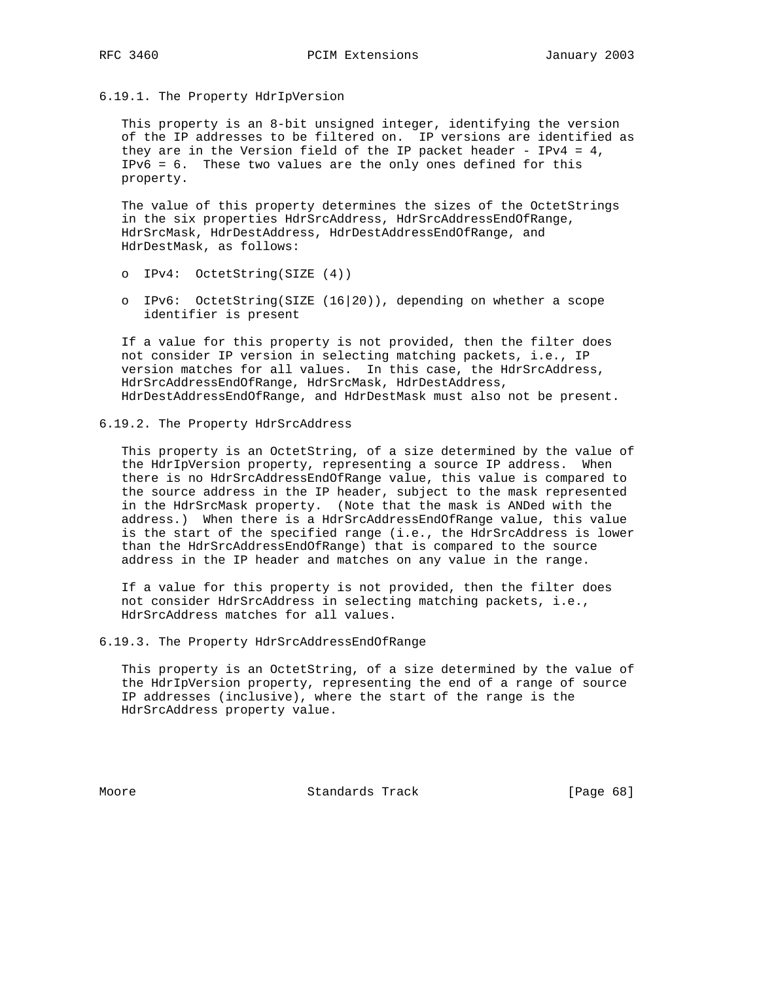6.19.1. The Property HdrIpVersion

 This property is an 8-bit unsigned integer, identifying the version of the IP addresses to be filtered on. IP versions are identified as they are in the Version field of the IP packet header - IPv4 =  $4$ , IPv6 = 6. These two values are the only ones defined for this property.

 The value of this property determines the sizes of the OctetStrings in the six properties HdrSrcAddress, HdrSrcAddressEndOfRange, HdrSrcMask, HdrDestAddress, HdrDestAddressEndOfRange, and HdrDestMask, as follows:

- o IPv4: OctetString(SIZE (4))
- o IPv6: OctetString(SIZE (16|20)), depending on whether a scope identifier is present

 If a value for this property is not provided, then the filter does not consider IP version in selecting matching packets, i.e., IP version matches for all values. In this case, the HdrSrcAddress, HdrSrcAddressEndOfRange, HdrSrcMask, HdrDestAddress, HdrDestAddressEndOfRange, and HdrDestMask must also not be present.

6.19.2. The Property HdrSrcAddress

 This property is an OctetString, of a size determined by the value of the HdrIpVersion property, representing a source IP address. When there is no HdrSrcAddressEndOfRange value, this value is compared to the source address in the IP header, subject to the mask represented in the HdrSrcMask property. (Note that the mask is ANDed with the address.) When there is a HdrSrcAddressEndOfRange value, this value is the start of the specified range (i.e., the HdrSrcAddress is lower than the HdrSrcAddressEndOfRange) that is compared to the source address in the IP header and matches on any value in the range.

 If a value for this property is not provided, then the filter does not consider HdrSrcAddress in selecting matching packets, i.e., HdrSrcAddress matches for all values.

6.19.3. The Property HdrSrcAddressEndOfRange

 This property is an OctetString, of a size determined by the value of the HdrIpVersion property, representing the end of a range of source IP addresses (inclusive), where the start of the range is the HdrSrcAddress property value.

Moore Standards Track [Page 68]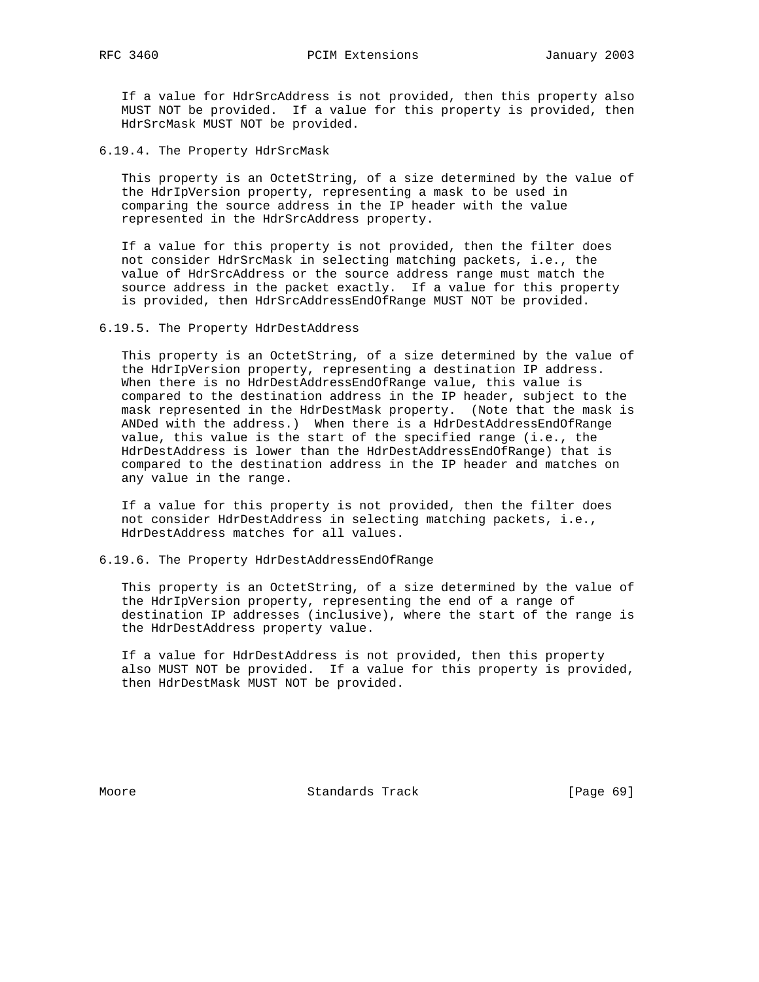If a value for HdrSrcAddress is not provided, then this property also MUST NOT be provided. If a value for this property is provided, then HdrSrcMask MUST NOT be provided.

6.19.4. The Property HdrSrcMask

 This property is an OctetString, of a size determined by the value of the HdrIpVersion property, representing a mask to be used in comparing the source address in the IP header with the value represented in the HdrSrcAddress property.

 If a value for this property is not provided, then the filter does not consider HdrSrcMask in selecting matching packets, i.e., the value of HdrSrcAddress or the source address range must match the source address in the packet exactly. If a value for this property is provided, then HdrSrcAddressEndOfRange MUST NOT be provided.

6.19.5. The Property HdrDestAddress

 This property is an OctetString, of a size determined by the value of the HdrIpVersion property, representing a destination IP address. When there is no HdrDestAddressEndOfRange value, this value is compared to the destination address in the IP header, subject to the mask represented in the HdrDestMask property. (Note that the mask is ANDed with the address.) When there is a HdrDestAddressEndOfRange value, this value is the start of the specified range (i.e., the HdrDestAddress is lower than the HdrDestAddressEndOfRange) that is compared to the destination address in the IP header and matches on any value in the range.

 If a value for this property is not provided, then the filter does not consider HdrDestAddress in selecting matching packets, i.e., HdrDestAddress matches for all values.

6.19.6. The Property HdrDestAddressEndOfRange

 This property is an OctetString, of a size determined by the value of the HdrIpVersion property, representing the end of a range of destination IP addresses (inclusive), where the start of the range is the HdrDestAddress property value.

 If a value for HdrDestAddress is not provided, then this property also MUST NOT be provided. If a value for this property is provided, then HdrDestMask MUST NOT be provided.

Moore Standards Track [Page 69]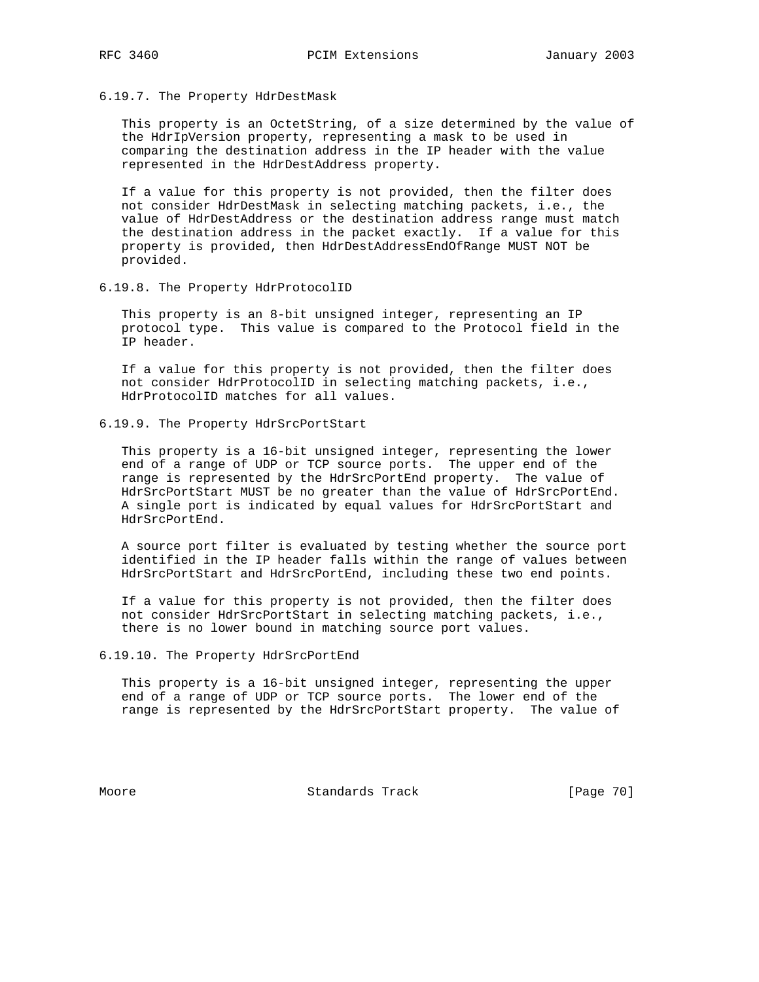# 6.19.7. The Property HdrDestMask

 This property is an OctetString, of a size determined by the value of the HdrIpVersion property, representing a mask to be used in comparing the destination address in the IP header with the value represented in the HdrDestAddress property.

 If a value for this property is not provided, then the filter does not consider HdrDestMask in selecting matching packets, i.e., the value of HdrDestAddress or the destination address range must match the destination address in the packet exactly. If a value for this property is provided, then HdrDestAddressEndOfRange MUST NOT be provided.

6.19.8. The Property HdrProtocolID

 This property is an 8-bit unsigned integer, representing an IP protocol type. This value is compared to the Protocol field in the IP header.

 If a value for this property is not provided, then the filter does not consider HdrProtocolID in selecting matching packets, i.e., HdrProtocolID matches for all values.

6.19.9. The Property HdrSrcPortStart

 This property is a 16-bit unsigned integer, representing the lower end of a range of UDP or TCP source ports. The upper end of the range is represented by the HdrSrcPortEnd property. The value of HdrSrcPortStart MUST be no greater than the value of HdrSrcPortEnd. A single port is indicated by equal values for HdrSrcPortStart and HdrSrcPortEnd.

 A source port filter is evaluated by testing whether the source port identified in the IP header falls within the range of values between HdrSrcPortStart and HdrSrcPortEnd, including these two end points.

 If a value for this property is not provided, then the filter does not consider HdrSrcPortStart in selecting matching packets, i.e., there is no lower bound in matching source port values.

6.19.10. The Property HdrSrcPortEnd

 This property is a 16-bit unsigned integer, representing the upper end of a range of UDP or TCP source ports. The lower end of the range is represented by the HdrSrcPortStart property. The value of

Moore Standards Track [Page 70]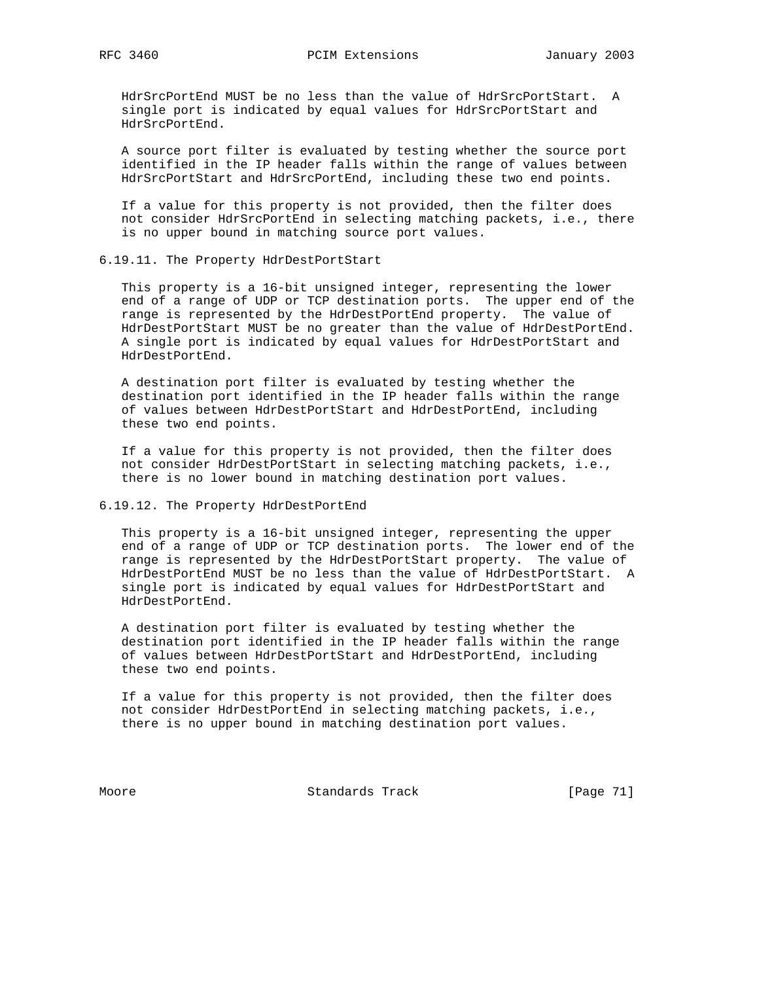HdrSrcPortEnd MUST be no less than the value of HdrSrcPortStart. A single port is indicated by equal values for HdrSrcPortStart and HdrSrcPortEnd.

 A source port filter is evaluated by testing whether the source port identified in the IP header falls within the range of values between HdrSrcPortStart and HdrSrcPortEnd, including these two end points.

 If a value for this property is not provided, then the filter does not consider HdrSrcPortEnd in selecting matching packets, i.e., there is no upper bound in matching source port values.

6.19.11. The Property HdrDestPortStart

 This property is a 16-bit unsigned integer, representing the lower end of a range of UDP or TCP destination ports. The upper end of the range is represented by the HdrDestPortEnd property. The value of HdrDestPortStart MUST be no greater than the value of HdrDestPortEnd. A single port is indicated by equal values for HdrDestPortStart and HdrDestPortEnd.

 A destination port filter is evaluated by testing whether the destination port identified in the IP header falls within the range of values between HdrDestPortStart and HdrDestPortEnd, including these two end points.

 If a value for this property is not provided, then the filter does not consider HdrDestPortStart in selecting matching packets, i.e., there is no lower bound in matching destination port values.

# 6.19.12. The Property HdrDestPortEnd

 This property is a 16-bit unsigned integer, representing the upper end of a range of UDP or TCP destination ports. The lower end of the range is represented by the HdrDestPortStart property. The value of HdrDestPortEnd MUST be no less than the value of HdrDestPortStart. A single port is indicated by equal values for HdrDestPortStart and HdrDestPortEnd.

 A destination port filter is evaluated by testing whether the destination port identified in the IP header falls within the range of values between HdrDestPortStart and HdrDestPortEnd, including these two end points.

 If a value for this property is not provided, then the filter does not consider HdrDestPortEnd in selecting matching packets, i.e., there is no upper bound in matching destination port values.

Moore Standards Track [Page 71]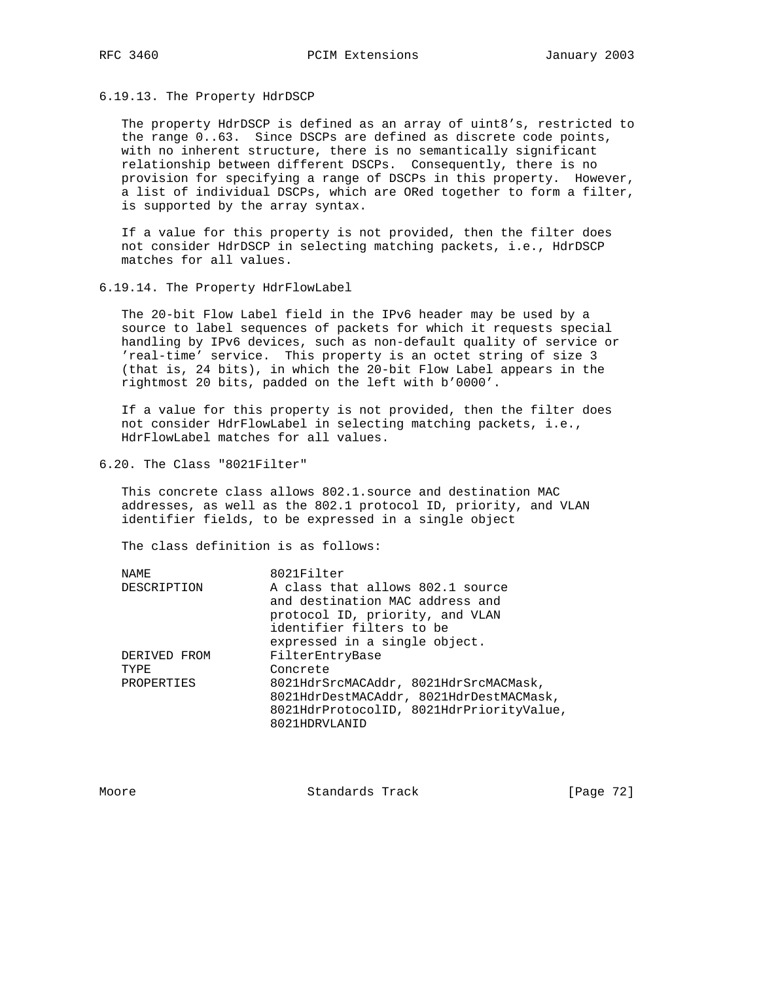## 6.19.13. The Property HdrDSCP

 The property HdrDSCP is defined as an array of uint8's, restricted to the range 0..63. Since DSCPs are defined as discrete code points, with no inherent structure, there is no semantically significant relationship between different DSCPs. Consequently, there is no provision for specifying a range of DSCPs in this property. However, a list of individual DSCPs, which are ORed together to form a filter, is supported by the array syntax.

 If a value for this property is not provided, then the filter does not consider HdrDSCP in selecting matching packets, i.e., HdrDSCP matches for all values.

6.19.14. The Property HdrFlowLabel

 The 20-bit Flow Label field in the IPv6 header may be used by a source to label sequences of packets for which it requests special handling by IPv6 devices, such as non-default quality of service or 'real-time' service. This property is an octet string of size 3 (that is, 24 bits), in which the 20-bit Flow Label appears in the rightmost 20 bits, padded on the left with b'0000'.

 If a value for this property is not provided, then the filter does not consider HdrFlowLabel in selecting matching packets, i.e., HdrFlowLabel matches for all values.

6.20. The Class "8021Filter"

 This concrete class allows 802.1.source and destination MAC addresses, as well as the 802.1 protocol ID, priority, and VLAN identifier fields, to be expressed in a single object

The class definition is as follows:

| NAME.        | 8021Filter                               |
|--------------|------------------------------------------|
| DESCRIPTION  | A class that allows 802.1 source         |
|              | and destination MAC address and          |
|              | protocol ID, priority, and VLAN          |
|              | identifier filters to be                 |
|              | expressed in a single object.            |
| DERIVED FROM | FilterEntryBase                          |
| TYPF.        | Concrete                                 |
| PROPERTIES   | 8021HdrSrcMACAddr, 8021HdrSrcMACMask,    |
|              | 8021HdrDestMACAddr, 8021HdrDestMACMask,  |
|              | 8021HdrProtocolID, 8021HdrPriorityValue, |
|              | 8021HDRVLANID                            |
|              |                                          |

Moore Standards Track [Page 72]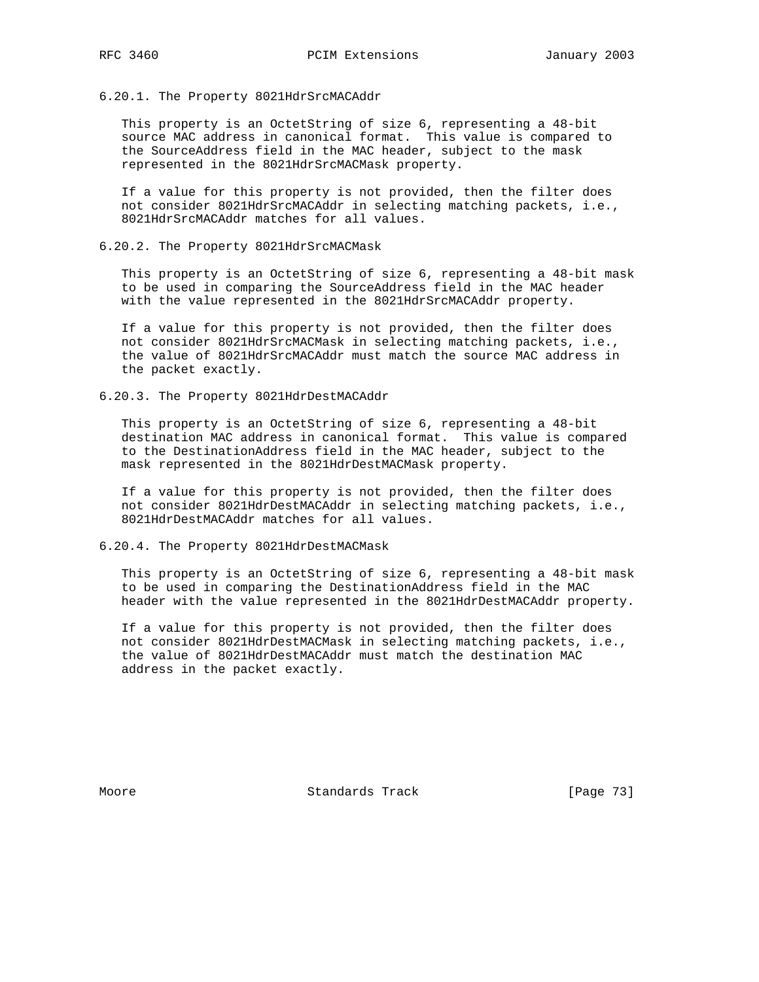## 6.20.1. The Property 8021HdrSrcMACAddr

 This property is an OctetString of size 6, representing a 48-bit source MAC address in canonical format. This value is compared to the SourceAddress field in the MAC header, subject to the mask represented in the 8021HdrSrcMACMask property.

 If a value for this property is not provided, then the filter does not consider 8021HdrSrcMACAddr in selecting matching packets, i.e., 8021HdrSrcMACAddr matches for all values.

6.20.2. The Property 8021HdrSrcMACMask

 This property is an OctetString of size 6, representing a 48-bit mask to be used in comparing the SourceAddress field in the MAC header with the value represented in the 8021HdrSrcMACAddr property.

 If a value for this property is not provided, then the filter does not consider 8021HdrSrcMACMask in selecting matching packets, i.e., the value of 8021HdrSrcMACAddr must match the source MAC address in the packet exactly.

6.20.3. The Property 8021HdrDestMACAddr

 This property is an OctetString of size 6, representing a 48-bit destination MAC address in canonical format. This value is compared to the DestinationAddress field in the MAC header, subject to the mask represented in the 8021HdrDestMACMask property.

 If a value for this property is not provided, then the filter does not consider 8021HdrDestMACAddr in selecting matching packets, i.e., 8021HdrDestMACAddr matches for all values.

6.20.4. The Property 8021HdrDestMACMask

 This property is an OctetString of size 6, representing a 48-bit mask to be used in comparing the DestinationAddress field in the MAC header with the value represented in the 8021HdrDestMACAddr property.

 If a value for this property is not provided, then the filter does not consider 8021HdrDestMACMask in selecting matching packets, i.e., the value of 8021HdrDestMACAddr must match the destination MAC address in the packet exactly.

Moore Standards Track [Page 73]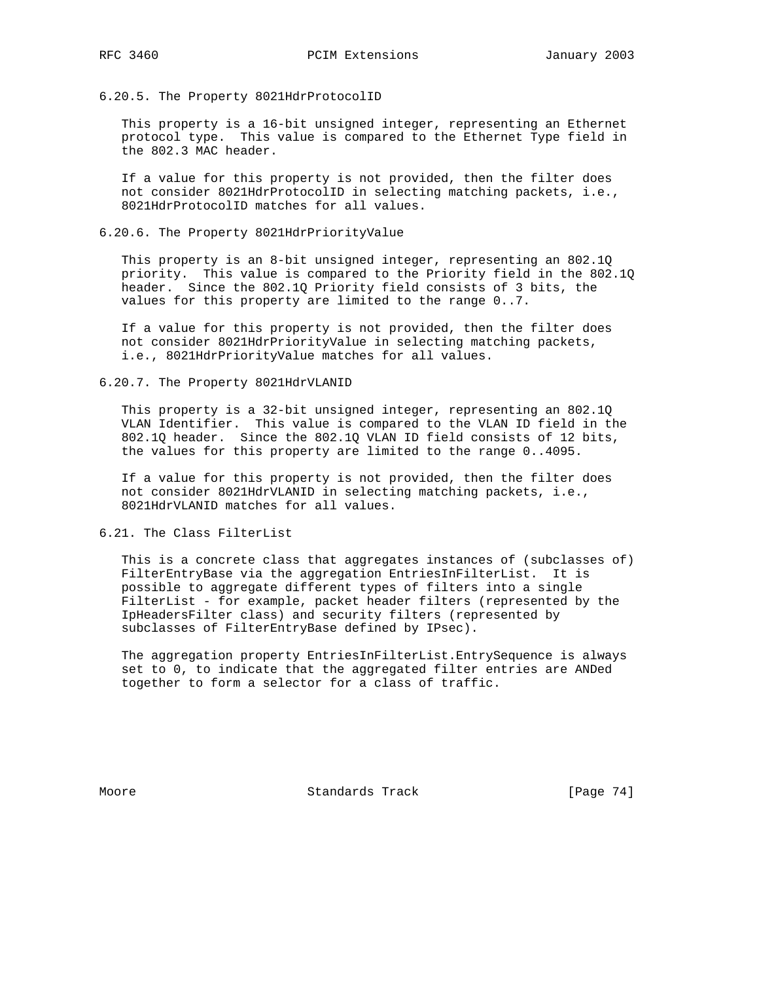6.20.5. The Property 8021HdrProtocolID

 This property is a 16-bit unsigned integer, representing an Ethernet protocol type. This value is compared to the Ethernet Type field in the 802.3 MAC header.

 If a value for this property is not provided, then the filter does not consider 8021HdrProtocolID in selecting matching packets, i.e., 8021HdrProtocolID matches for all values.

6.20.6. The Property 8021HdrPriorityValue

 This property is an 8-bit unsigned integer, representing an 802.1Q priority. This value is compared to the Priority field in the 802.1Q header. Since the 802.1Q Priority field consists of 3 bits, the values for this property are limited to the range 0..7.

 If a value for this property is not provided, then the filter does not consider 8021HdrPriorityValue in selecting matching packets, i.e., 8021HdrPriorityValue matches for all values.

6.20.7. The Property 8021HdrVLANID

 This property is a 32-bit unsigned integer, representing an 802.1Q VLAN Identifier. This value is compared to the VLAN ID field in the 802.1Q header. Since the 802.1Q VLAN ID field consists of 12 bits, the values for this property are limited to the range 0..4095.

 If a value for this property is not provided, then the filter does not consider 8021HdrVLANID in selecting matching packets, i.e., 8021HdrVLANID matches for all values.

6.21. The Class FilterList

 This is a concrete class that aggregates instances of (subclasses of) FilterEntryBase via the aggregation EntriesInFilterList. It is possible to aggregate different types of filters into a single FilterList - for example, packet header filters (represented by the IpHeadersFilter class) and security filters (represented by subclasses of FilterEntryBase defined by IPsec).

 The aggregation property EntriesInFilterList.EntrySequence is always set to 0, to indicate that the aggregated filter entries are ANDed together to form a selector for a class of traffic.

Moore Standards Track [Page 74]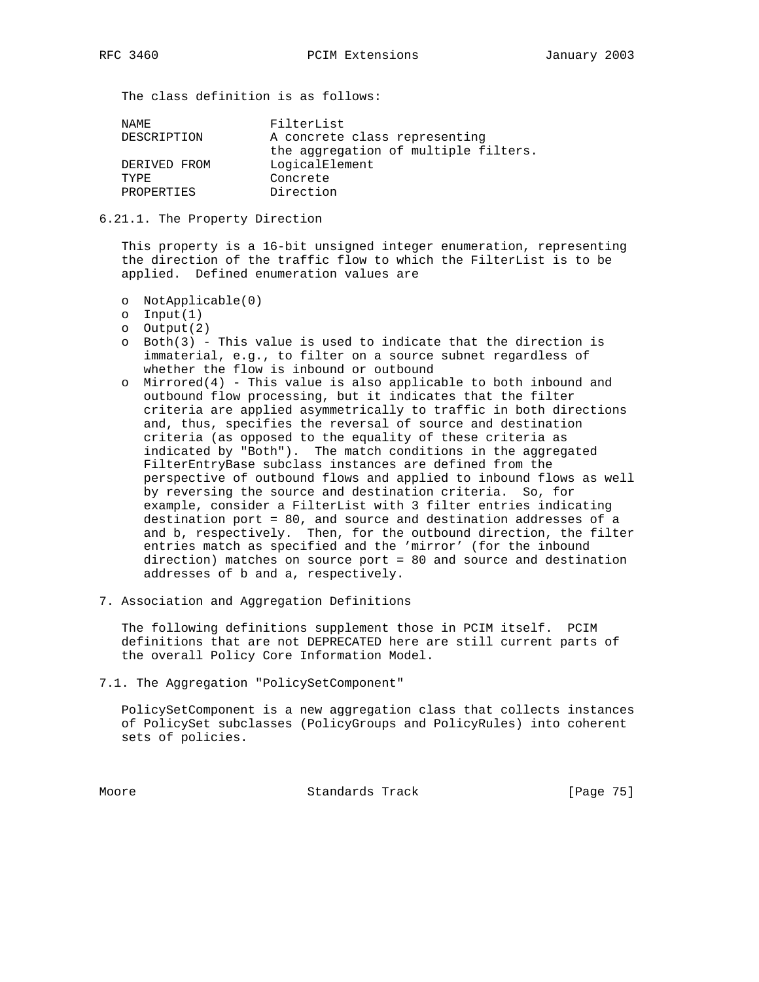The class definition is as follows:

| NAMF.        | FilterList                           |
|--------------|--------------------------------------|
| DESCRIPTION  | A concrete class representing        |
|              | the aggregation of multiple filters. |
| DERIVED FROM | LogicalElement                       |
| TYPR.        | Concrete                             |
| PROPERTIES   | Direction                            |
|              |                                      |

6.21.1. The Property Direction

 This property is a 16-bit unsigned integer enumeration, representing the direction of the traffic flow to which the FilterList is to be applied. Defined enumeration values are

- o NotApplicable(0)
- o Input(1)
- o Output(2)
- o Both(3) This value is used to indicate that the direction is immaterial, e.g., to filter on a source subnet regardless of whether the flow is inbound or outbound
- o Mirrored(4) This value is also applicable to both inbound and outbound flow processing, but it indicates that the filter criteria are applied asymmetrically to traffic in both directions and, thus, specifies the reversal of source and destination criteria (as opposed to the equality of these criteria as indicated by "Both"). The match conditions in the aggregated FilterEntryBase subclass instances are defined from the perspective of outbound flows and applied to inbound flows as well by reversing the source and destination criteria. So, for example, consider a FilterList with 3 filter entries indicating destination port = 80, and source and destination addresses of a and b, respectively. Then, for the outbound direction, the filter entries match as specified and the 'mirror' (for the inbound direction) matches on source port = 80 and source and destination addresses of b and a, respectively.
- 7. Association and Aggregation Definitions

 The following definitions supplement those in PCIM itself. PCIM definitions that are not DEPRECATED here are still current parts of the overall Policy Core Information Model.

7.1. The Aggregation "PolicySetComponent"

 PolicySetComponent is a new aggregation class that collects instances of PolicySet subclasses (PolicyGroups and PolicyRules) into coherent sets of policies.

Moore Standards Track [Page 75]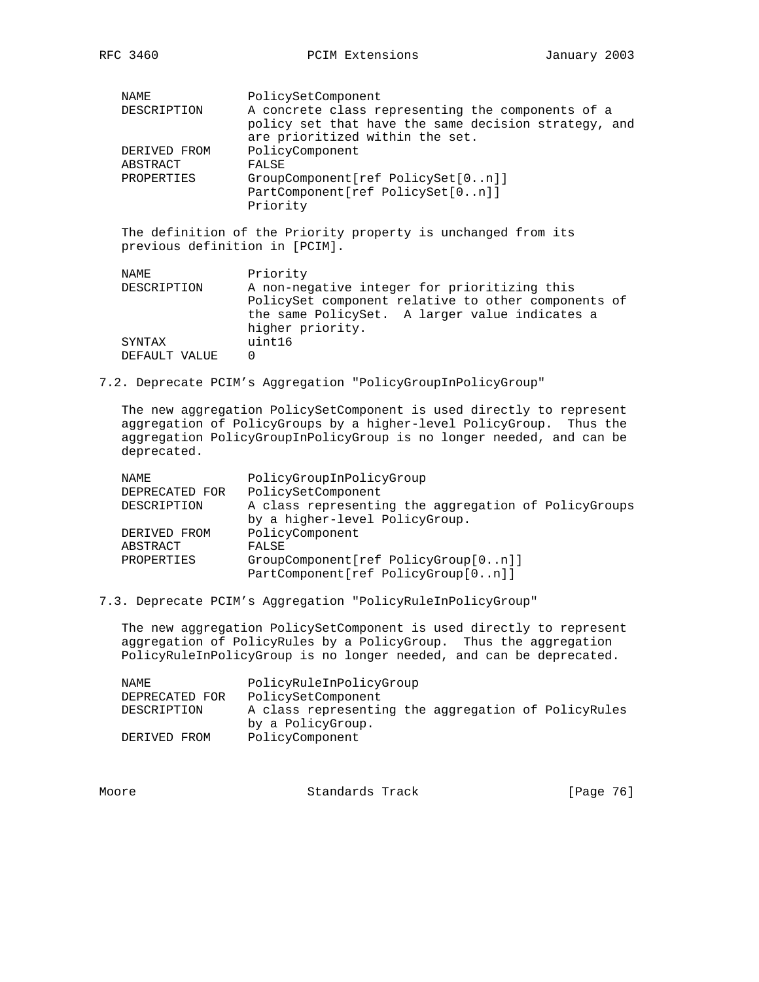| <b>NAME</b>                    | PolicySetComponent                                            |
|--------------------------------|---------------------------------------------------------------|
| DESCRIPTION                    | A concrete class representing the components of a             |
|                                | policy set that have the same decision strategy, and          |
|                                | are prioritized within the set.                               |
| DERIVED FROM                   | PolicyComponent                                               |
| ABSTRACT                       | FALSE                                                         |
| PROPERTIES                     | GroupComponent[ref PolicySet[0n]]                             |
|                                | PartComponent[ref PolicySet[0n]]                              |
|                                | Priority                                                      |
|                                |                                                               |
|                                | The definition of the Priority property is unchanged from its |
| previous definition in [PCIM]. |                                                               |
|                                |                                                               |
| NAME.                          | Priority                                                      |
| DESCRIPTION                    | A non-negative integer for prioritizing this                  |
|                                | PolicySet component relative to other components of           |
|                                | the same PolicySet. A larger value indicates a                |
|                                | higher priority.                                              |
| SYNTAX                         | uint16                                                        |
| DEFAULT VALUE                  | 0                                                             |

7.2. Deprecate PCIM's Aggregation "PolicyGroupInPolicyGroup"

 The new aggregation PolicySetComponent is used directly to represent aggregation of PolicyGroups by a higher-level PolicyGroup. Thus the aggregation PolicyGroupInPolicyGroup is no longer needed, and can be deprecated.

| NAMF.          | PolicyGroupInPolicyGroup                             |
|----------------|------------------------------------------------------|
| DEPRECATED FOR | PolicySetComponent                                   |
| DESCRIPTION    | A class representing the aggregation of PolicyGroups |
|                | by a higher-level PolicyGroup.                       |
| DERIVED FROM   | PolicyComponent                                      |
| ABSTRACT       | FALSE                                                |
| PROPERTIES     | GroupComponent[ref PolicyGroup[0n]]                  |
|                | PartComponent[ref PolicyGroup[0n]]                   |

7.3. Deprecate PCIM's Aggregation "PolicyRuleInPolicyGroup"

 The new aggregation PolicySetComponent is used directly to represent aggregation of PolicyRules by a PolicyGroup. Thus the aggregation PolicyRuleInPolicyGroup is no longer needed, and can be deprecated.

| NAMF.          | PolicyRuleInPolicyGroup                             |
|----------------|-----------------------------------------------------|
| DEPRECATED FOR | PolicySetComponent                                  |
| DESCRIPTION    | A class representing the aggregation of PolicyRules |
|                | by a PolicyGroup.                                   |
| DERIVED FROM   | PolicyComponent                                     |

| Moore | Standards Track | [Page 76] |  |
|-------|-----------------|-----------|--|
|       |                 |           |  |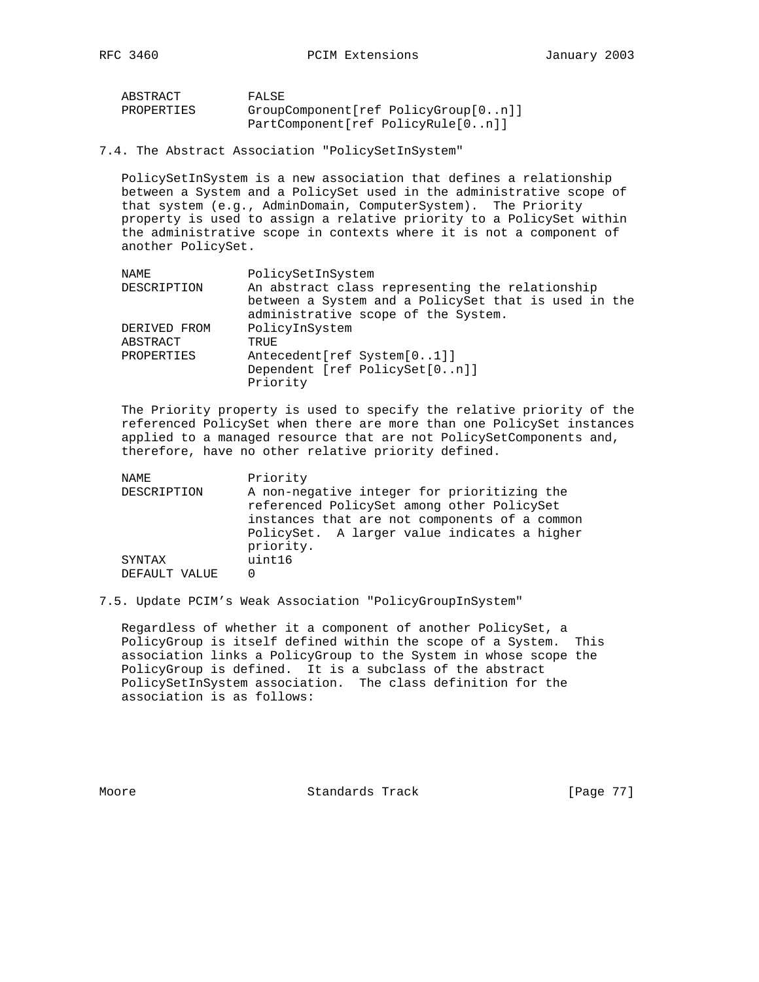RFC 3460 **PCIM Extensions** January 2003

| ABSTRACT   | FALSE                               |
|------------|-------------------------------------|
| PROPERTIES | GroupComponent[ref PolicyGroup[0n]] |
|            | PartComponent[ref PolicyRule[0n]]   |

7.4. The Abstract Association "PolicySetInSystem"

 PolicySetInSystem is a new association that defines a relationship between a System and a PolicySet used in the administrative scope of that system (e.g., AdminDomain, ComputerSystem). The Priority property is used to assign a relative priority to a PolicySet within the administrative scope in contexts where it is not a component of another PolicySet.

| NAMF.        | PolicySetInSystem                                                                                       |
|--------------|---------------------------------------------------------------------------------------------------------|
| DESCRIPTION  | An abstract class representing the relationship<br>between a System and a PolicySet that is used in the |
|              | administrative scope of the System.                                                                     |
| DERIVED FROM | PolicyInSystem                                                                                          |
| ABSTRACT     | TRUE                                                                                                    |
| PROPERTIES   | Antecedent [ref System [01]]                                                                            |
|              | Dependent [ref PolicySet[0n]]<br>Priority                                                               |

 The Priority property is used to specify the relative priority of the referenced PolicySet when there are more than one PolicySet instances applied to a managed resource that are not PolicySetComponents and, therefore, have no other relative priority defined.

NAME Priority DESCRIPTION A non-negative integer for prioritizing the referenced PolicySet among other PolicySet instances that are not components of a common PolicySet. A larger value indicates a higher priority. SYNTAX uint16 DEFAULT VALUE 0

7.5. Update PCIM's Weak Association "PolicyGroupInSystem"

 Regardless of whether it a component of another PolicySet, a PolicyGroup is itself defined within the scope of a System. This association links a PolicyGroup to the System in whose scope the PolicyGroup is defined. It is a subclass of the abstract PolicySetInSystem association. The class definition for the association is as follows:

Moore Standards Track [Page 77]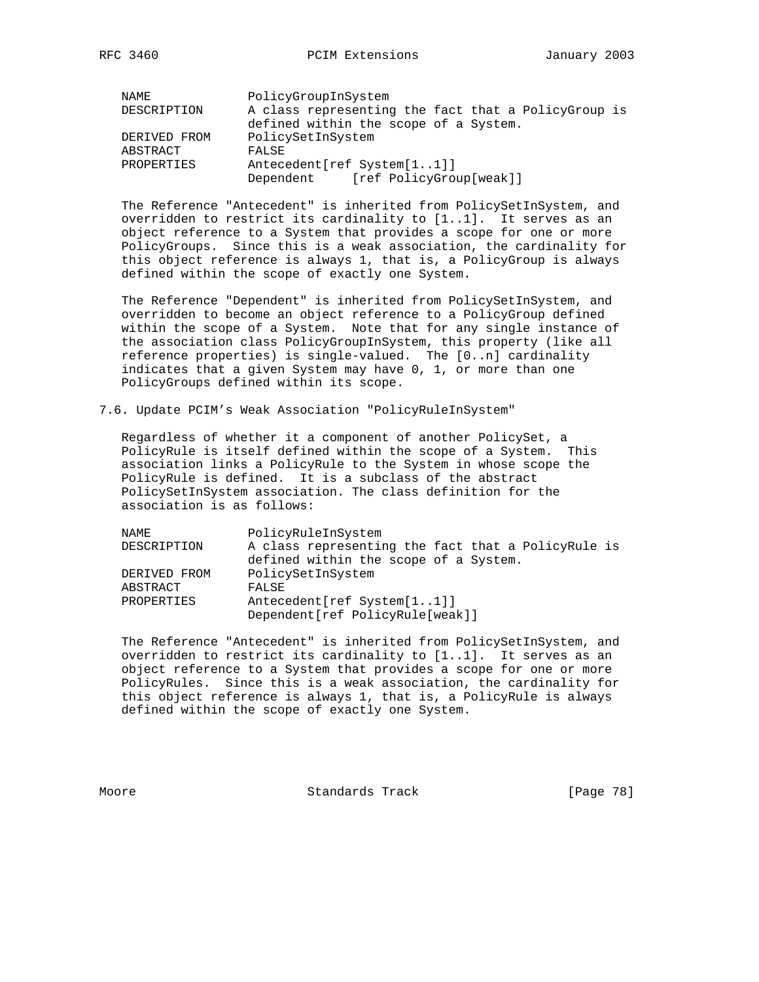| NAMF.        | PolicyGroupInSystem                                 |
|--------------|-----------------------------------------------------|
| DESCRIPTION  | A class representing the fact that a PolicyGroup is |
|              | defined within the scope of a System.               |
| DERIVED FROM | PolicySetInSystem                                   |
| ABSTRACT     | FALSE                                               |
| PROPERTIES   | Antecedent [ref System [11]]                        |
|              | Dependent [ref PolicyGroup[weak]]                   |

 The Reference "Antecedent" is inherited from PolicySetInSystem, and overridden to restrict its cardinality to [1..1]. It serves as an object reference to a System that provides a scope for one or more PolicyGroups. Since this is a weak association, the cardinality for this object reference is always 1, that is, a PolicyGroup is always defined within the scope of exactly one System.

 The Reference "Dependent" is inherited from PolicySetInSystem, and overridden to become an object reference to a PolicyGroup defined within the scope of a System. Note that for any single instance of the association class PolicyGroupInSystem, this property (like all reference properties) is single-valued. The [0..n] cardinality indicates that a given System may have 0, 1, or more than one PolicyGroups defined within its scope.

7.6. Update PCIM's Weak Association "PolicyRuleInSystem"

 Regardless of whether it a component of another PolicySet, a PolicyRule is itself defined within the scope of a System. This association links a PolicyRule to the System in whose scope the PolicyRule is defined. It is a subclass of the abstract PolicySetInSystem association. The class definition for the association is as follows:

| NAMF.        | PolicyRuleInSystem                                 |
|--------------|----------------------------------------------------|
| DESCRIPTION  | A class representing the fact that a PolicyRule is |
|              | defined within the scope of a System.              |
| DERIVED FROM | PolicySetInSystem                                  |
| ABSTRACT     | FALSE                                              |
| PROPERTIES   | Antecedent [ref System [11]]                       |
|              | Dependent[ref PolicyRule[weak]]                    |

 The Reference "Antecedent" is inherited from PolicySetInSystem, and overridden to restrict its cardinality to [1..1]. It serves as an object reference to a System that provides a scope for one or more PolicyRules. Since this is a weak association, the cardinality for this object reference is always 1, that is, a PolicyRule is always defined within the scope of exactly one System.

Moore Standards Track [Page 78]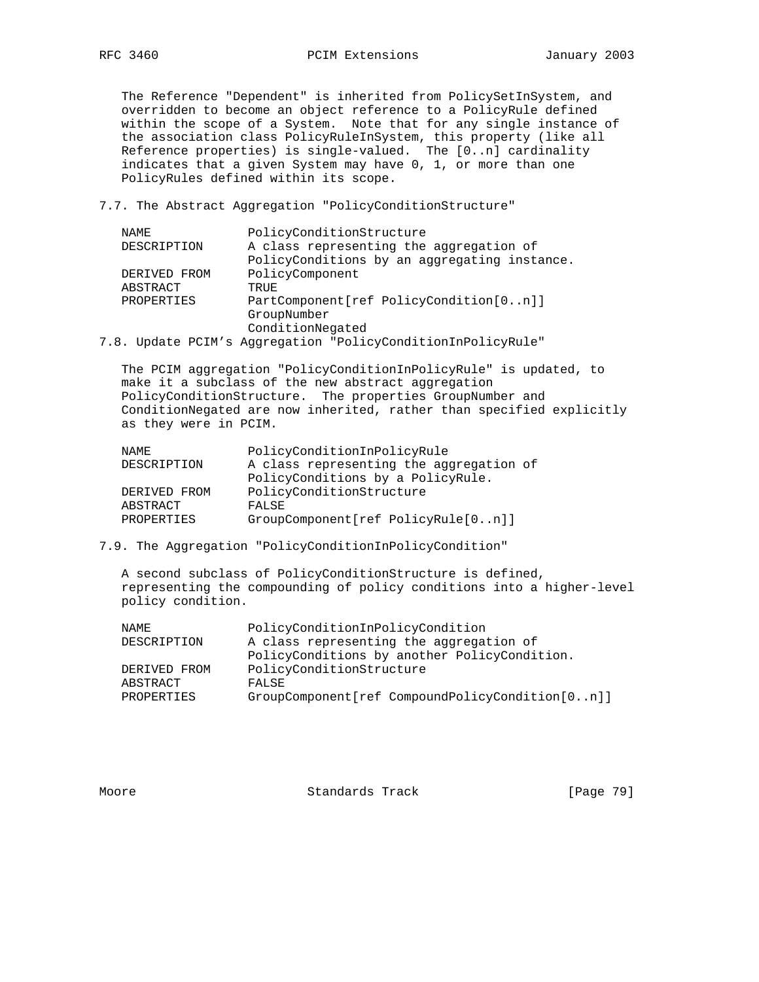The Reference "Dependent" is inherited from PolicySetInSystem, and overridden to become an object reference to a PolicyRule defined within the scope of a System. Note that for any single instance of the association class PolicyRuleInSystem, this property (like all Reference properties) is single-valued. The [0..n] cardinality indicates that a given System may have 0, 1, or more than one PolicyRules defined within its scope.

7.7. The Abstract Aggregation "PolicyConditionStructure"

| NAME         | PolicyConditionStructure                                |
|--------------|---------------------------------------------------------|
| DESCRIPTION  | A class representing the aggregation of                 |
|              | PolicyConditions by an aggregating instance.            |
| DERIVED FROM | PolicyComponent                                         |
| ABSTRACT     | TRUE                                                    |
| PROPERTIES   | PartComponent[ref PolicyCondition[0n]]                  |
|              | GroupNumber                                             |
|              | ConditionNegated                                        |
| 7.8.         | Update PCIM's Aggregation "PolicyConditionInPolicyRule" |

 The PCIM aggregation "PolicyConditionInPolicyRule" is updated, to make it a subclass of the new abstract aggregation PolicyConditionStructure. The properties GroupNumber and ConditionNegated are now inherited, rather than specified explicitly as they were in PCIM.

| NAMF.        | PolicyConditionInPolicyRule             |
|--------------|-----------------------------------------|
| DESCRIPTION  | A class representing the aggregation of |
|              | PolicyConditions by a PolicyRule.       |
| DERIVED FROM | PolicyConditionStructure                |
| ABSTRACT     | FALSE                                   |
| PROPERTIES   | GroupComponent[ref PolicyRule[0n]]      |

7.9. The Aggregation "PolicyConditionInPolicyCondition"

 A second subclass of PolicyConditionStructure is defined, representing the compounding of policy conditions into a higher-level policy condition.

| PolicyConditionInPolicyCondition<br>NAME.                       |  |
|-----------------------------------------------------------------|--|
| A class representing the aggregation of<br>DESCRIPTION          |  |
| PolicyConditions by another PolicyCondition.                    |  |
| PolicyConditionStructure<br>DERIVED FROM                        |  |
| ABSTRACT<br>FALSE                                               |  |
| $GroupComponent[ref CompoundPolicyCondition[0n]]$<br>PROPERTIES |  |

Moore Standards Track [Page 79]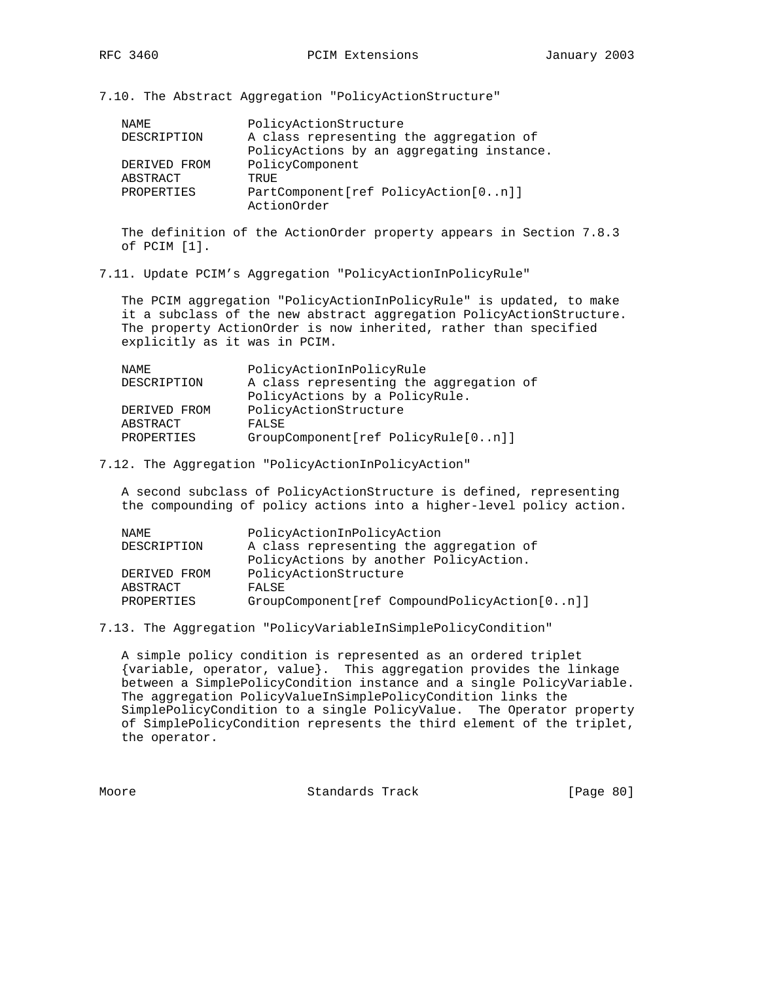7.10. The Abstract Aggregation "PolicyActionStructure"

| NAMF.        | PolicyActionStructure                                                                |
|--------------|--------------------------------------------------------------------------------------|
| DESCRIPTION  | A class representing the aggregation of<br>PolicyActions by an aggregating instance. |
| DERIVED FROM | PolicyComponent                                                                      |
| ABSTRACT     | TRUE.                                                                                |
| PROPERTIES   | PartComponent[ref PolicyAction[0n]]<br>ActionOrder                                   |

 The definition of the ActionOrder property appears in Section 7.8.3 of PCIM [1].

7.11. Update PCIM's Aggregation "PolicyActionInPolicyRule"

 The PCIM aggregation "PolicyActionInPolicyRule" is updated, to make it a subclass of the new abstract aggregation PolicyActionStructure. The property ActionOrder is now inherited, rather than specified explicitly as it was in PCIM.

| NAMF.             | PolicyActionInPolicyRule                |
|-------------------|-----------------------------------------|
| DESCRIPTION       | A class representing the aggregation of |
|                   | PolicyActions by a PolicyRule.          |
| DERIVED FROM      | PolicyActionStructure                   |
| ABSTRACT          | FALSE                                   |
| <b>PROPERTIES</b> | GroupComponent[ref PolicyRule[0n]]      |
|                   |                                         |

7.12. The Aggregation "PolicyActionInPolicyAction"

 A second subclass of PolicyActionStructure is defined, representing the compounding of policy actions into a higher-level policy action.

| PolicyActionInPolicyAction                                     |
|----------------------------------------------------------------|
| A class representing the aggregation of                        |
| PolicyActions by another PolicyAction.                         |
| PolicyActionStructure                                          |
|                                                                |
| $GroupComponent[ref CompoundPolicyAction[0n]]$                 |
| DESCRIPTION<br>DERIVED FROM<br>ABSTRACT<br>FALSE<br>PROPERTIES |

7.13. The Aggregation "PolicyVariableInSimplePolicyCondition"

 A simple policy condition is represented as an ordered triplet {variable, operator, value}. This aggregation provides the linkage between a SimplePolicyCondition instance and a single PolicyVariable. The aggregation PolicyValueInSimplePolicyCondition links the SimplePolicyCondition to a single PolicyValue. The Operator property of SimplePolicyCondition represents the third element of the triplet, the operator.

Moore Standards Track [Page 80]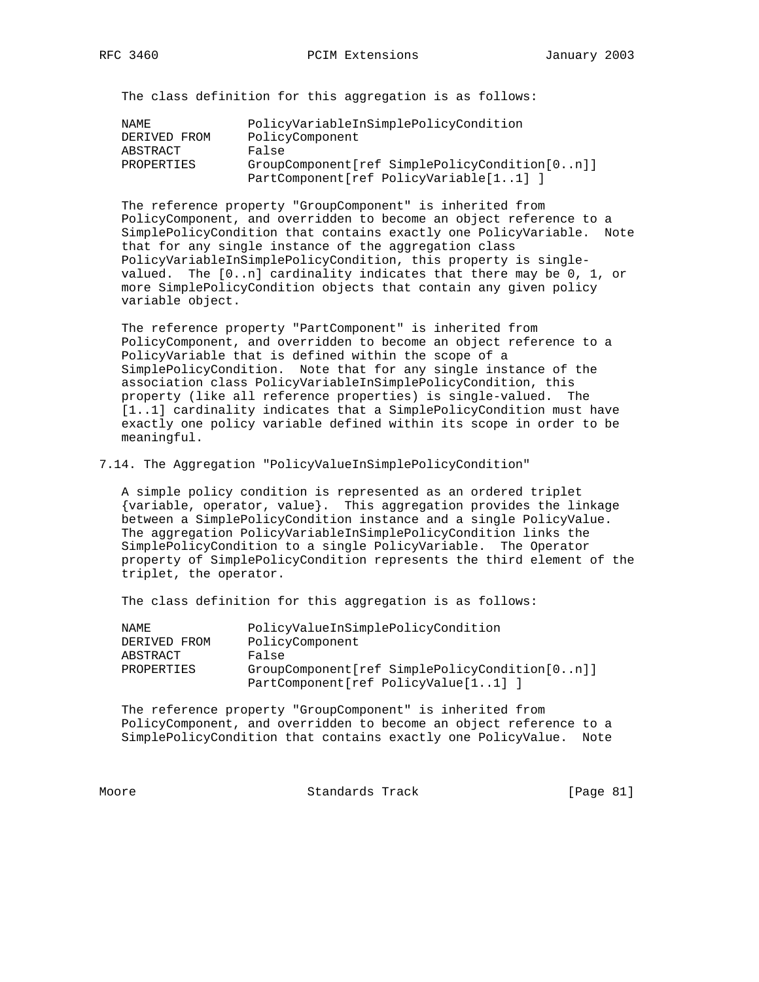The class definition for this aggregation is as follows:

| NAMF.        | PolicyVariableInSimplePolicyCondition         |
|--------------|-----------------------------------------------|
| DERIVED FROM | PolicyComponent                               |
| ABSTRACT     | False                                         |
| PROPERTIES   | GroupComponent[ref SimplePolicyCondition[0n]] |
|              | PartComponent[ref PolicyVariable[11] ]        |

 The reference property "GroupComponent" is inherited from PolicyComponent, and overridden to become an object reference to a SimplePolicyCondition that contains exactly one PolicyVariable. Note that for any single instance of the aggregation class PolicyVariableInSimplePolicyCondition, this property is single valued. The [0..n] cardinality indicates that there may be 0, 1, or more SimplePolicyCondition objects that contain any given policy variable object.

 The reference property "PartComponent" is inherited from PolicyComponent, and overridden to become an object reference to a PolicyVariable that is defined within the scope of a SimplePolicyCondition. Note that for any single instance of the association class PolicyVariableInSimplePolicyCondition, this property (like all reference properties) is single-valued. The [1..1] cardinality indicates that a SimplePolicyCondition must have exactly one policy variable defined within its scope in order to be meaningful.

7.14. The Aggregation "PolicyValueInSimplePolicyCondition"

 A simple policy condition is represented as an ordered triplet {variable, operator, value}. This aggregation provides the linkage between a SimplePolicyCondition instance and a single PolicyValue. The aggregation PolicyVariableInSimplePolicyCondition links the SimplePolicyCondition to a single PolicyVariable. The Operator property of SimplePolicyCondition represents the third element of the triplet, the operator.

The class definition for this aggregation is as follows:

| NAMF.        | PolicyValueInSimplePolicyCondition            |
|--------------|-----------------------------------------------|
| DERIVED FROM | PolicyComponent                               |
| ABSTRACT     | False                                         |
| PROPERTIES   | GroupComponent[ref SimplePolicyCondition[0n]] |
|              | PartComponent[ref PolicyValue[11]]            |

 The reference property "GroupComponent" is inherited from PolicyComponent, and overridden to become an object reference to a SimplePolicyCondition that contains exactly one PolicyValue. Note

Moore Standards Track [Page 81]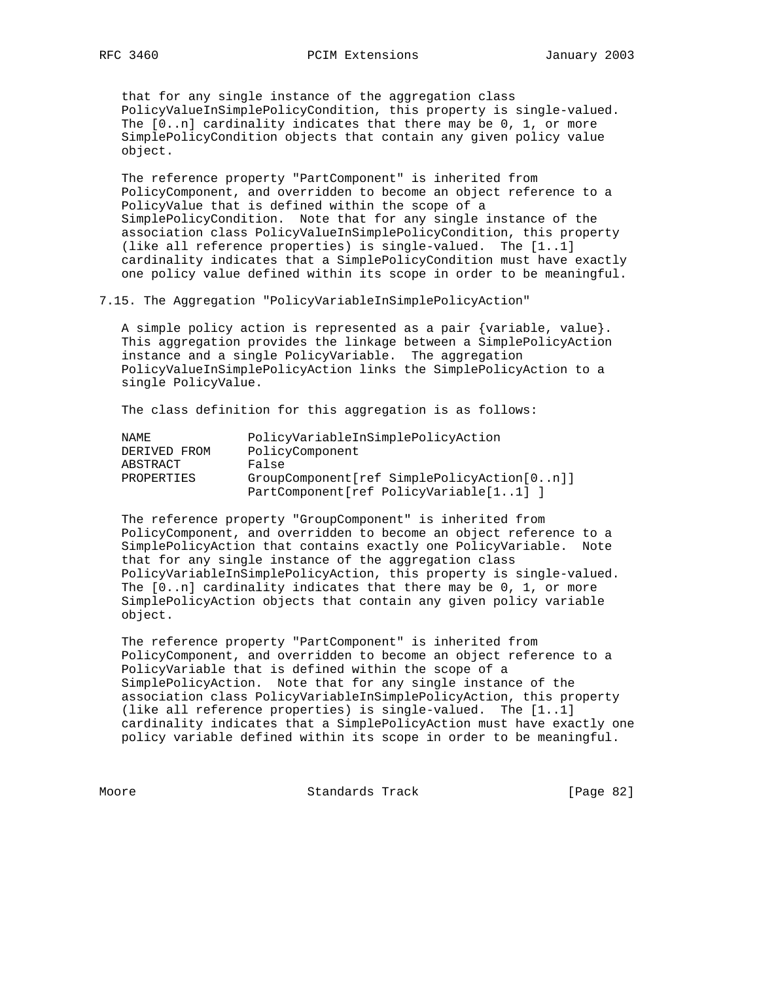that for any single instance of the aggregation class PolicyValueInSimplePolicyCondition, this property is single-valued. The [0..n] cardinality indicates that there may be 0, 1, or more SimplePolicyCondition objects that contain any given policy value object.

 The reference property "PartComponent" is inherited from PolicyComponent, and overridden to become an object reference to a PolicyValue that is defined within the scope of a SimplePolicyCondition. Note that for any single instance of the association class PolicyValueInSimplePolicyCondition, this property (like all reference properties) is single-valued. The [1..1] cardinality indicates that a SimplePolicyCondition must have exactly one policy value defined within its scope in order to be meaningful.

7.15. The Aggregation "PolicyVariableInSimplePolicyAction"

 A simple policy action is represented as a pair {variable, value}. This aggregation provides the linkage between a SimplePolicyAction instance and a single PolicyVariable. The aggregation PolicyValueInSimplePolicyAction links the SimplePolicyAction to a single PolicyValue.

The class definition for this aggregation is as follows:

| NAMF.        | PolicyVariableInSimplePolicyAction         |
|--------------|--------------------------------------------|
| DERIVED FROM | PolicyComponent                            |
| ABSTRACT     | False                                      |
| PROPERTIES   | GroupComponent[ref SimplePolicyAction[0n]] |
|              | PartComponent[ref PolicyVariable[11] ]     |

 The reference property "GroupComponent" is inherited from PolicyComponent, and overridden to become an object reference to a SimplePolicyAction that contains exactly one PolicyVariable. Note that for any single instance of the aggregation class PolicyVariableInSimplePolicyAction, this property is single-valued. The [0..n] cardinality indicates that there may be 0, 1, or more SimplePolicyAction objects that contain any given policy variable object.

 The reference property "PartComponent" is inherited from PolicyComponent, and overridden to become an object reference to a PolicyVariable that is defined within the scope of a SimplePolicyAction. Note that for any single instance of the association class PolicyVariableInSimplePolicyAction, this property (like all reference properties) is single-valued. The [1..1] cardinality indicates that a SimplePolicyAction must have exactly one policy variable defined within its scope in order to be meaningful.

Moore Standards Track [Page 82]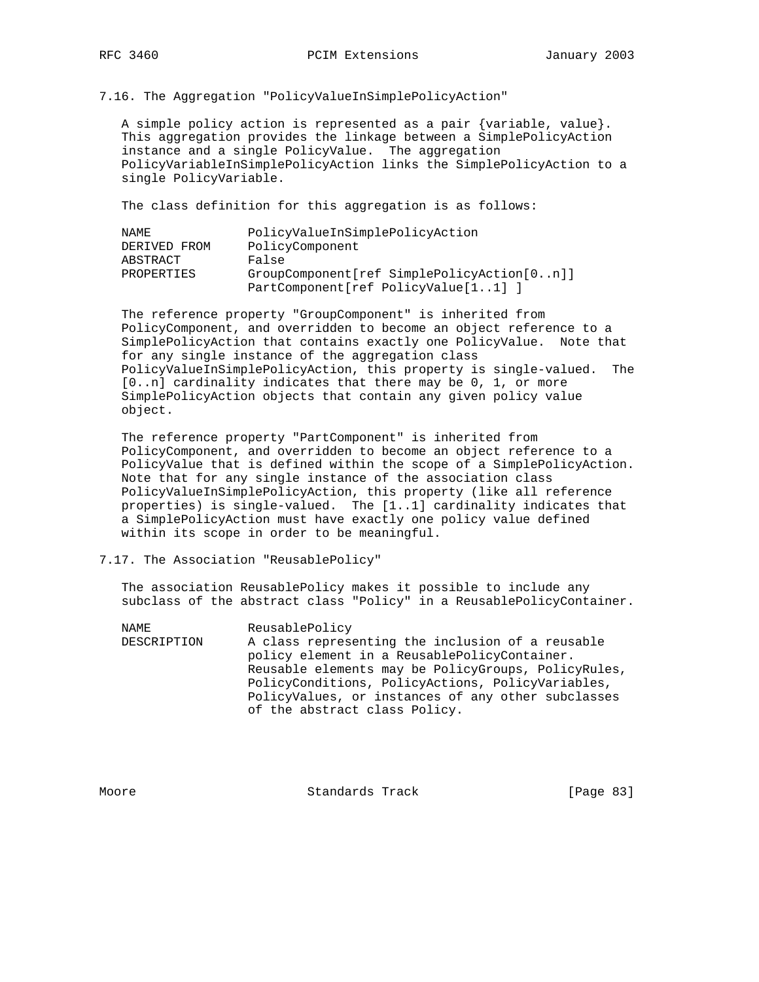7.16. The Aggregation "PolicyValueInSimplePolicyAction"

 A simple policy action is represented as a pair {variable, value}. This aggregation provides the linkage between a SimplePolicyAction instance and a single PolicyValue. The aggregation PolicyVariableInSimplePolicyAction links the SimplePolicyAction to a single PolicyVariable.

The class definition for this aggregation is as follows:

| NAMF.        | PolicyValueInSimplePolicyAction            |
|--------------|--------------------------------------------|
| DERIVED FROM | PolicyComponent                            |
| ABSTRACT     | False                                      |
| PROPERTIES   | GroupComponent[ref SimplePolicyAction[0n]] |
|              | PartComponent[ref PolicyValue[11]]         |

 The reference property "GroupComponent" is inherited from PolicyComponent, and overridden to become an object reference to a SimplePolicyAction that contains exactly one PolicyValue. Note that for any single instance of the aggregation class PolicyValueInSimplePolicyAction, this property is single-valued. The [0..n] cardinality indicates that there may be 0, 1, or more SimplePolicyAction objects that contain any given policy value object.

 The reference property "PartComponent" is inherited from PolicyComponent, and overridden to become an object reference to a PolicyValue that is defined within the scope of a SimplePolicyAction. Note that for any single instance of the association class PolicyValueInSimplePolicyAction, this property (like all reference properties) is single-valued. The [1..1] cardinality indicates that a SimplePolicyAction must have exactly one policy value defined within its scope in order to be meaningful.

### 7.17. The Association "ReusablePolicy"

 The association ReusablePolicy makes it possible to include any subclass of the abstract class "Policy" in a ReusablePolicyContainer.

NAME ReusablePolicy DESCRIPTION A class representing the inclusion of a reusable policy element in a ReusablePolicyContainer. Reusable elements may be PolicyGroups, PolicyRules, PolicyConditions, PolicyActions, PolicyVariables, PolicyValues, or instances of any other subclasses of the abstract class Policy.

Moore Standards Track [Page 83]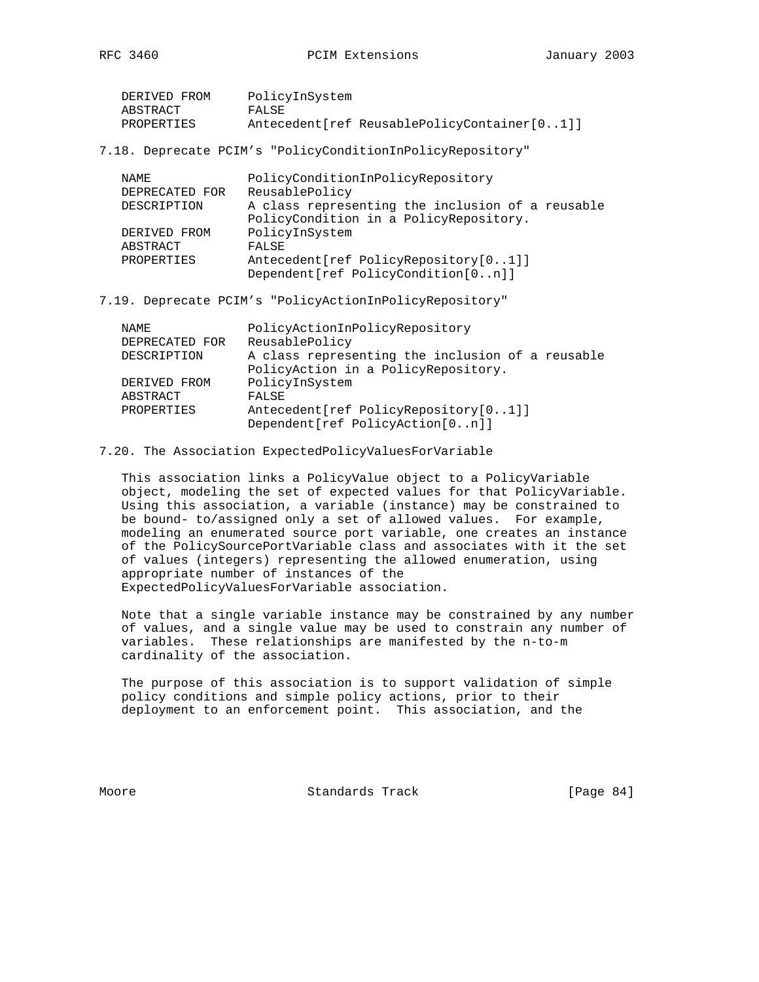| DERIVED FROM | PolicyInSystem                                |
|--------------|-----------------------------------------------|
| ABSTRACT     | FALSE                                         |
| PROPERTIES   | Antecedent [ref ReusablePolicyContainer [01]] |

7.18. Deprecate PCIM's "PolicyConditionInPolicyRepository"

| NAMF.          | PolicyConditionInPolicyRepository                |
|----------------|--------------------------------------------------|
| DEPRECATED FOR | ReusablePolicy                                   |
| DESCRIPTION    | A class representing the inclusion of a reusable |
|                | PolicyCondition in a PolicyRepository.           |
| DERIVED FROM   | PolicyInSystem                                   |
| ABSTRACT       | FALSE                                            |
| PROPERTIES     | Antecedent[ref PolicyRepository[01]]             |
|                | Dependent [ref PolicyCondition [0n]]             |

7.19. Deprecate PCIM's "PolicyActionInPolicyRepository"

| NAMF.          | PolicyActionInPolicyRepository                                            |
|----------------|---------------------------------------------------------------------------|
| DEPRECATED FOR | ReusablePolicy                                                            |
| DESCRIPTION    | A class representing the inclusion of a reusable                          |
|                | PolicyAction in a PolicyRepository.                                       |
| DERIVED FROM   | PolicyInSystem                                                            |
| ABSTRACT       | FALSE                                                                     |
| PROPERTIES     | Antecedent [ref PolicyRepository [01]]<br>Dependent[ref PolicyAction[0n]] |

## 7.20. The Association ExpectedPolicyValuesForVariable

 This association links a PolicyValue object to a PolicyVariable object, modeling the set of expected values for that PolicyVariable. Using this association, a variable (instance) may be constrained to be bound- to/assigned only a set of allowed values. For example, modeling an enumerated source port variable, one creates an instance of the PolicySourcePortVariable class and associates with it the set of values (integers) representing the allowed enumeration, using appropriate number of instances of the ExpectedPolicyValuesForVariable association.

 Note that a single variable instance may be constrained by any number of values, and a single value may be used to constrain any number of variables. These relationships are manifested by the n-to-m cardinality of the association.

 The purpose of this association is to support validation of simple policy conditions and simple policy actions, prior to their deployment to an enforcement point. This association, and the

Moore **Standards Track** [Page 84]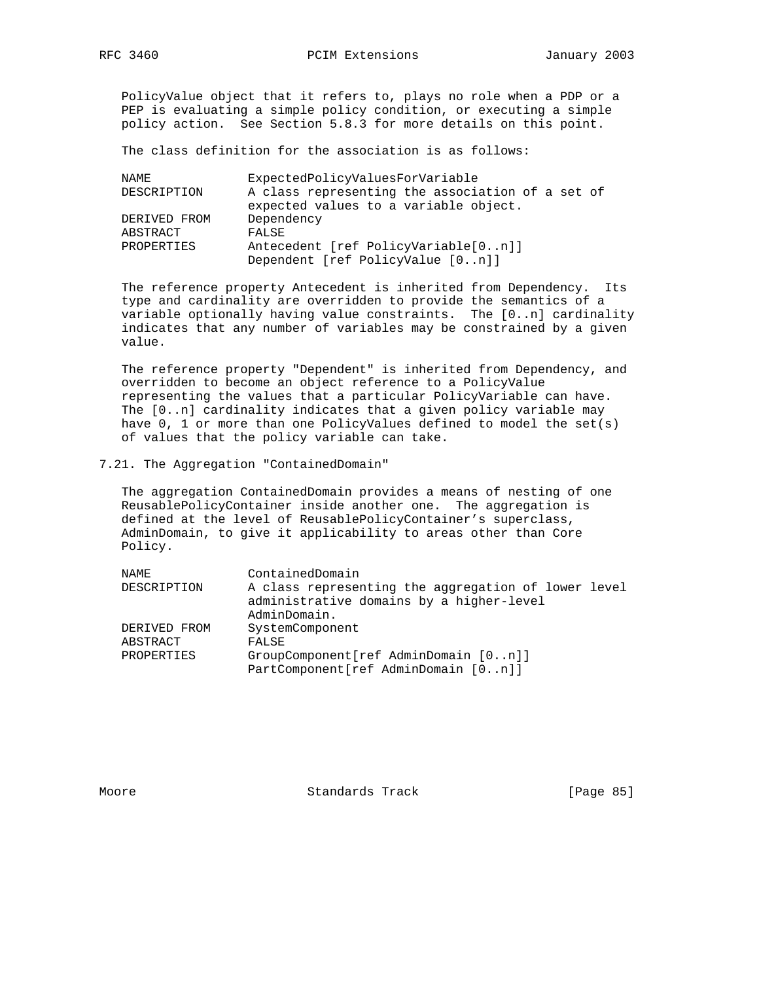PolicyValue object that it refers to, plays no role when a PDP or a PEP is evaluating a simple policy condition, or executing a simple policy action. See Section 5.8.3 for more details on this point.

The class definition for the association is as follows:

| NAMF.        | ExpectedPolicyValuesForVariable                                                           |
|--------------|-------------------------------------------------------------------------------------------|
| DESCRIPTION  | A class representing the association of a set of<br>expected values to a variable object. |
| DERIVED FROM | Dependency                                                                                |
| ABSTRACT     | FALSE                                                                                     |
| PROPERTIES   | Antecedent [ref PolicyVariable[0n]]                                                       |
|              | Dependent [ref PolicyValue [0n]]                                                          |

 The reference property Antecedent is inherited from Dependency. Its type and cardinality are overridden to provide the semantics of a variable optionally having value constraints. The [0..n] cardinality indicates that any number of variables may be constrained by a given value.

 The reference property "Dependent" is inherited from Dependency, and overridden to become an object reference to a PolicyValue representing the values that a particular PolicyVariable can have. The [0..n] cardinality indicates that a given policy variable may have 0, 1 or more than one PolicyValues defined to model the set(s) of values that the policy variable can take.

7.21. The Aggregation "ContainedDomain"

 The aggregation ContainedDomain provides a means of nesting of one ReusablePolicyContainer inside another one. The aggregation is defined at the level of ReusablePolicyContainer's superclass, AdminDomain, to give it applicability to areas other than Core Policy.

| NAME         | ContainedDomain                                                                                                 |
|--------------|-----------------------------------------------------------------------------------------------------------------|
| DESCRIPTION  | A class representing the aggregation of lower level<br>administrative domains by a higher-level<br>AdminDomain. |
| DERIVED FROM | SystemComponent                                                                                                 |
| ABSTRACT     | FALSE                                                                                                           |
| PROPERTIES   | GroupComponent[ref AdminDomain [0n]]<br>PartComponent[ref AdminDomain [0n]]                                     |

Moore Standards Track [Page 85]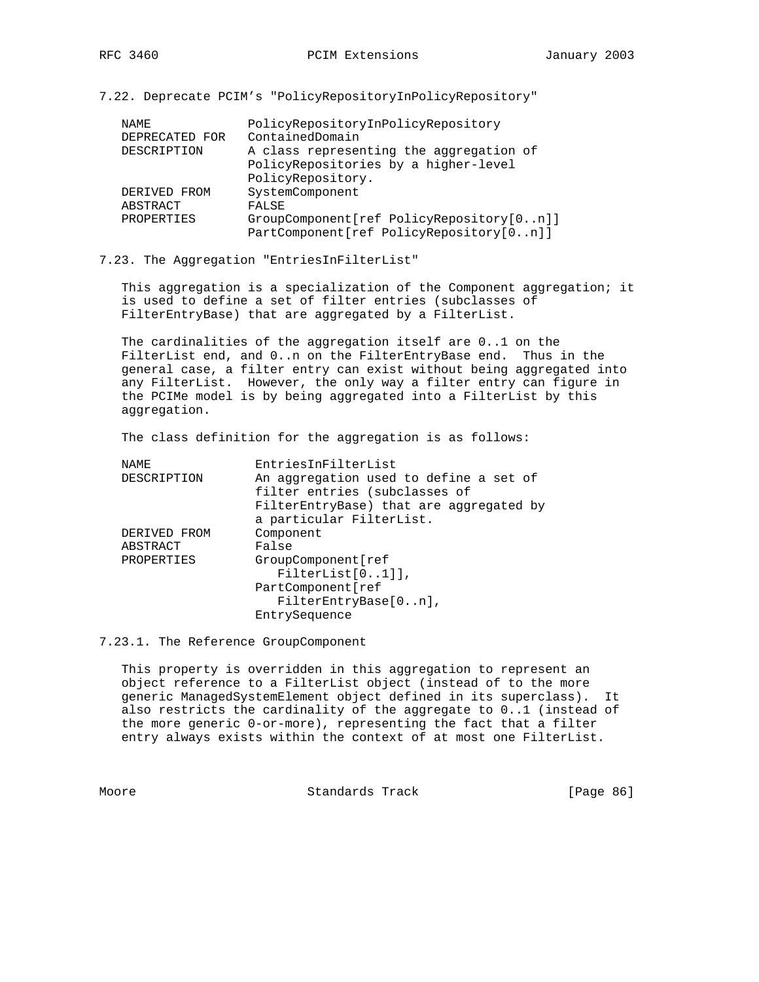7.22. Deprecate PCIM's "PolicyRepositoryInPolicyRepository"

|  | NAME.          | PolicyRepositoryInPolicyRepository       |
|--|----------------|------------------------------------------|
|  | DEPRECATED FOR | ContainedDomain                          |
|  | DESCRIPTION    | A class representing the aggregation of  |
|  |                | PolicyRepositories by a higher-level     |
|  |                | PolicyRepository.                        |
|  | DERIVED FROM   | SystemComponent                          |
|  | ABSTRACT       | FALSE                                    |
|  | PROPERTIES     | GroupComponent[ref PolicyRepository[0n]] |
|  |                | PartComponent[ref PolicyRepository[0n]]  |

7.23. The Aggregation "EntriesInFilterList"

 This aggregation is a specialization of the Component aggregation; it is used to define a set of filter entries (subclasses of FilterEntryBase) that are aggregated by a FilterList.

 The cardinalities of the aggregation itself are 0..1 on the FilterList end, and 0..n on the FilterEntryBase end. Thus in the general case, a filter entry can exist without being aggregated into any FilterList. However, the only way a filter entry can figure in the PCIMe model is by being aggregated into a FilterList by this aggregation.

The class definition for the aggregation is as follows:

| NAME         | EntriesInFilterList                     |
|--------------|-----------------------------------------|
| DESCRIPTION  | An aggregation used to define a set of  |
|              | filter entries (subclasses of           |
|              | FilterEntryBase) that are aggregated by |
|              | a particular FilterList.                |
| DERIVED FROM | Component                               |
| ABSTRACT     | False                                   |
| PROPERTIES   | GroupComponent [ref                     |
|              | $FilterList[01]]$ ,                     |
|              | PartComponent[ref                       |
|              | FilterEntryBase[0n],                    |
|              | EntrySequence                           |
|              |                                         |

7.23.1. The Reference GroupComponent

 This property is overridden in this aggregation to represent an object reference to a FilterList object (instead of to the more generic ManagedSystemElement object defined in its superclass). It also restricts the cardinality of the aggregate to 0..1 (instead of the more generic 0-or-more), representing the fact that a filter entry always exists within the context of at most one FilterList.

Moore Standards Track [Page 86]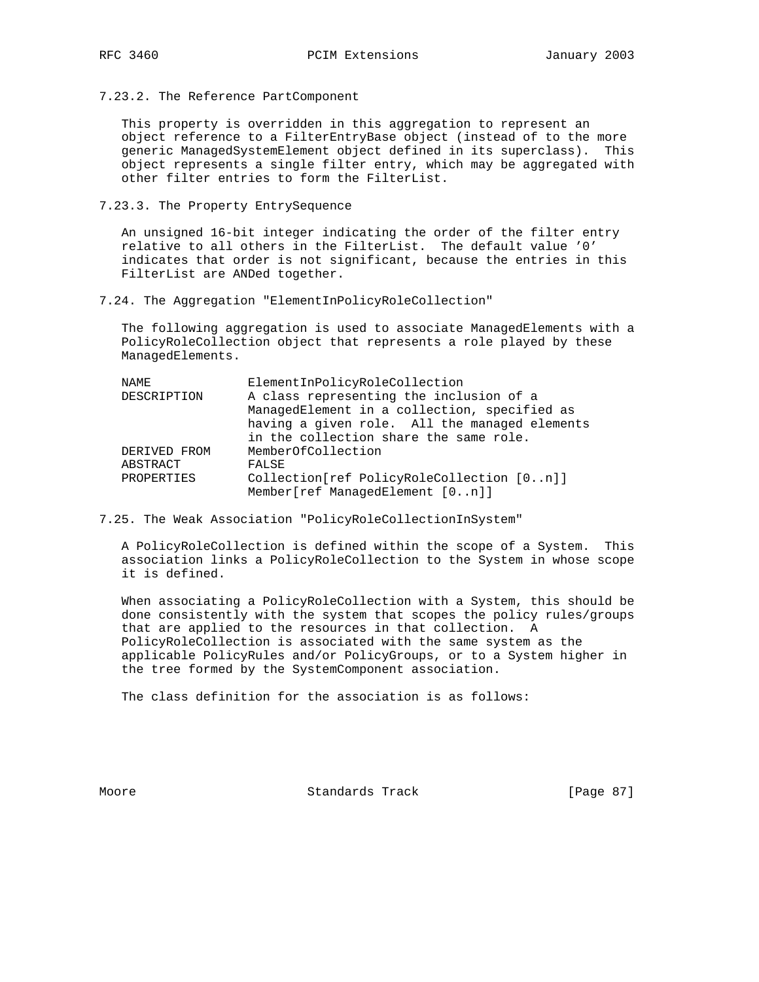7.23.2. The Reference PartComponent

 This property is overridden in this aggregation to represent an object reference to a FilterEntryBase object (instead of to the more generic ManagedSystemElement object defined in its superclass). This object represents a single filter entry, which may be aggregated with other filter entries to form the FilterList.

7.23.3. The Property EntrySequence

 An unsigned 16-bit integer indicating the order of the filter entry relative to all others in the FilterList. The default value '0' indicates that order is not significant, because the entries in this FilterList are ANDed together.

7.24. The Aggregation "ElementInPolicyRoleCollection"

 The following aggregation is used to associate ManagedElements with a PolicyRoleCollection object that represents a role played by these ManagedElements.

| NAME         | ElementInPolicyRoleCollection                 |
|--------------|-----------------------------------------------|
| DESCRIPTION  | A class representing the inclusion of a       |
|              | ManagedElement in a collection, specified as  |
|              | having a given role. All the managed elements |
|              | in the collection share the same role.        |
| DERIVED FROM | MemberOfCollection                            |
| ABSTRACT     | FALSE                                         |
| PROPERTIES   | Collection[ref PolicyRoleCollection [0n]]     |
|              | Member[ref ManagedElement [0n]]               |

7.25. The Weak Association "PolicyRoleCollectionInSystem"

 A PolicyRoleCollection is defined within the scope of a System. This association links a PolicyRoleCollection to the System in whose scope it is defined.

 When associating a PolicyRoleCollection with a System, this should be done consistently with the system that scopes the policy rules/groups that are applied to the resources in that collection. A PolicyRoleCollection is associated with the same system as the applicable PolicyRules and/or PolicyGroups, or to a System higher in the tree formed by the SystemComponent association.

The class definition for the association is as follows:

Moore Standards Track [Page 87]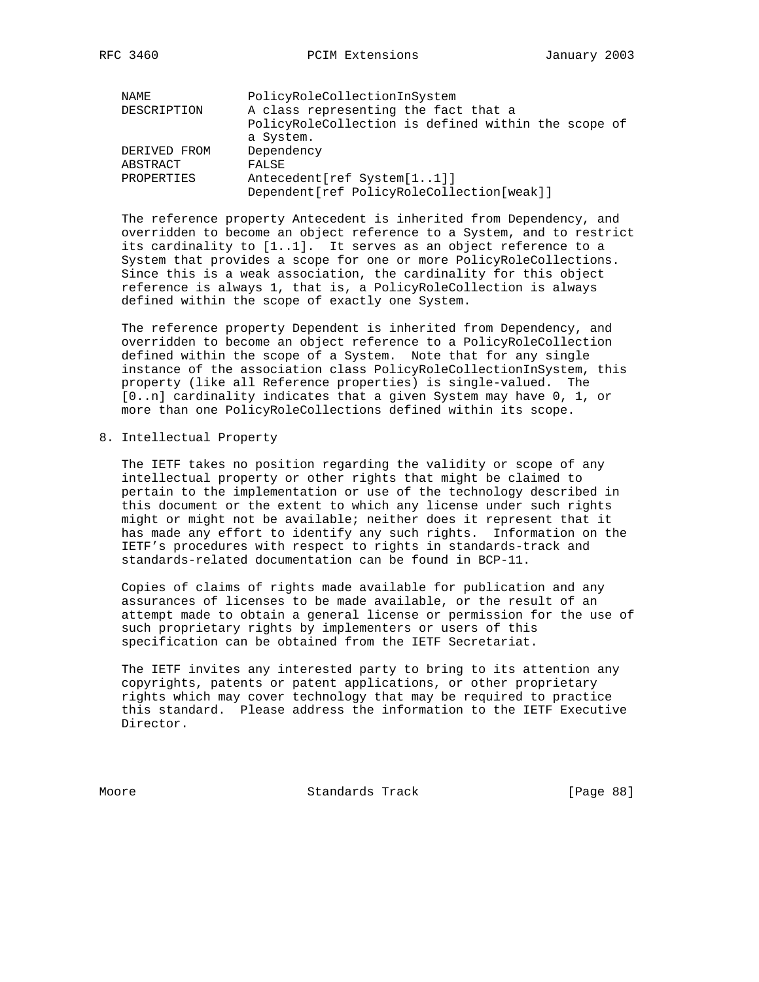| NAME         | PolicyRoleCollectionInSystem                        |
|--------------|-----------------------------------------------------|
| DESCRIPTION  | A class representing the fact that a                |
|              | PolicyRoleCollection is defined within the scope of |
|              | a System.                                           |
| DERIVED FROM | Dependency                                          |
| ABSTRACT     | FALSE                                               |
| PROPERTIES   | Antecedent [ref System [11]]                        |
|              | Dependent [ref PolicyRoleCollection [weak]]         |

 The reference property Antecedent is inherited from Dependency, and overridden to become an object reference to a System, and to restrict its cardinality to [1..1]. It serves as an object reference to a System that provides a scope for one or more PolicyRoleCollections. Since this is a weak association, the cardinality for this object reference is always 1, that is, a PolicyRoleCollection is always defined within the scope of exactly one System.

 The reference property Dependent is inherited from Dependency, and overridden to become an object reference to a PolicyRoleCollection defined within the scope of a System. Note that for any single instance of the association class PolicyRoleCollectionInSystem, this property (like all Reference properties) is single-valued. The [0..n] cardinality indicates that a given System may have 0, 1, or more than one PolicyRoleCollections defined within its scope.

8. Intellectual Property

 The IETF takes no position regarding the validity or scope of any intellectual property or other rights that might be claimed to pertain to the implementation or use of the technology described in this document or the extent to which any license under such rights might or might not be available; neither does it represent that it has made any effort to identify any such rights. Information on the IETF's procedures with respect to rights in standards-track and standards-related documentation can be found in BCP-11.

 Copies of claims of rights made available for publication and any assurances of licenses to be made available, or the result of an attempt made to obtain a general license or permission for the use of such proprietary rights by implementers or users of this specification can be obtained from the IETF Secretariat.

 The IETF invites any interested party to bring to its attention any copyrights, patents or patent applications, or other proprietary rights which may cover technology that may be required to practice this standard. Please address the information to the IETF Executive Director.

Moore Standards Track [Page 88]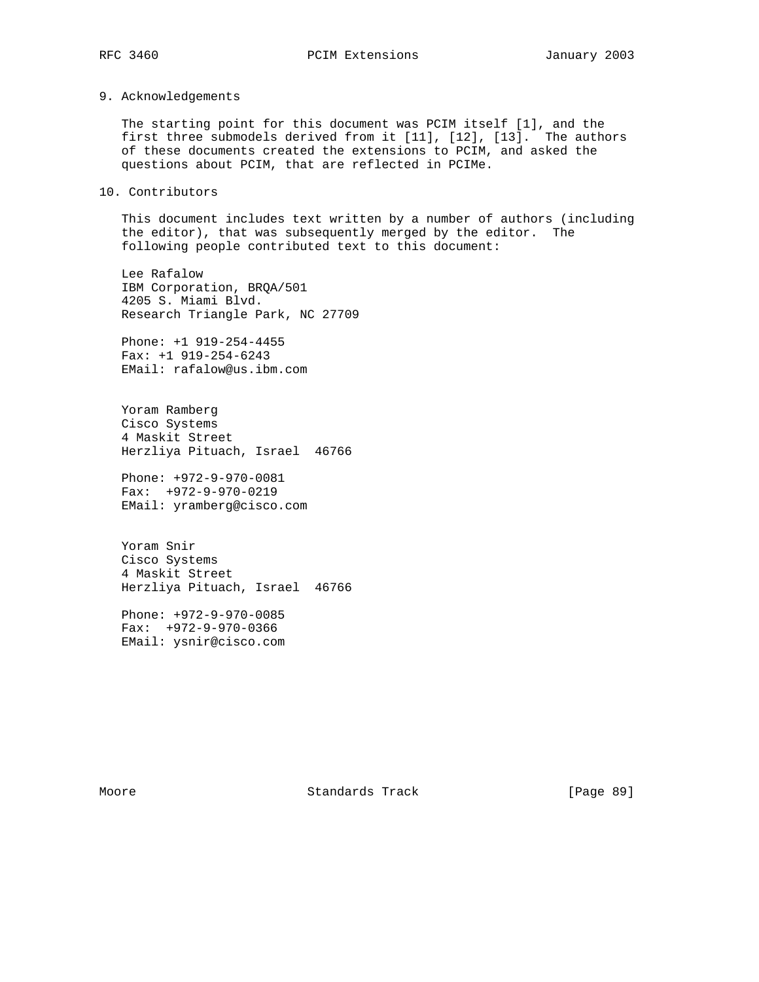## 9. Acknowledgements

 The starting point for this document was PCIM itself [1], and the first three submodels derived from it [11], [12], [13]. The authors of these documents created the extensions to PCIM, and asked the questions about PCIM, that are reflected in PCIMe.

# 10. Contributors

 This document includes text written by a number of authors (including the editor), that was subsequently merged by the editor. The following people contributed text to this document:

 Lee Rafalow IBM Corporation, BRQA/501 4205 S. Miami Blvd. Research Triangle Park, NC 27709

 Phone: +1 919-254-4455 Fax: +1 919-254-6243 EMail: rafalow@us.ibm.com

 Yoram Ramberg Cisco Systems 4 Maskit Street Herzliya Pituach, Israel 46766

 Phone: +972-9-970-0081 Fax: +972-9-970-0219 EMail: yramberg@cisco.com

 Yoram Snir Cisco Systems 4 Maskit Street Herzliya Pituach, Israel 46766

 Phone: +972-9-970-0085 Fax: +972-9-970-0366 EMail: ysnir@cisco.com

Moore Standards Track [Page 89]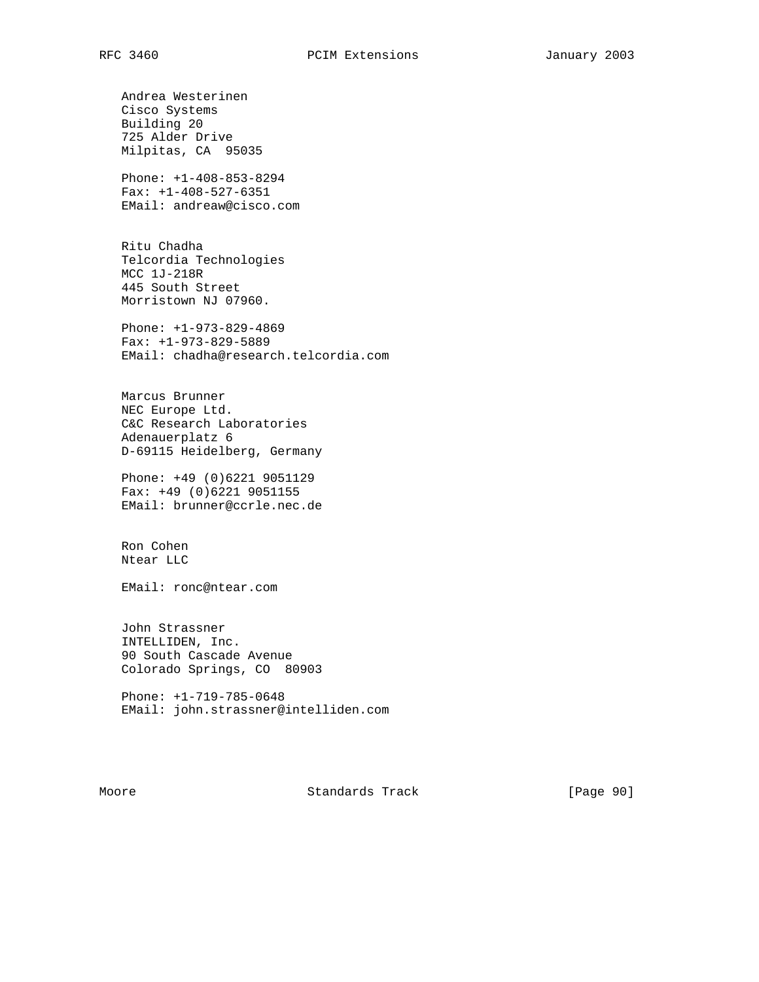Andrea Westerinen Cisco Systems Building 20 725 Alder Drive Milpitas, CA 95035

 Phone: +1-408-853-8294 Fax: +1-408-527-6351 EMail: andreaw@cisco.com

 Ritu Chadha Telcordia Technologies MCC 1J-218R 445 South Street Morristown NJ 07960.

 Phone: +1-973-829-4869 Fax: +1-973-829-5889 EMail: chadha@research.telcordia.com

 Marcus Brunner NEC Europe Ltd. C&C Research Laboratories Adenauerplatz 6 D-69115 Heidelberg, Germany

 Phone: +49 (0)6221 9051129 Fax: +49 (0)6221 9051155 EMail: brunner@ccrle.nec.de

 Ron Cohen Ntear LLC

EMail: ronc@ntear.com

 John Strassner INTELLIDEN, Inc. 90 South Cascade Avenue Colorado Springs, CO 80903

 Phone: +1-719-785-0648 EMail: john.strassner@intelliden.com

Moore **Standards Track** [Page 90]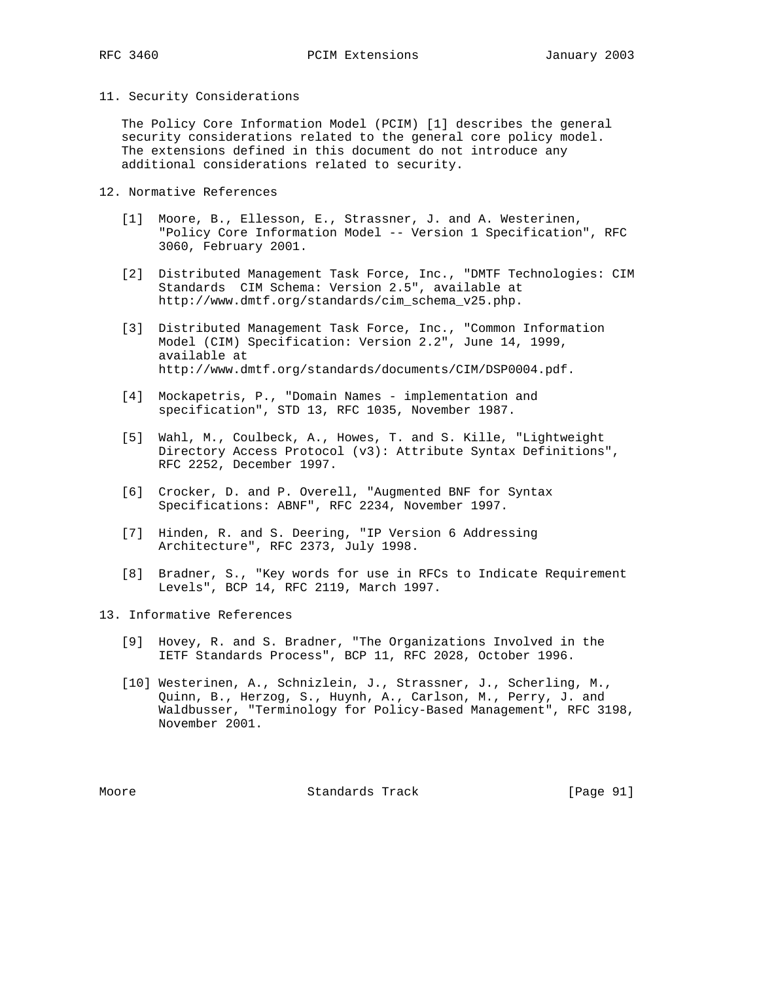### 11. Security Considerations

 The Policy Core Information Model (PCIM) [1] describes the general security considerations related to the general core policy model. The extensions defined in this document do not introduce any additional considerations related to security.

- 12. Normative References
	- [1] Moore, B., Ellesson, E., Strassner, J. and A. Westerinen, "Policy Core Information Model -- Version 1 Specification", RFC 3060, February 2001.
	- [2] Distributed Management Task Force, Inc., "DMTF Technologies: CIM Standards CIM Schema: Version 2.5", available at http://www.dmtf.org/standards/cim\_schema\_v25.php.
	- [3] Distributed Management Task Force, Inc., "Common Information Model (CIM) Specification: Version 2.2", June 14, 1999, available at http://www.dmtf.org/standards/documents/CIM/DSP0004.pdf.
	- [4] Mockapetris, P., "Domain Names implementation and specification", STD 13, RFC 1035, November 1987.
	- [5] Wahl, M., Coulbeck, A., Howes, T. and S. Kille, "Lightweight Directory Access Protocol (v3): Attribute Syntax Definitions", RFC 2252, December 1997.
	- [6] Crocker, D. and P. Overell, "Augmented BNF for Syntax Specifications: ABNF", RFC 2234, November 1997.
	- [7] Hinden, R. and S. Deering, "IP Version 6 Addressing Architecture", RFC 2373, July 1998.
	- [8] Bradner, S., "Key words for use in RFCs to Indicate Requirement Levels", BCP 14, RFC 2119, March 1997.

13. Informative References

- [9] Hovey, R. and S. Bradner, "The Organizations Involved in the IETF Standards Process", BCP 11, RFC 2028, October 1996.
- [10] Westerinen, A., Schnizlein, J., Strassner, J., Scherling, M., Quinn, B., Herzog, S., Huynh, A., Carlson, M., Perry, J. and Waldbusser, "Terminology for Policy-Based Management", RFC 3198, November 2001.

Moore Standards Track [Page 91]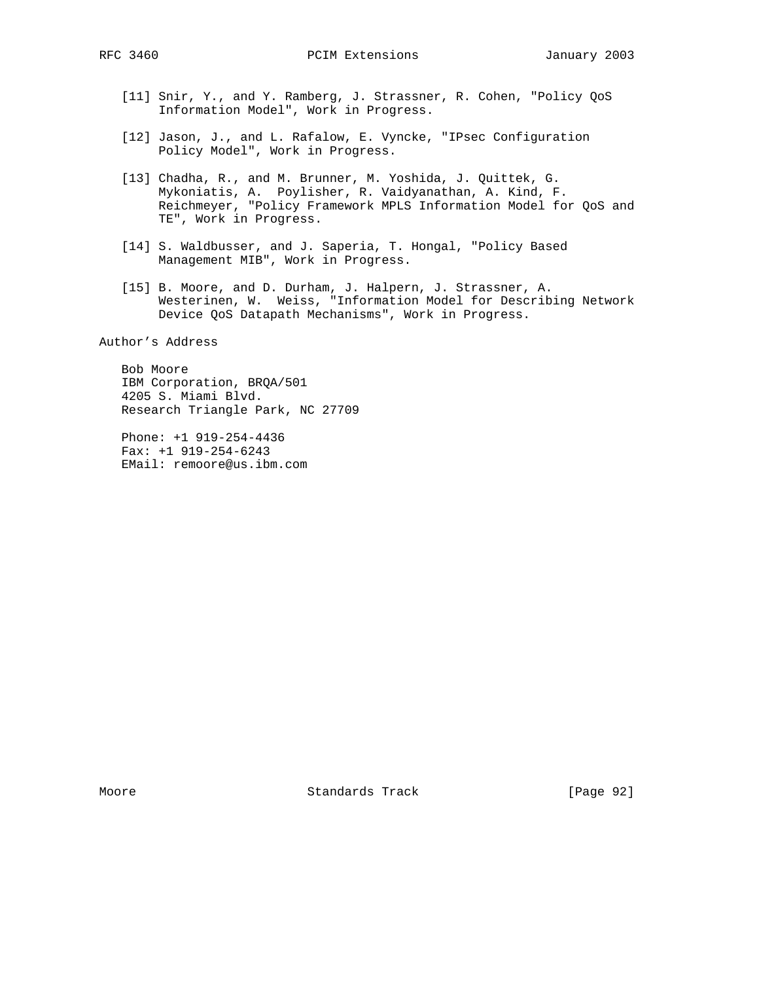- [11] Snir, Y., and Y. Ramberg, J. Strassner, R. Cohen, "Policy QoS Information Model", Work in Progress.
- [12] Jason, J., and L. Rafalow, E. Vyncke, "IPsec Configuration Policy Model", Work in Progress.
- [13] Chadha, R., and M. Brunner, M. Yoshida, J. Quittek, G. Mykoniatis, A. Poylisher, R. Vaidyanathan, A. Kind, F. Reichmeyer, "Policy Framework MPLS Information Model for QoS and TE", Work in Progress.
- [14] S. Waldbusser, and J. Saperia, T. Hongal, "Policy Based Management MIB", Work in Progress.
- [15] B. Moore, and D. Durham, J. Halpern, J. Strassner, A. Westerinen, W. Weiss, "Information Model for Describing Network Device QoS Datapath Mechanisms", Work in Progress.

Author's Address

 Bob Moore IBM Corporation, BRQA/501 4205 S. Miami Blvd. Research Triangle Park, NC 27709

 Phone: +1 919-254-4436 Fax: +1 919-254-6243 EMail: remoore@us.ibm.com

Moore Standards Track [Page 92]